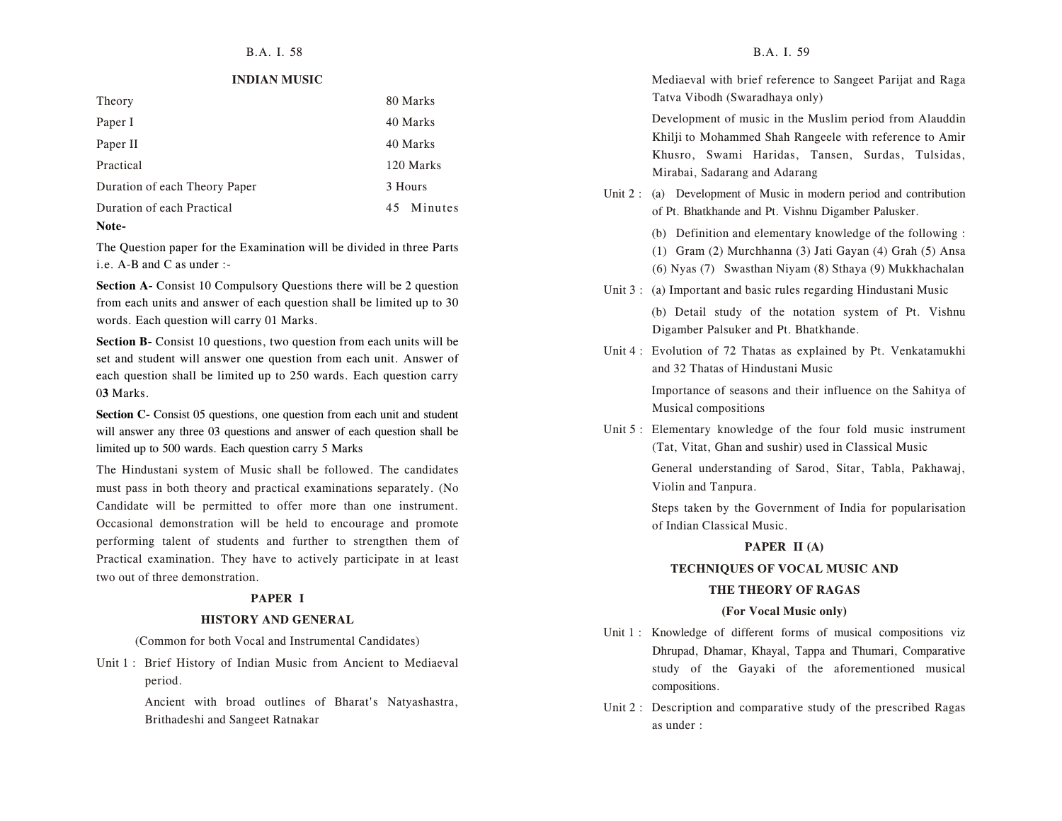#### **INDIAN MUSIC**

| Theory                        | 80 Marks   |
|-------------------------------|------------|
| Paper I                       | 40 Marks   |
| Paper II                      | 40 Marks   |
| Practical                     | 120 Marks  |
| Duration of each Theory Paper | 3 Hours    |
| Duration of each Practical    | 45 Minutes |
| Note-                         |            |

The Question paper for the Examination will be divided in three Parts i.e. A-B and C as under :-

**Section A-** Consist 10 Compulsory Questions there will be 2 question from each units and answer of each question shall be limited up to 30 words. Each question will carry 01 Marks.

**Section B-** Consist 10 questions, two question from each units will be set and student will answer one question from each unit. Answer of each question shall be limited up to 250 wards. Each question carry 0**3** Marks.

**Section C-** Consist 05 questions, one question from each unit and student will answer any three 03 questions and answer of each question shall be limited up to 500 wards. Each question carry 5 Marks

The Hindustani system of Music shall be followed. The candidates must pass in both theory and practical examinations separately. (No Candidate will be permitted to offer more than one instrument. Occasional demonstration will be held to encourage and promote performing talent of students and further to strengthen them of Practical examination. They have to actively participate in at least two out of three demonstration.

#### **PAPER I**

#### **HISTORY AND GENERAL**

(Common for both Vocal and Instrumental Candidates)

Unit 1 : Brief History of Indian Music from Ancient to Mediaeval period.

> Ancient with broad outlines of Bharat's Natyashastra, Brithadeshi and Sangeet Ratnakar

Mediaeval with brief reference to Sangeet Parijat and Raga Tatva Vibodh (Swaradhaya only)

Development of music in the Muslim period from Alauddin Khilji to Mohammed Shah Rangeele with reference to Amir Khusro, Swami Haridas, Tansen, Surdas, Tulsidas, Mirabai, Sadarang and Adarang

Unit 2 : (a) Development of Music in modern period and contribution of Pt. Bhatkhande and Pt. Vishnu Digamber Palusker.

(b) Definition and elementary knowledge of the following :

(1) Gram (2) Murchhanna (3) Jati Gayan (4) Grah (5) Ansa

(6) Nyas (7) Swasthan Niyam (8) Sthaya (9) Mukkhachalan

- Unit 3 : (a) Important and basic rules regarding Hindustani Music (b) Detail study of the notation system of Pt. Vishnu Digamber Palsuker and Pt. Bhatkhande.
- Unit 4 : Evolution of 72 Thatas as explained by Pt. Venkatamukhi and 32 Thatas of Hindustani Music Importance of seasons and their influence on the Sahitya of Musical compositions
- Unit 5 : Elementary knowledge of the four fold music instrument (Tat, Vitat, Ghan and sushir) used in Classical Music General understanding of Sarod, Sitar, Tabla, Pakhawaj, Violin and Tanpura.

Steps taken by the Government of India for popularisation of Indian Classical Music.

#### **PAPER II (A)**

#### **TECHNIQUES OF VOCAL MUSIC AND**

#### **THE THEORY OF RAGAS**

#### **(For Vocal Music only)**

- Unit 1 : Knowledge of different forms of musical compositions viz Dhrupad, Dhamar, Khayal, Tappa and Thumari, Comparative study of the Gayaki of the aforementioned musical compositions.
- Unit 2 : Description and comparative study of the prescribed Ragas as under :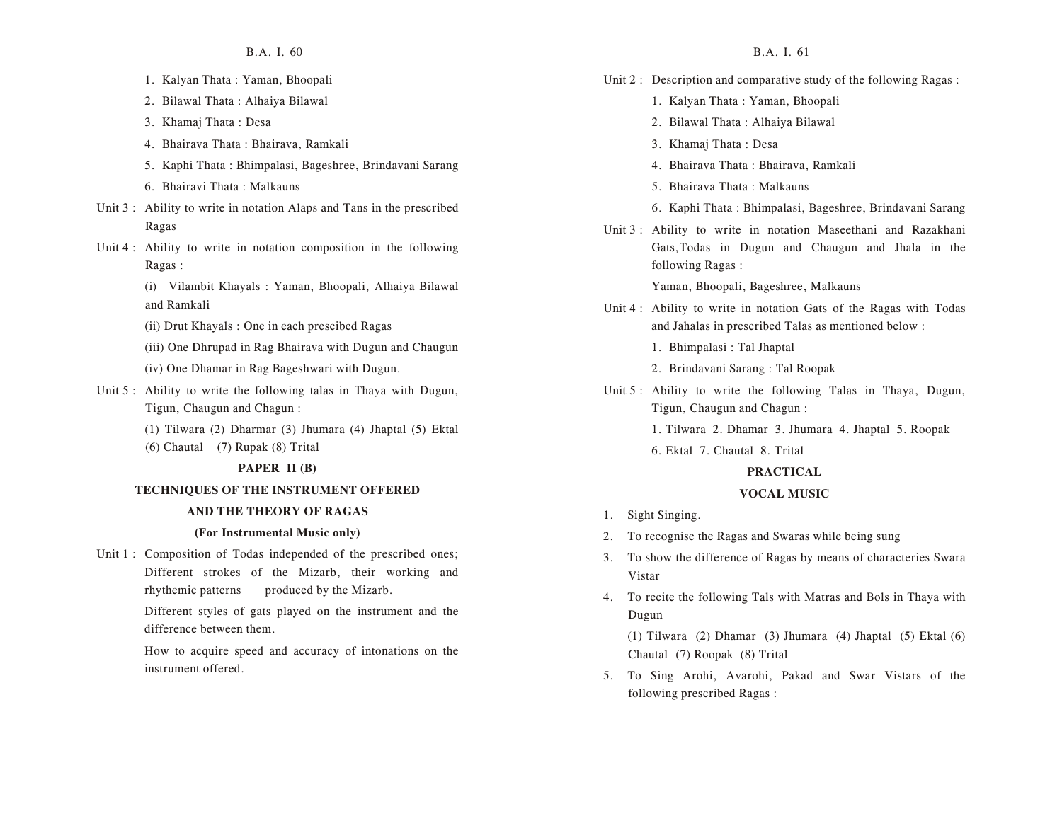- 1. Kalyan Thata : Yaman, Bhoopali
- 2. Bilawal Thata : Alhaiya Bilawal
- 3. Khamaj Thata : Desa
- 4. Bhairava Thata : Bhairava, Ramkali
- 5. Kaphi Thata : Bhimpalasi, Bageshree, Brindavani Sarang
- 6. Bhairavi Thata : Malkauns
- Unit 3 : Ability to write in notation Alaps and Tans in the prescribed Ragas
- Unit 4 : Ability to write in notation composition in the following Ragas :
	- (i) Vilambit Khayals : Yaman, Bhoopali, Alhaiya Bilawal and Ramkali
	- (ii) Drut Khayals : One in each prescibed Ragas
	- (iii) One Dhrupad in Rag Bhairava with Dugun and Chaugun
	- (iv) One Dhamar in Rag Bageshwari with Dugun.
- Unit 5 : Ability to write the following talas in Thaya with Dugun, Tigun, Chaugun and Chagun :
	- (1) Tilwara (2) Dharmar (3) Jhumara (4) Jhaptal (5) Ektal
	- (6) Chautal (7) Rupak (8) Trital

#### **PAPER II (B)**

#### **TECHNIQUES OF THE INSTRUMENT OFFERED**

#### **AND THE THEORY OF RAGAS**

#### **(For Instrumental Music only)**

Unit 1 : Composition of Todas independed of the prescribed ones; Different strokes of the Mizarb, their working and rhythemic patterns produced by the Mizarb.

> Different styles of gats played on the instrument and the difference between them.

> How to acquire speed and accuracy of intonations on the instrument offered.

- Unit 2 : Description and comparative study of the following Ragas :
	- 1. Kalyan Thata : Yaman, Bhoopali
	- 2. Bilawal Thata : Alhaiya Bilawal
	- 3. Khamaj Thata : Desa
	- 4. Bhairava Thata : Bhairava, Ramkali
	- 5. Bhairava Thata : Malkauns
	- 6. Kaphi Thata : Bhimpalasi, Bageshree, Brindavani Sarang
- Unit 3 : Ability to write in notation Maseethani and Razakhani Gats,Todas in Dugun and Chaugun and Jhala in the following Ragas :

Yaman, Bhoopali, Bageshree, Malkauns

- Unit 4 : Ability to write in notation Gats of the Ragas with Todas and Jahalas in prescribed Talas as mentioned below :
	- 1. Bhimpalasi : Tal Jhaptal
	- 2. Brindavani Sarang : Tal Roopak
- Unit 5 : Ability to write the following Talas in Thaya, Dugun, Tigun, Chaugun and Chagun :

1. Tilwara 2. Dhamar 3. Jhumara 4. Jhaptal 5. Roopak

6. Ektal 7. Chautal 8. Trital

#### **PRACTICAL**

#### **VOCAL MUSIC**

- 1. Sight Singing.
- 2. To recognise the Ragas and Swaras while being sung
- 3. To show the difference of Ragas by means of characteries Swara Vistar
- 4. To recite the following Tals with Matras and Bols in Thaya with Dugun

(1) Tilwara (2) Dhamar (3) Jhumara (4) Jhaptal (5) Ektal (6) Chautal (7) Roopak (8) Trital

5. To Sing Arohi, Avarohi, Pakad and Swar Vistars of the following prescribed Ragas :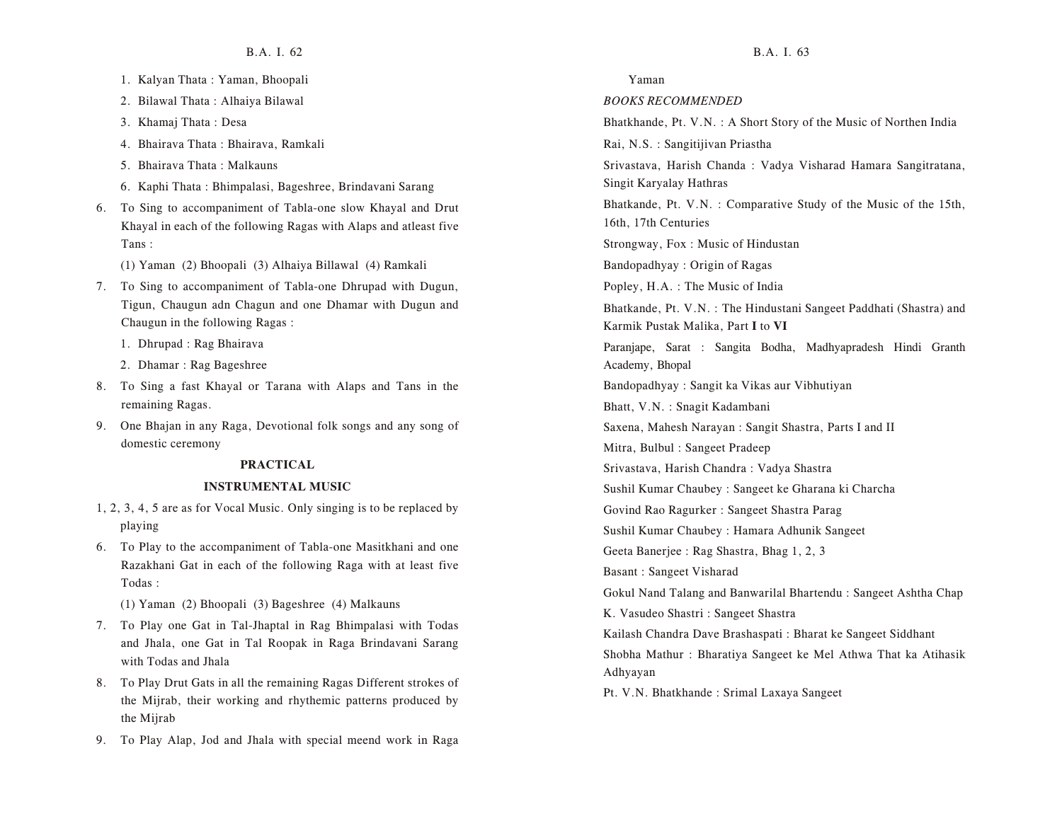- 1. Kalyan Thata : Yaman, Bhoopali
- 2. Bilawal Thata : Alhaiya Bilawal
- 3. Khamaj Thata : Desa
- 4. Bhairava Thata : Bhairava, Ramkali
- 5. Bhairava Thata : Malkauns
- 6. Kaphi Thata : Bhimpalasi, Bageshree, Brindavani Sarang
- 6. To Sing to accompaniment of Tabla-one slow Khayal and Drut Khayal in each of the following Ragas with Alaps and atleast five Tans :
	- (1) Yaman (2) Bhoopali (3) Alhaiya Billawal (4) Ramkali
- 7. To Sing to accompaniment of Tabla-one Dhrupad with Dugun, Tigun, Chaugun adn Chagun and one Dhamar with Dugun and Chaugun in the following Ragas :
	- 1. Dhrupad : Rag Bhairava
	- 2. Dhamar : Rag Bageshree
- 8. To Sing a fast Khayal or Tarana with Alaps and Tans in the remaining Ragas.
- 9. One Bhajan in any Raga, Devotional folk songs and any song of domestic ceremony

#### **PRACTICAL**

#### **INSTRUMENTAL MUSIC**

- 1, 2, 3, 4, 5 are as for Vocal Music. Only singing is to be replaced by playing
- 6. To Play to the accompaniment of Tabla-one Masitkhani and one Razakhani Gat in each of the following Raga with at least five Todas :
	- (1) Yaman (2) Bhoopali (3) Bageshree (4) Malkauns
- 7. To Play one Gat in Tal-Jhaptal in Rag Bhimpalasi with Todas and Jhala, one Gat in Tal Roopak in Raga Brindavani Sarang with Todas and Jhala
- 8. To Play Drut Gats in all the remaining Ragas Different strokes of the Mijrab, their working and rhythemic patterns produced by the Mijrab
- 9. To Play Alap, Jod and Jhala with special meend work in Raga

#### Yaman

#### *BOOKS RECOMMENDED*

Bhatkhande, Pt. V.N. : A Short Story of the Music of Northen India

Rai, N.S. : Sangitijivan Priastha

Srivastava, Harish Chanda : Vadya Visharad Hamara Sangitratana, Singit Karyalay Hathras

Bhatkande, Pt. V.N. : Comparative Study of the Music of the 15th, 16th, 17th Centuries

Strongway, Fox : Music of Hindustan

Bandopadhyay : Origin of Ragas

Popley, H.A. : The Music of India

Bhatkande, Pt. V.N. : The Hindustani Sangeet Paddhati (Shastra) and Karmik Pustak Malika, Part **I** to **VI**

Paranjape, Sarat : Sangita Bodha, Madhyapradesh Hindi Granth Academy, Bhopal

Bandopadhyay : Sangit ka Vikas aur Vibhutiyan

Bhatt, V.N. : Snagit Kadambani

Saxena, Mahesh Narayan : Sangit Shastra, Parts I and II

Mitra, Bulbul : Sangeet Pradeep

Srivastava, Harish Chandra : Vadya Shastra

Sushil Kumar Chaubey : Sangeet ke Gharana ki Charcha

Govind Rao Ragurker : Sangeet Shastra Parag

Sushil Kumar Chaubey : Hamara Adhunik Sangeet

Geeta Banerjee : Rag Shastra, Bhag 1, 2, 3

Basant : Sangeet Visharad

Gokul Nand Talang and Banwarilal Bhartendu : Sangeet Ashtha Chap

K. Vasudeo Shastri : Sangeet Shastra

Kailash Chandra Dave Brashaspati : Bharat ke Sangeet Siddhant Shobha Mathur : Bharatiya Sangeet ke Mel Athwa That ka Atihasik Adhyayan

Pt. V.N. Bhatkhande : Srimal Laxaya Sangeet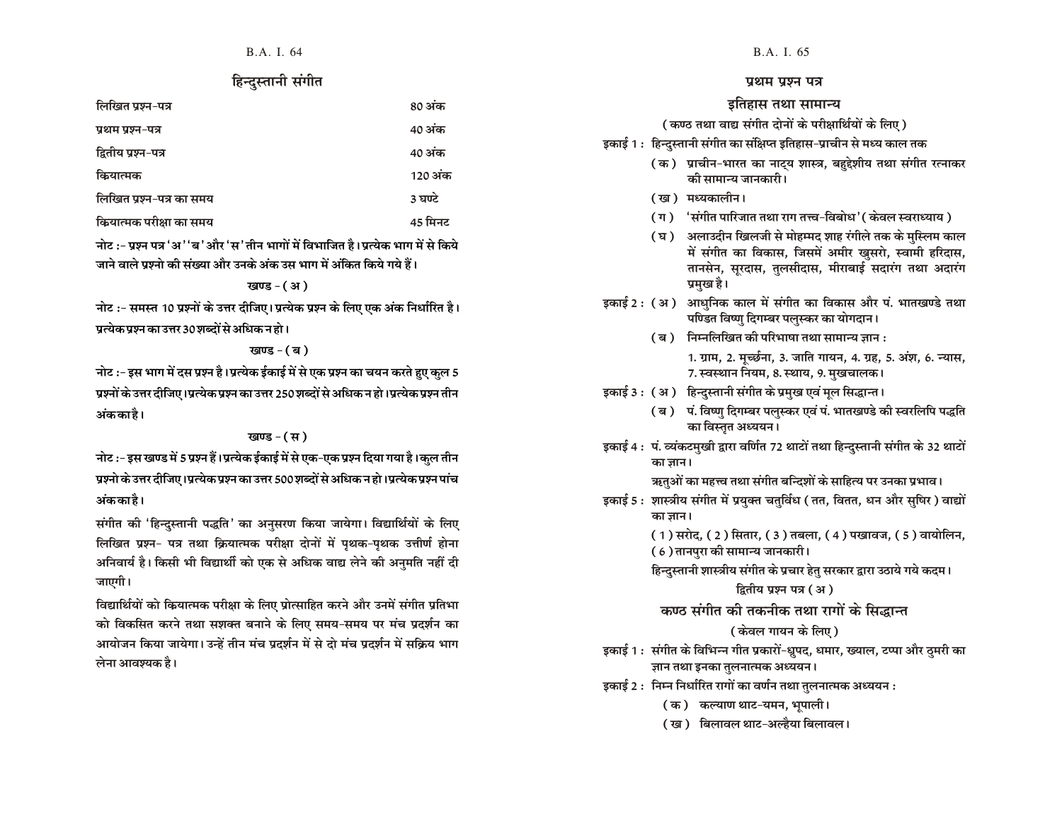#### हिन्दुस्तानी संगीत

| लिखित प्रश्न-पत्र        | 80 अंक  |
|--------------------------|---------|
| प्रथम प्रश्न-पत्र        | 40 अंक  |
| द्वितीय प्रश्न-पत्र      | 40 अंक  |
| कियात्मक                 | 120 अंक |
| लिखित प्रश्न-पत्र का समय | 3 घण्टे |
| कियात्मक परीक्षा का समय  | 45 मिनट |

नोट :- प्रश्न पत्र 'अ ''ब 'और 'स 'तीन भागों में विभाजित है।पत्येक भाग में से किये जाने वाले प्रश्नो की संख्या और उनके अंक उस भाग में अंकित किये गये हैं।

#### $\overline{y}$  variance (31)

नोट :- समस्त 10 प्रश्नों के उत्तर दीजिए। प्रत्येक प्रश्न के लिए एक अंक निर्धारित है। प्रत्येक प्रश्न का उत्तर 30 शब्दों से अधिक न हो ।

#### $\overline{y}$  and  $\overline{y}$  and  $\overline{y}$

नोट :- इस भाग में दस प्रश्न है।प्रत्येक ईकाई में से एक प्रश्न का चयन करते हुए कुल 5 प्रश्नों के उत्तर दीजिए ।प्रत्येक प्रश्न का उत्तर 250 शब्दों से अधिक न हो ।प्रत्येक प्रश्न तीन अंककाहै।

#### खण्ड  $-(\nabla)$

नोट :- इस खण्ड में 5 प्रश्न हैं।प्रत्येक ईकाई में से एक-एक प्रश्न दिया गया है।कुल तीन प्रश्नो के उत्तर दीजिए ।प्रत्येक प्रश्न का उत्तर 500 शब्दों से अधिक न हो ।प्रत्येक प्रश्न पांच अंककाहै।

संगीत की 'हिन्दुस्तानी पद्धति' का अनुसरण किया जायेगा। विद्यार्थियों के लिए लिखित प्रश्न- पत्र तथा क्रियात्मक परीक्षा दोनों में पृथक-पृथक उत्तीर्ण होना अनिवार्य है। किसी भी विद्यार्थी को एक से अधिक वाद्य लेने की अनुमति नहीं दी जाएगी।

विद्यार्थियों को कियात्मक परीक्षा के लिए प्रोत्साहित करने और उनमें संगीत प्रतिभा को विकसित करने तथा सशक्त बनाने के लिए समय-समय पर मंच प्रदर्शन का आयोजन किया जायेगा। उन्हें तीन मंच प्रदर्शन में से दो मंच प्रदर्शन में सक्रिय भाग लेना आवश्यक है।

#### प्रथम प्रश्न पत्र

#### इतिहास तथा सामान्य

#### (कण्ठ तथा वाद्य संगीत दोनों के परीक्षार्थियों के लिए )

- इकाई 1 : हिन्दुस्तानी संगीत का संक्षिप्त इतिहास-प्राचीन से मध्य काल तक
	- (क) प्राचीन-भारत का नाट्य शास्त्र, बहुद्देशीय तथा संगीत रत्नाकर की सामान्य जानकारी।
	- (ख) मध्यकालीन।
	- (ग) 'संगीत पारिजात तथा राग तत्त्व-विबोध'(केवल स्वराध्याय)
	- (घ) अलाउदीन खिलजी से मोहम्मद शाह रंगीले तक के मुस्लिम काल में संगीत का विकास, जिसमें अमीर खुसरो, स्वामी हरिदास, तानसेन, सुरदास, तुलसीदास, मीराबाई सदारंग तथा अदारंग प्रमुख है।
- इकाई 2 : (अ) आधुनिक काल में संगीत का विकास और पं. भातखण्डे तथा पण्डित विष्णु दिगम्बर पलुस्कर का योगदान।
	- $(a)$  निम्नलिखित की परिभाषा तथा सामान्य ज्ञान :

1. ग्राम, 2. मुच्छंना, 3. जाति गायन, 4. ग्रह, 5. अंश, 6. न्यास, 7. स्वस्थान नियम, 8. स्थाय, 9. मखचालक।

- इकाई 3 : (अ) हिन्दुस्तानी संगीत के प्रमुख एवं मूल सिद्धान्त।
	- (ब) पं. विष्णु दिगम्बर पलुस्कर एवं पं. भातखण्डे की स्वरलिपि पद्धति का विस्तृत अध्ययन।
- इकाई 4 : पं. व्यंकटमुखी द्वारा वर्णित 72 थाटों तथा हिन्दुस्तानी संगीत के 32 थाटों का ज्ञान।

ऋतुओं का महत्त्व तथा संगीत बन्दिशों के साहित्य पर उनका प्रभाव।

- इकाई 5 : शास्त्रीय संगीत में प्रयक्त चतुर्विध ( तत, वितत, धन और सुषिर ) वाद्यों का ज्ञान।
	- ( 1 ) सरोद, ( 2 ) सितार, ( 3 ) तबला, ( 4 ) पखावज, ( 5 ) वायोलिन,
	- (6) तानपुरा की सामान्य जानकारी।

हिन्दुस्तानी शास्त्रीय संगीत के प्रचार हेतु सरकार द्वारा उठाये गये कदम।

#### द्वितीय प्रश्न पत्र (अ)

#### कण्ठ संगीत की तकनीक तथा रागों के सिद्धान्त

(केवल गायन के लिए)

- इकाई 1 : संगीत के विभिन्न गीत प्रकारों-ध्रुपद, धमार, ख्याल, टप्पा और ठुमरी का ज्ञान तथा इनका तुलनात्मक अध्ययन।
- इकाई 2 : मिम्न निर्धारित रागों का वर्णन तथा तुलनात्मक अध्ययन :
	- (क) कल्याण थाट-यमन, भूपाली।
	- ( ख) विलावल थाट-अल्हैया बिलावल।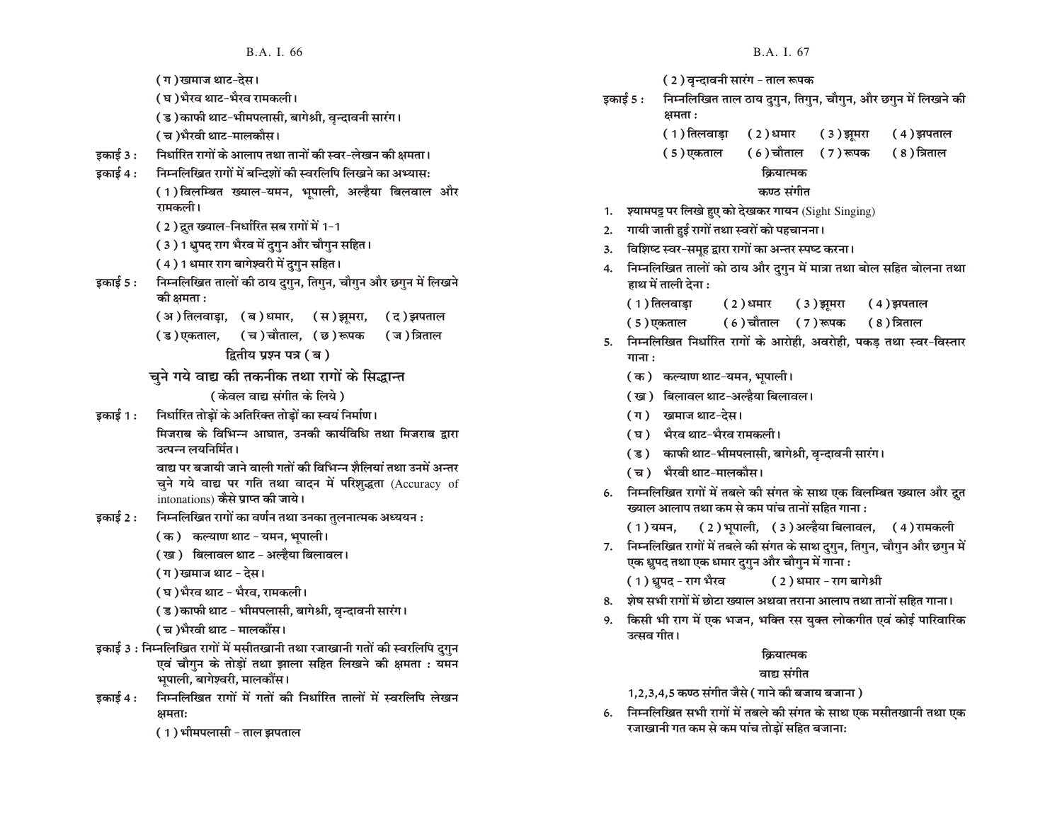( ग )खमाज थाट-देस।

- ( घ )भैरव थाट-भैरव रामकली।
- (ड) काफी थाट-भीमपलासी, बागेश्री, वृन्दावनी सारंग।

( च )भैरवी थाट-मालकौस।

- इकाई 3 : निर्धारित रागों के आलाप तथा तानों की स्वर-लेखन की क्षमता।
- इकाई 4 : निम्नलिखित रागों में बन्दिशों की स्वरलिपि लिखने का अभ्यास: (1) विलम्बित ख्याल-यमन, भूपाली, अल्हैया बिलवाल और रामकली।
	- (2) द्रुत ख्याल-निर्धारित सब रागों में 1-1
	- ( 3 ) 1 ध्रुपद राग भैरव में दुगुन और चौगुन सहित।
	- (4) 1 धमार राग बागेश्वरी में दुगुन सहित।
- इकाई 5 : निम्नलिखित तालों की ठाय दगन, तिगन, चौगन और छगन में लिखने की क्षमता :
	- (अ) तिलवाडा, (ब) धमार, (स) झमरा, (द) झपताल
	- ( ड )एकताल, ( च ) चौताल, ( छ ) रूपक ( ज ) त्रिताल

द्वितीय प्रश्न पत्र ( ब )

चने गये वाद्य की तकनीक तथा रागों के सिद्धान्त

(केवल वाद्य संगीत के लिये)

इकाई 1 : निर्धारित तोडों के अतिरिक्त तोडों का स्वयं निर्माण। मिजराब के विभिन्न आघात. उनकी कार्यविधि तथा मिजराब द्रारा उत्पन्न लयनिर्मित।

> वाद्य पर बजायी जाने वाली गतों की विभिन्न शैलियां तथा उनमें अन्तर चुने गये वाद्य पर गति तथा वादन में परिशृद्धता (Accuracy of intonations) कैसे प्राप्त की जाये।

- इकाई 2 : निम्नलिखित रागों का वर्णन तथा उनका तुलनात्मक अध्ययन :
	- ( क ) कल्याण थाट यमन, भूपाली ।
	- (ख) बिलावल थाट अल्हैया बिलावल ।
	- ( ग )खमाज थाट देस।
	- ( घ )भैरव थाट भैरव, रामकली।

( ड )काफी थाट - भीमपलासी, बागेश्री, वन्दावनी सारंग।

- ( च )भैरवी थाट मालकौंस।
- इकाई 3 : निम्नलिखित रागों में मसीतखानी तथा रजाखानी गतों की स्वरलिपि दुगुन एवं चौगुन के तोड़ों तथा झाला सहित लिखने की क्षमता : यमन भयाली, बागेश्वरी, मालकौंस।
- इकाई 4 : निम्नलिखित रागों में गतों की निर्धारित तालों में स्वरलिपि लेखन  $\theta$ समताः
	- (1) भीमपलासी ताल झपताल
- **B.A. I. 66 B.A. I. 67** 
	- ( 2 ) वृन्दावनी सारंग ताल रूपक
	- इकाई 5 : निम्नलिखित ताल ठाय दुगुन, तिगुन, चौगुन, और छगुन में लिखने की क्षमता $:$ 
		- $(1)$ तिलवाड़ा  $(2)$ धमार  $(3)$ झूमरा  $(4)$ झपताल
		- $(5)$ एकताल  $(6)$ चौताल  $(7)$ रूपक  $(8)$ त्रिताल

कियात्मक

#### कण्ठ संगीत

- 1. श्यामपट्ट पर लिखे हुए को देखकर गायन (Sight Singing)
- 2. गायी जाती हुई रागों तथा स्वरों को पहचानना।
- 3. विशिष्ट स्वर-समूह द्वारा रागों का अन्तर स्पष्ट करना।
- 4. निम्नलिखित तालों को ठाय और दुगुन में मात्रा तथा बोल सहित बोलना तथा हाथ में ताली देना :
	- $(1)$  तिलवाड़ा  $(2)$  धमार  $(3)$  झूमरा  $(4)$  झपताल
	- $(5)$ एकताल  $(6)$ चौताल  $(7)$ रूपक  $(8)$ त्रिताल
- 5. निम्नलिखित निर्धारित रागों के आरोही, अवरोही, पकड़ तथा स्वर-विस्तार  $\overline{m}$   $\overline{n}$  :
	- (क) कल्याण थाट-यमन, भुपाली।
	- ( ख ) बिलावल थाट-अल्हैया बिलावल।
	- (ग) खमाज थाट-देस।
	- ( घ ) भौरव थाट-भैरव रामकली।
	- (ड) काफी थाट-भीमपलासी, बागेश्री, वृन्दावनी सारंग।
	- ( च ) भैरवी थाट-मालकौस।
- 6. **निम्नलिखित रागों में तबले की संगत के साथ एक विलम्बित ख्याल और द्रत** ख्याल आलाप तथा कम से कम पांच तानों सहित गाना :
	- $(1)$ यमन,  $(2)$ भूपाली,  $(3)$ अल्हैया बिलावल,  $(4)$ रामकली
- 7. निम्नलिखित रागों में तबले की संगत के साथ दुगुन, तिगुन, चौगुन और छगुन में एक ध्रुपद तथा एक धमार दुगुन और चौगुन में गाना :

(1) ध्रुपद - राग भैरव ( 2 ) धमार - राग बागेश्री

- $8.$  ) शेष सभी रागों में छोटा ख्याल अथवा तराना आलाप तथा तानों सहित गाना।
- 9. किसी भी राग में एक भजन, भक्ति रस युक्त लोकगीत एवं कोई पारिवारिक उत्सव गीत।

#### क्रियात्मक

वाद्य संगीत

1,2,3,4,5 कण्ठ संगीत जैसे ( गाने की बजाय बजाना )

6. निम्नलिखित सभी रागों में तबले की संगत के साथ एक मसीतखानी तथा एक रजाखानी गत कम से कम पांच तोड़ों सहित बजाना: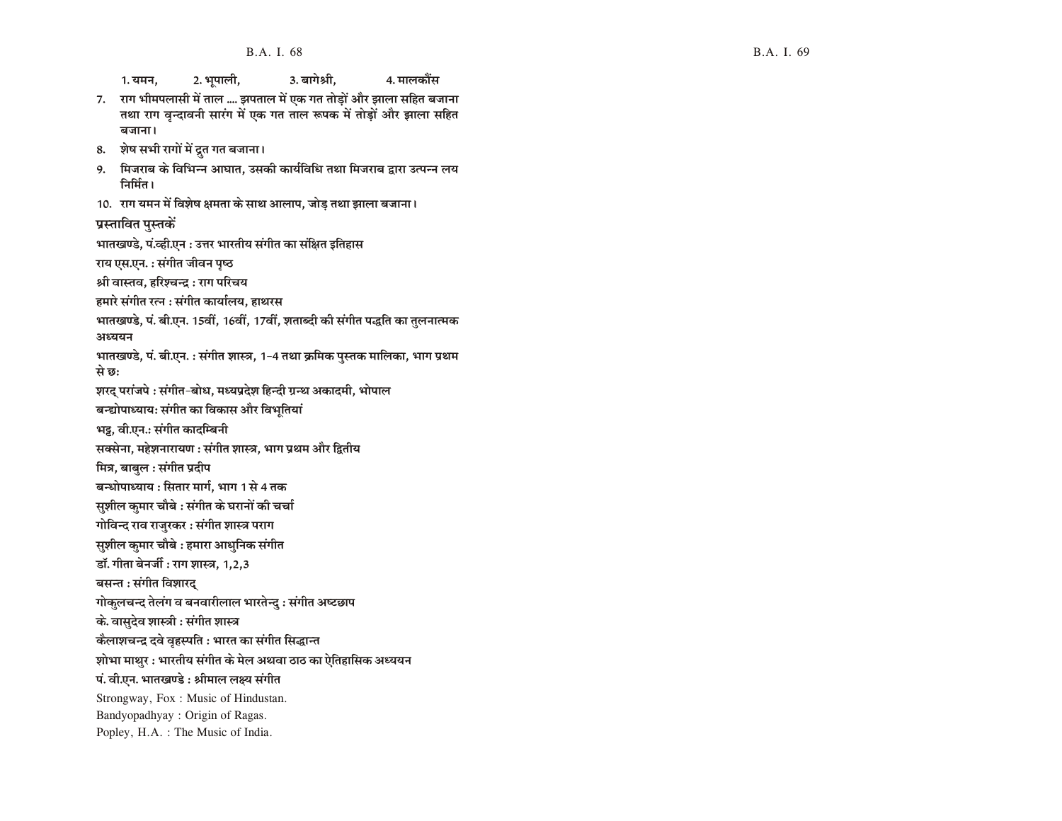1. यमन, 2. भूपाली, 3. बागेश्री, 3. 4. मालकौंस 7. राग भीमपलासी में ताल .... झपताल में एक गत तोड़ों और झाला सहित बजाना तथा राग वृन्दावनी सारंग में एक गत ताल रूपक में तोड़ों और झाला सहित B.A.<br>1. यमन, 2. भूपाली,<br>7. सा भीमपलासी में ताल .... झपताल<br>तथा सोमपलासी में ताल .... झपताल<br>तथा सभा वृन्दावनी सारंग में एक ग<br>बजाना।<br>8. शेष सभी रागों में द्रुत गत बजाना।<br>9. मिजराब के विभिन्न आघात, उसकी<br>निर्मित।<br>10. राग यमन

- 8. शेष सभी रागों में द्रुत गत बजाना।
- 9. मिजराब के विभिन्न आघात, उसकी कार्यविधि तथा मिजराब द्वारा उत्पन्न लय निर्मित।
- 10. राग यमन में विशेष क्षमता के साथ आलाप, जोड़ तथा झाला बजाना।

प्रस्तावित पुस्तकें

वजाना।

भातखण्डे, पं.व्ही.एन : उत्तर भारतीय संगीत का संक्षित इतिहास

राय एस.एन. : संगीत जीवन पृष्ठ

श्री वास्तव, हरिश्चन्द्र : राग परिचय

हमारे संगीत रत्न : संगीत कार्यालय, हाथरस

भातखण्डे, पं. बी.एन. 15वीं, 16वीं, 17वीं, शताब्दी की संगीत पद्धति का तुलनात्मक अध्ययन

भातखण्डे, पं. बी.एन. : संगीत शास्त्र, 1-4 तथा क्रमिक पुस्तक मालिका, भाग प्रथम से छ:

शरद परांजपे : संगीत-बोध, मध्यप्रदेश हिन्दी ग्रन्थ अकादमी, भोपाल

बन्द्योपाध्याय: संगीत का विकास और विभतियां

भट्ट, वी.एन.: संगीत कादम्बिनी

सक्सेना, महेशनारायण : संगीत शास्त्र, भाग प्रथम और द्वितीय

मित्र, बाबुल : संगीत प्रदीप

बन्धोपाध्याय : सितार मार्ग, भाग 1 से 4 तक

सुशील कुमार चौबे : संगीत के घरानों की चर्चा

गोविन्द राव राजुरकर : संगीत शास्त्र पराग

सुशील कुमार चौबे : हमारा आधुनिक संगीत

डॉ. गीता बेनर्जी : राग शास्त्र. 1.2.3

बसन्त : संगीत विशारद्

गोकुलचन्द तेलंग व बनवारीलाल भारतेन्दु : संगीत अष्टछाप

के. वासुदेव शास्त्री : संगीत शास्त्र

कैलाशचन्द्र दवे वृहस्पति : भारत का संगीत सिद्धान्त

शोभा माथर : भारतीय संगीत के मेल अथवा ठाठ का ऐतिहासिक अध्ययन

पं. वी.एन. भातखण्डे : श्रीमाल लक्ष्य संगीत

Strongway, Fox : Music of Hindustan.

Bandyopadhyay : Origin of Ragas.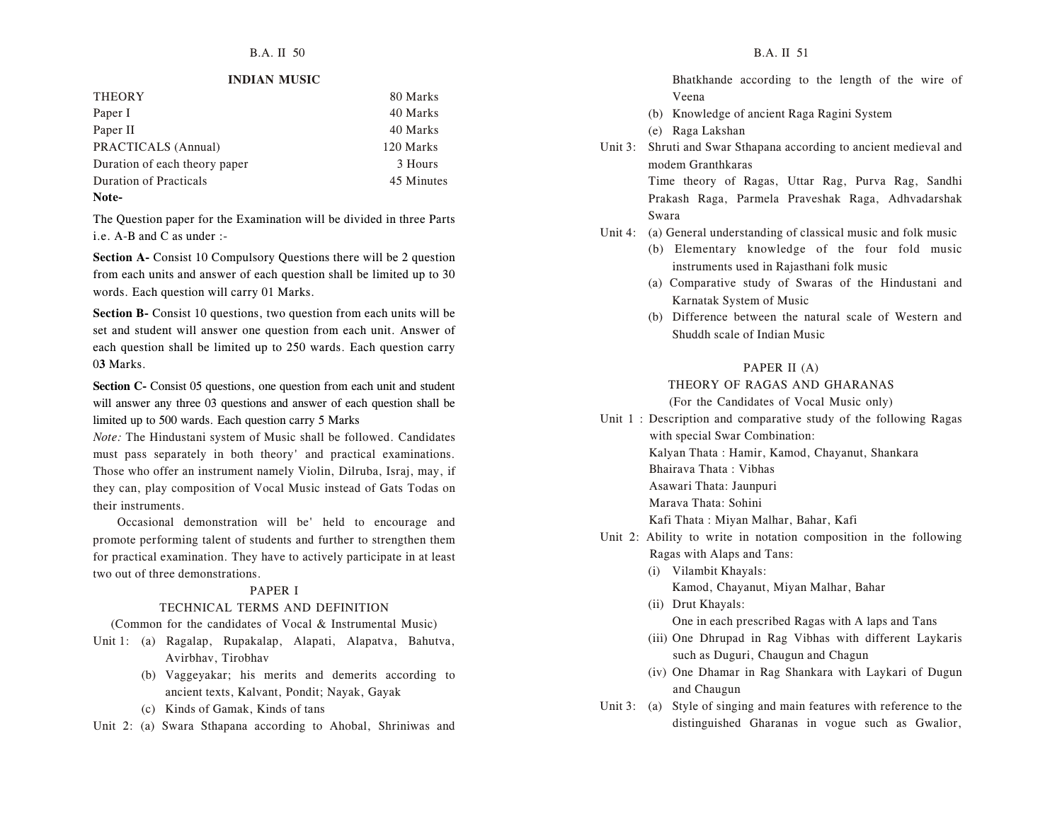#### **INDIAN MUSIC**

| <b>THEORY</b>                 | 80 Marks   |
|-------------------------------|------------|
| Paper I                       | 40 Marks   |
| Paper II                      | 40 Marks   |
| PRACTICALS (Annual)           | 120 Marks  |
| Duration of each theory paper | 3 Hours    |
| <b>Duration of Practicals</b> | 45 Minutes |
| Note-                         |            |

The Question paper for the Examination will be divided in three Parts i.e. A-B and C as under :-

**Section A-** Consist 10 Compulsory Questions there will be 2 question from each units and answer of each question shall be limited up to 30 words. Each question will carry 01 Marks.

**Section B-** Consist 10 questions, two question from each units will be set and student will answer one question from each unit. Answer of each question shall be limited up to 250 wards. Each question carry 0**3** Marks.

**Section C-** Consist 05 questions, one question from each unit and student will answer any three 03 questions and answer of each question shall be limited up to 500 wards. Each question carry 5 Marks

*Note:* The Hindustani system of Music shall be followed. Candidates must pass separately in both theory' and practical examinations. Those who offer an instrument namely Violin, Dilruba, Israj, may, if they can, play composition of Vocal Music instead of Gats Todas on their instruments.

Occasional demonstration will be' held to encourage and promote performing talent of students and further to strengthen them for practical examination. They have to actively participate in at least two out of three demonstrations.

#### PAPER I

#### TECHNICAL TERMS AND DEFINITION

(Common for the candidates of Vocal & Instrumental Music)

- Unit 1: (a) Ragalap, Rupakalap, Alapati, Alapatva, Bahutva, Avirbhav, Tirobhav
	- (b) Vaggeyakar; his merits and demerits according to ancient texts, Kalvant, Pondit; Nayak, Gayak
	- (c) Kinds of Gamak, Kinds of tans
- Unit 2: (a) Swara Sthapana according to Ahobal, Shriniwas and
- Bhatkhande according to the length of the wire of Veena
- (b) Knowledge of ancient Raga Ragini System
- (e) Raga Lakshan
- Unit 3: Shruti and Swar Sthapana according to ancient medieval and modem Granthkaras

Time theory of Ragas, Uttar Rag, Purva Rag, Sandhi Prakash Raga, Parmela Praveshak Raga, Adhvadarshak Swara

- Unit 4: (a) General understanding of classical music and folk music
	- (b) Elementary knowledge of the four fold music instruments used in Rajasthani folk music
	- (a) Comparative study of Swaras of the Hindustani and Karnatak System of Music
	- (b) Difference between the natural scale of Western and Shuddh scale of Indian Music

#### PAPER II (A)

#### THEORY OF RAGAS AND GHARANAS

(For the Candidates of Vocal Music only)

Unit 1 : Description and comparative study of the following Ragas with special Swar Combination: Kalyan Thata : Hamir, Kamod, Chayanut, Shankara Bhairava Thata : Vibhas Asawari Thata: Jaunpuri Marava Thata: Sohini

Kafi Thata : Miyan Malhar, Bahar, Kafi

- Unit 2: Ability to write in notation composition in the following Ragas with Alaps and Tans:
	- (i) Vilambit Khayals: Kamod, Chayanut, Miyan Malhar, Bahar
	- (ii) Drut Khayals: One in each prescribed Ragas with A laps and Tans
	- (iii) One Dhrupad in Rag Vibhas with different Laykaris such as Duguri, Chaugun and Chagun
	- (iv) One Dhamar in Rag Shankara with Laykari of Dugun and Chaugun
- Unit 3: (a) Style of singing and main features with reference to the distinguished Gharanas in vogue such as Gwalior,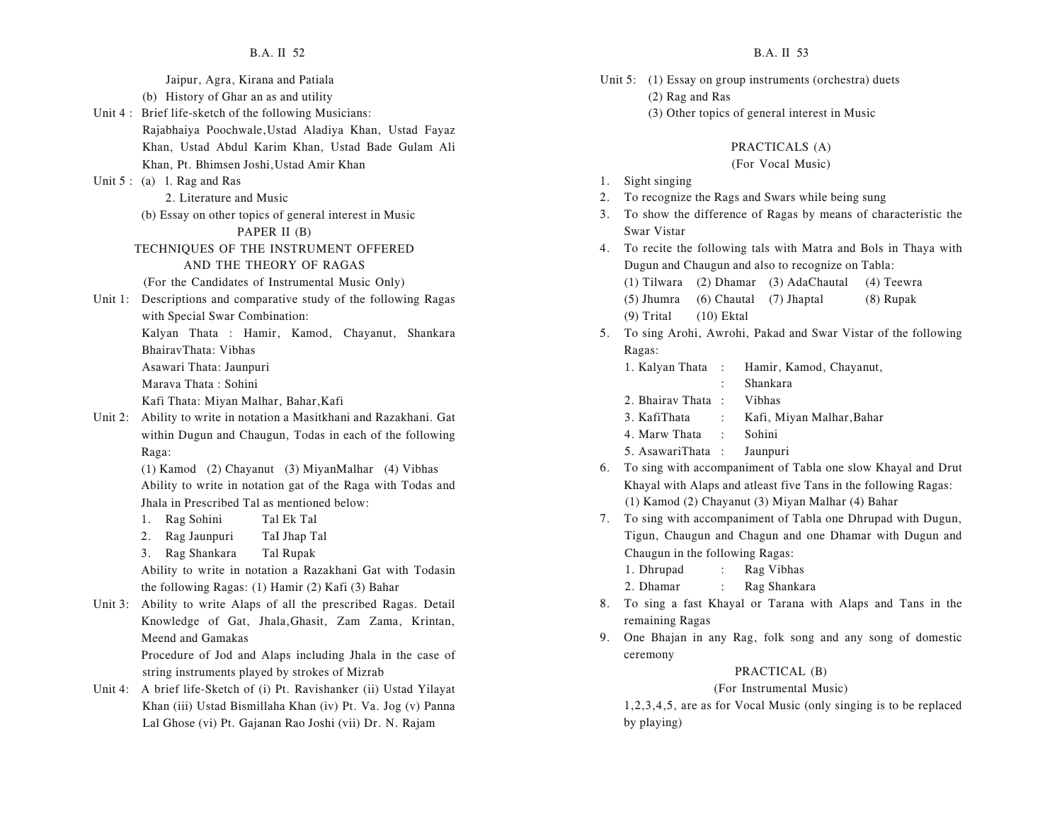- Unit 5: (1) Essay on group instruments (orchestra) duets
	- (2) Rag and Ras
	- (3) Other topics of general interest in Music

#### PRACTICALS (A)

#### (For Vocal Music)

- 1. Sight singing
- 2. To recognize the Rags and Swars while being sung
- 3. To show the difference of Ragas by means of characteristic the Swar Vistar
- 4. To recite the following tals with Matra and Bols in Thaya with Dugun and Chaugun and also to recognize on Tabla:

(1) Tilwara (2) Dhamar (3) AdaChautal (4) Teewra

(5) Jhumra (6) Chautal (7) Jhaptal (8) Rupak (9) Trital (10) Ektal

- 5. To sing Arohi, Awrohi, Pakad and Swar Vistar of the following Ragas:
	- 1. Kalyan Thata : Hamir, Kamod, Chayanut,
		- : Shankara
	- 2. Bhairav Thata : Vibhas
	- 3. KafiThata : Kafi, Miyan Malhar,Bahar
	- 4. Marw Thata : Sohini
	- 5. AsawariThata : Jaunpuri
- 6. To sing with accompaniment of Tabla one slow Khayal and Drut Khayal with Alaps and atleast five Tans in the following Ragas: (1) Kamod (2) Chayanut (3) Miyan Malhar (4) Bahar
- 7. To sing with accompaniment of Tabla one Dhrupad with Dugun, Tigun, Chaugun and Chagun and one Dhamar with Dugun and Chaugun in the following Ragas:
	- 1. Dhrupad : Rag Vibhas
	- 2. Dhamar : Rag Shankara
- 8. To sing a fast Khayal or Tarana with Alaps and Tans in the remaining Ragas
- 9. One Bhajan in any Rag, folk song and any song of domestic ceremony

#### PRACTICAL (B)

#### (For Instrumental Music)

1,2,3,4,5, are as for Vocal Music (only singing is to be replaced by playing)

- Jaipur, Agra, Kirana and Patiala
- (b) History of Ghar an as and utility
- Unit 4 : Brief life-sketch of the following Musicians: Rajabhaiya Poochwale,Ustad Aladiya Khan, Ustad Fayaz Khan, Ustad Abdul Karim Khan, Ustad Bade Gulam Ali Khan, Pt. Bhimsen Joshi,Ustad Amir Khan
- Unit 5 : (a) 1. Rag and Ras

2. Literature and Music

(b) Essay on other topics of general interest in Music

#### PAPER II (B)

- TECHNIQUES OF THE INSTRUMENT OFFERED AND THE THEORY OF RAGAS
- (For the Candidates of Instrumental Music Only)
- Unit 1: Descriptions and comparative study of the following Ragas with Special Swar Combination:
	- Kalyan Thata : Hamir, Kamod, Chayanut, Shankara BhairavThata: Vibhas
	- Asawari Thata: Jaunpuri
	- Marava Thata : Sohini

Kafi Thata: Miyan Malhar, Bahar,Kafi

Unit 2: Ability to write in notation a Masitkhani and Razakhani. Gat within Dugun and Chaugun, Todas in each of the following Raga:

> (1) Kamod (2) Chayanut (3) MiyanMalhar (4) Vibhas Ability to write in notation gat of the Raga with Todas and Jhala in Prescribed Tal as mentioned below:

- 1. Rag Sohini Tal Ek Tal
- 2. Rag Jaunpuri TaI Jhap Tal
- 3. Rag Shankara Tal Rupak

Ability to write in notation a Razakhani Gat with Todasin the following Ragas: (1) Hamir (2) Kafi (3) Bahar

Unit 3: Ability to write Alaps of all the prescribed Ragas. Detail Knowledge of Gat, Jhala,Ghasit, Zam Zama, Krintan, Meend and Gamakas

Procedure of Jod and Alaps including Jhala in the case of string instruments played by strokes of Mizrab

Unit 4: A brief life-Sketch of (i) Pt. Ravishanker (ii) Ustad Yilayat Khan (iii) Ustad Bismillaha Khan (iv) Pt. Va. Jog (v) Panna Lal Ghose (vi) Pt. Gajanan Rao Joshi (vii) Dr. N. Rajam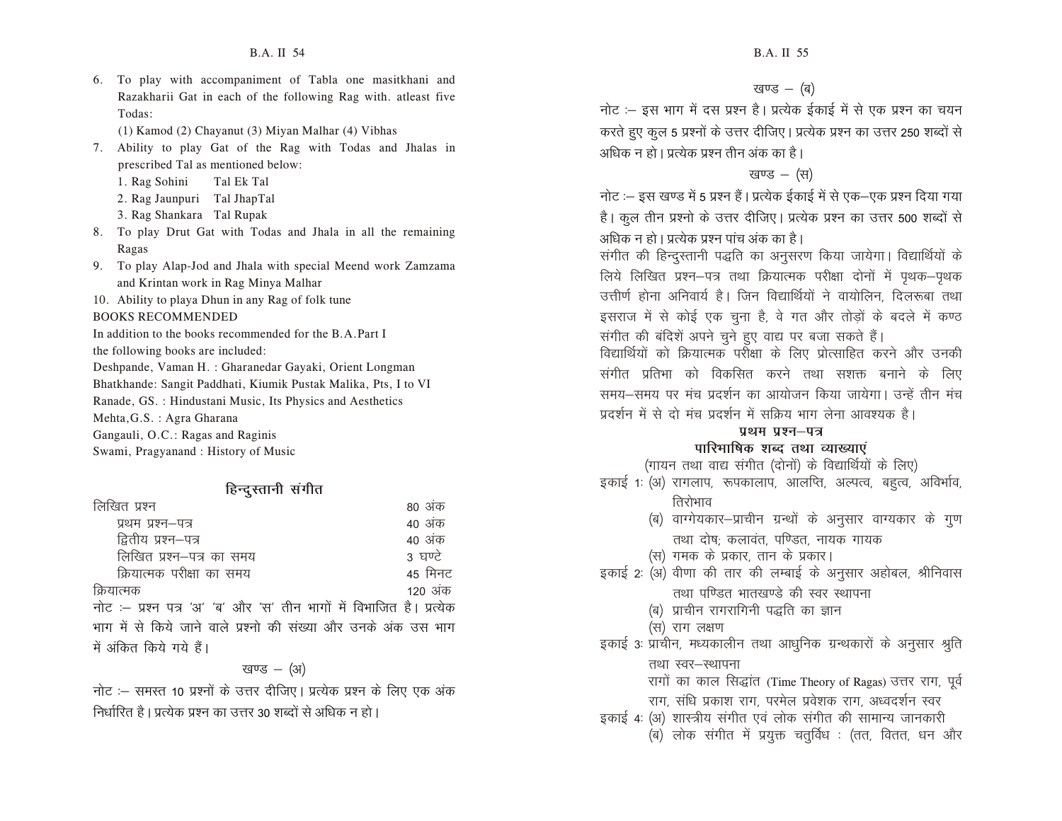6. To play with accompaniment of Tabla one masitkhani and Razakharii Gat in each of the following Rag with. atleast five Todas:

(1) Kamod (2) Chayanut (3) Miyan Malhar (4) Vibhas

7. Ability to play Gat of the Rag with Todas and Jhalas in prescribed Tal as mentioned below:

- 1. Rag Sohini Tal Ek Tal
- 2. Rag Jaunpuri Tal JhapTal
- 3. Rag Shankara Tal Rupak
- 8. To play Drut Gat with Todas and Jhala in all the remaining Ragas
- 9. To play Alap-Jod and Jhala with special Meend work Zamzama and Krintan work in Rag Minya Malhar
- 10. Ability to playa Dhun in any Rag of folk tune

BOOKS RECOMMENDED

In addition to the books recommended for the B.A.Part I

the following books are included:

Deshpande, Vaman H. : Gharanedar Gayaki, Orient Longman

Bhatkhande: Sangit Paddhati, Kiumik Pustak Malika, Pts, I to VI

Ranade, GS. : Hindustani Music, Its Physics and Aesthetics

Mehta,G.S. : Agra Gharana

Gangauli, O.C.: Ragas and Raginis

Swami, Pragyanand : History of Music

#### हिन्दूस्तानी संगीत

| लिखित प्रश्न                                                         | 80 अक   |
|----------------------------------------------------------------------|---------|
| प्रथम प्रश्न–पत्र                                                    | 40 अंक  |
| द्वितीय प्रश्न–पत्र                                                  | 40 अंक  |
| लिखित प्रश्न–पत्र का समय                                             | 3 घण्टे |
| क्रियात्मक परीक्षा का समय                                            | 45 मिनट |
| क्रियात्मक                                                           | 120 अंक |
| नोट :- प्रश्न पत्र 'अ' 'ब' और 'स' तीन भागों में विभाजित है। प्रत्येक |         |
| भाग में से किये जाने वाले प्रश्नो की संख्या और उनके अंक उस भाग       |         |
| में अंकित किये गये हैं।                                              |         |

#### खण्ड  $-$  (अ)

नोट :– समस्त 10 प्रश्नों के उत्तर दीजिए। प्रत्येक प्रश्न के लिए एक अंक निर्धारित है। प्रत्येक प्रश्न का उत्तर 30 शब्दों से अधिक न हो।

खण्ड $-(\overline{q})$ 

नोट :– इस भाग में दस प्रश्न है। प्रत्येक ईकाई में से एक प्रश्न का चयन करते हुए कूल 5 प्रश्नों के उत्तर दीजिए | प्रत्येक प्रश्न का उत्तर 250 शब्दों से अधिक न हो । प्रत्येक पश्न तीन अंक का है ।

#### खण्ड  $-$  (स)

नोट :– इस खण्ड में 5 प्रश्न हैं | प्रत्येक ईकाई में से एक–एक प्रश्न दिया गया है। कुल तीन प्रश्नो के उत्तर दीजिए। प्रत्येक प्रश्न का उत्तर 500 शब्दों से अधिक न हो । प्रत्येक प्रश्न पांच अंक का है ।

संगीत की हिन्दूस्तानी पद्धति का अनुसरण किया जायेगा। विद्यार्थियों के लिये लिखित प्रश्न-पत्र तथा क्रियात्मक परीक्षा दोनों में पृथक-पृथक

उत्तीर्ण होना अनिवार्य है। जिन विद्यार्थियों ने वायोलिन, दिलरूबा तथा इसराज में से कोई एक चुना है, वे गत और तोड़ों के बदले में कण्ठ संगीत की बंदिशें अपने चुने हुए वाद्य पर बजा सकते हैं।

विद्यार्थियों को क्रियात्मक पर्रोक्षा के लिए प्रोत्साहित करने और उनकी संगीत प्रतिभा को विकसित करने तथा सशक्त बनाने के लिए समय-समय पर मंच प्रदर्शन का आयोजन किया जायेगा। उन्हें तीन मंच प्रदर्शन में से दो मंच प्रदर्शन में सक्रिय भाग लेना आवश्यक है।

#### प्रथम प्रश्न–प**त्र**

#### **पारिभाषिक शब्द तथा व्याख्याएं**

(गायन तथा वाद्य संगीत (दोनों) के विद्यार्थियों के लिए)

- इकाई 1: (अ) रागलाप, रूपकालाप, आलप्ति, अल्पत्व, बहत्व, अविर्भाव,
	- तिरोभाव
	- (ब) वाग्गेयकार-प्राचीन ग्रन्थों के अनुसार वाग्यकार के गुण तथा दोष: कलावंत, पण्डित, नायक गायक
	- (स) गमक के प्रकार, तान के प्रकार।
- इकाई 2: (अ) वीणा की तार की लम्बाई के अनुसार अहोबल, श्रीनिवास तथा पण्डित भातखण्डे की स्वर स्थापना
	- (ब) प्राचीन रागरागिनी पद्धति का ज्ञान
	- (स) राग लक्षण

इकाई 3: प्राचीन, मध्यकालीन तथा आधुनिक ग्रन्थकारों के अनुसार श्रुति

तथा स्वर-स्थापना

रागों का काल सिद्धांत (Time Theory of Ragas) उत्तर राग, पूर्व

- राग, संधि प्रकाश राग, परमेल प्रवेशक राग, अध्वदर्शन स्वर
- इकाई 4: (अ) शास्त्रीय संगीत एवं लोक संगीत की सामान्य जानकारी
	- $\overline{a}$ ) लोक संगीत में प्रयुक्त चतुर्विध : (तत, वितत, धन और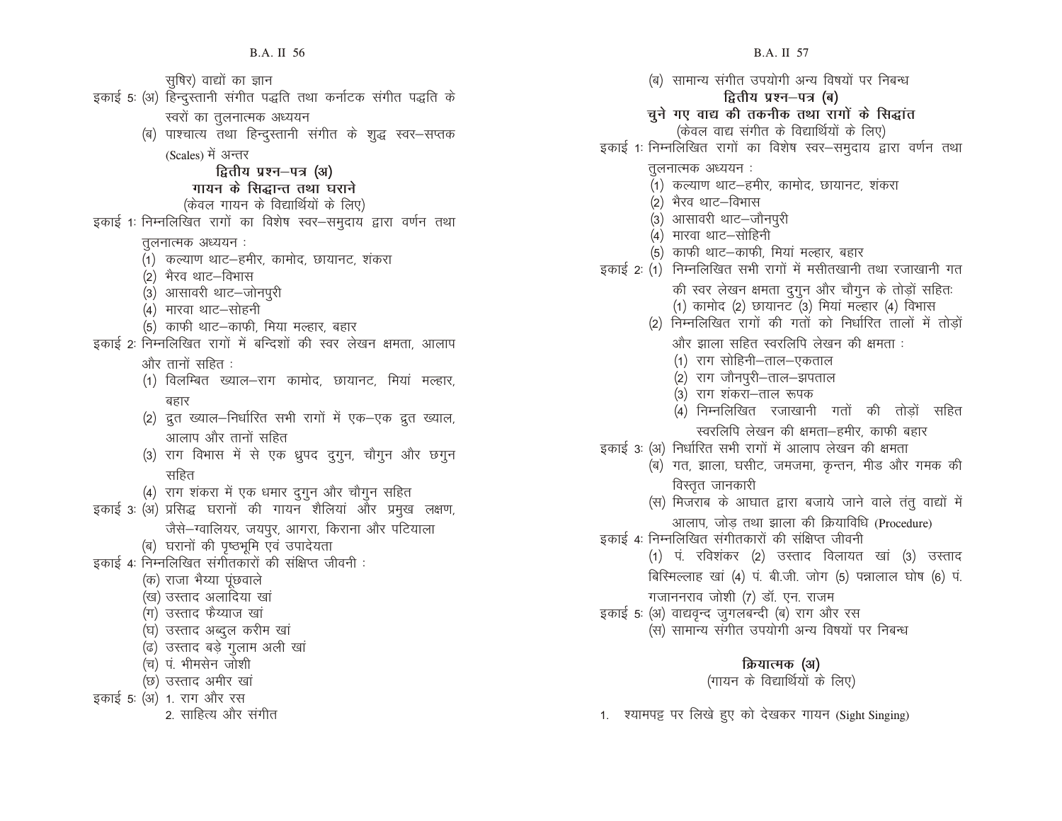सुषिर) वाद्यों का ज्ञान इकाई 5: (अ) हिन्दुस्तानी संगीत पद्धति तथा कर्नाटक संगीत पद्धति के स्वरों का तूलनात्मक अध्ययन (ब) पाश्चात्य तथा हिन्दुस्तानी संगीत के शुद्ध स्वर–सप्तक (Scales) में अन्तर *द्वितीय प्रश्न–पत्र (अ) x* गायन के सिद्धान्त तथा घराने (केवल गायन के विद्यार्थियों के लिए) इकाई 1: निम्नलिखित रागों का विशेष स्वर–समुदाय द्वारा वर्णन तथा तूलनात्मक अध्ययन : (1) कल्याण थाट-हमीर, कामोद, छायानट, शंकरा (2) भैरव थाट–विभास (3) आसावरी थाट-जोनपुरी (4) मारवा थाट–सोहनी (5) काफी थाट-काफी, मिया मल्हार, बहार इकाई 2: निम्नलिखित रागों में बन्दिशों की स्वर लेखन क्षमता, आलाप और तानों सहित : (1) विलम्बित ख्याल-राग कामोद, छायानट, मियां मल्हार, बहार (2) द्रुत ख्याल–निर्धारित सभी रागों में एक–एक द्रुत ख्याल, आलाप और तानों सहित (3) राग विभास में से एक ध्रुपद दुगुन, चौगुन और छगुन सहित (4) राग शंकरा में एक धमार दुगुन और चौगुन सहित इकाई 3: (अ) प्रसिद्ध घरानों की गायन शैलियां और प्रमुख लक्षण, जैसे-ग्वालियर, जयपूर, आगरा, किराना और पटियाला (ब) घरानों की पृष्ठभूमि एवं उपादेयता इकाई 4: निम्नलिखित संगीतकारों की संक्षिप्त जीवनी : (क) राजा भैय्या पूंछवाले (ख) उस्ताद अलादिया खां (ग) उस्ताद फैय्याज खां (घ) उस्ताद अब्दुल करीम खां (ढ) उस्ताद बड़े गुलाम अली खां (च) पं. भीमसेन जोशी (छ) उस्ताद अमीर खां इकाई 5: (अ) 1. राग और रस 2. साहित्य और संगीत

(ब) सामान्य संगीत उपयोगी अन्य विषयों पर निबन्ध **द्वितीय प्रश्न–पत्र (ब)** चुने गए वाद्य की तकनीक तथा रागों के सिद्धांत (केवल वाद्य संगीत के विद्यार्थियों के लिए) इकाई 1: निम्नलिखित रागों का विशेष स्वर–समुदाय द्वारा वर्णन तथा तुलनात्मक अध्ययन: (1) कल्याण थाट–हमीर, कामोद, छायानट, शंकरा (2) भैरव थाट–विभास (3) आसावरी थाट-जौनपुरी (4) मारवा थाट-सोहिनी (5) काफी थाट-काफी, मियां मल्हार, बहार इकाई 2: (1) निम्नलिखित सभी रागों में मसीतखानी तथा रजाखानी गत की स्वर लेखन क्षमता दुगुन और चौगुन के तोड़ों सहितः  $(1)$  कामोद  $(2)$  छायानट  $(3)$  मियां मल्हार  $(4)$  विभास (2) निम्नलिखित रागों की गतों को निर्धारित तालों में तोड़ों और झाला सहित स्वरलिपि लेखन की क्षमता : (1) राग सोहिनी–ताल–एकताल (2) राग जौनपुरी-ताल-झपताल (3) राग शंकरा–ताल रूपक (4) निम्नलिखित रजाखानी गतों की तोड़ों सहित स्वरलिपि लेखन की क्षमता-हमीर, काफी बहार इकाई 3: (अ) निर्धारित सभी रागों में आलाप लेखन की क्षमता (ब) गत, झाला, घसीट, जमजमा, कृन्तन, मीड और गमक की विस्तुत जानकारी (स) मिजराब के आघात द्वारा बजाये जाने वाले तंतू वाद्यों में आलाप, जोड तथा झाला की क्रियाविधि (Procedure) इकाई 4: निम्नलिखित संगीतकारों की संक्षिप्त जीवनी (1) प. रविशंकर (2) उस्ताद विलायत खां (3) उस्ताद बिरिमल्लाह खां (4) पं. बी.जी. जोग (5) पन्नालाल घोष (6) पं. गजाननराव जोशी (7) डॉ. एन. राजम इकाई 5: (अ) वाद्यवृन्द जुगलबन्दी (ब) राग और रस (स) सामान्य संगीत उपयोगी अन्य विषयों पर निबन्ध **क्रियात्मक (अ)** 

(गायन के विद्यार्थियों के लिए)

1. श्यामपट्ट पर लिखे हुए को देखकर गायन (Sight Singing)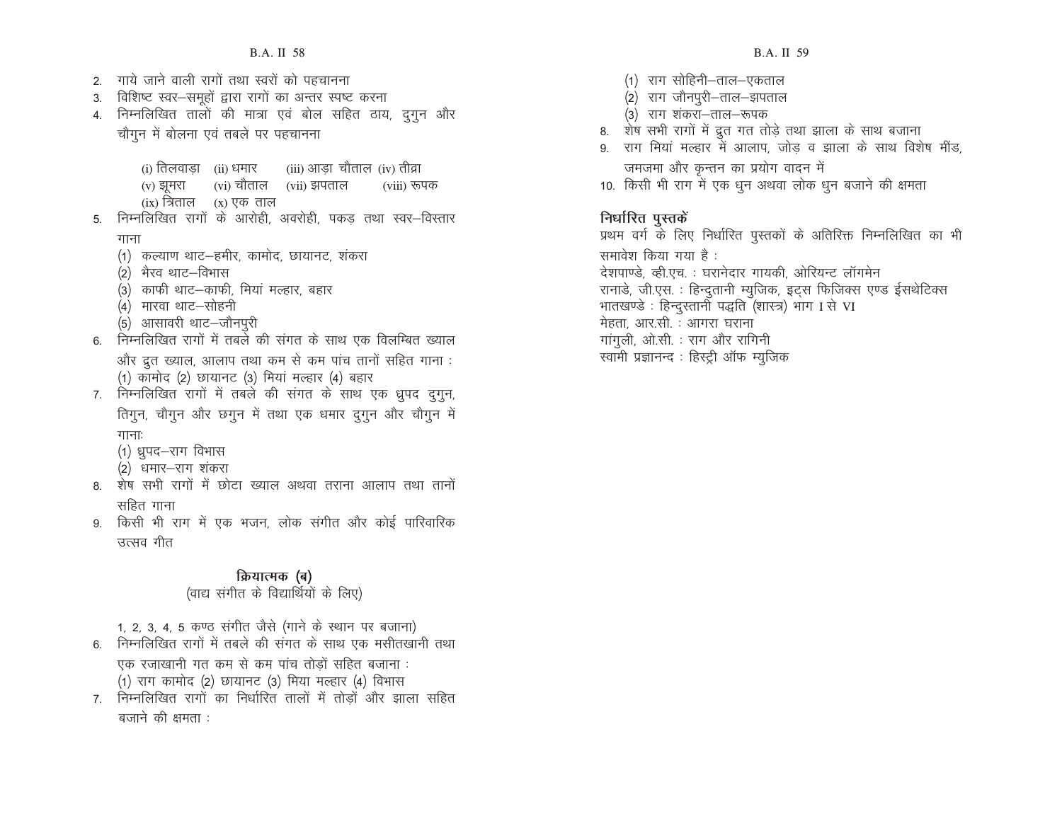- 2. गाये जाने वाली रागों तथा स्वरों को पहचानना 3. विशिष्ट स्वर-समूहों द्वारा रागों का अन्तर स्पष्ट करना 4. निम्नलिखित तालों की मात्रा एवं बोल सहित ठाय, दुगुन और चौगून में बोलना एवं तबले पर पहचानना (i) तिलवाड़ा (ii) धमार (iii) आड़ा चौताल (iv) तीव्रा (v) झूमरा  $\qquad$  (vi) चौताल  $\qquad$  (vii) झपताल  $\qquad$  (viii) रूपक
- $(ix)$  त्रिताल  $(x)$  एक ताल 5. निम्नलिखित रागों के आरोही, अवरोही, पकड तथा स्वर–विस्तार
	- गाना
	- (1) कल्याण थाट-हमीर, कामोद, छायानट, शंकरा
	- (2) भैरव थाट–विभास
	- (3) काफी थाट-काफी, मियां मल्हार, बहार
	- (4) मारवा थाट—सोहनी
	- (5) आसावरी थाट-जौनपूरी
- 6. निम्नलिखित रागों में तबले की संगत के साथ एक विलम्बित ख्याल और द्रत ख्याल, आलाप तथा कम से कम पांच तानों सहित गाना :  $(1)$  कामोद  $(2)$  छायानट  $(3)$  मियां मल्हार  $(4)$  बहार
- 7. निम्नलिखित रागों में तबले की संगत के साथ एक ध्रुपद दुगुन, तिगुन, चौगुन और छगुन में तथा एक धमार दुगुन और चौगुन में  $\Pi$  $\Pi$ :
	- (1) ध्रुपद-राग विभास
	- (2) धमार—राग शंकरा
- 8. शेष सभी रागों में छोटा ख्याल अथवा तराना आलाप तथा तानों सहित गाना
- 9. किसी भी राग में एक भजन, लोक संगीत और कोई पारिवारिक उत्सव गीत

#### **क्रियात्मक (ब)**

#### (वाद्य संगीत के विद्यार्थियों के लिए)

1, 2, 3, 4, 5 कण्ठ संगीत जैसे (गाने के स्थान पर बजाना)

- 6. निम्नलिखित रागों में तबले की संगत के साथ एक मसीतखानी तथा
	- एक रजाखानी गत कम से कम पांच तोड़ों सहित बजाना :  $(1)$  राग कामोद  $(2)$  छायानट  $(3)$  मिया मल्हार  $(4)$  विभास
- 7. निम्नलिखित रागों का निर्धारित तालों में तोड़ों और झाला सहित बजाने की क्षमता :
- (1) राग सोहिनी–ताल–एकताल
- (2) राग जौनपुरी-ताल-झपताल
- (3) राग शंकरा–ताल–रूपक
- 8. शेष सभी रागों में द्रुत गत तोड़े तथा झाला के साथ बजाना
- 9. राग मियां मल्हार में आलाप, जोड़ व झाला के साथ विशेष मींड, जमजमा और कुन्तन का प्रयोग वादन में
- 10. किसी भी राग में एक धुन अथवा लोक धुन बजाने की क्षमता

# **faufred defining**

प्रथम वर्ग के लिए निर्धारित पुस्तकों के अतिरिक्त निम्नलिखित का भी समावेश किया गया है : देशपाण्डे, व्ही.एच. : घरानेदार गायकी, ओरियन्ट लॉगमेन रानाडे, जी.एस. : हिन्दुतानी म्युजिक, इट्स फिजिक्स एण्ड ईसथेटिक्स भातखण्डे : हिन्दुस्तानी पद्धति (शास्त्र) भाग I से VI मेहता, आर.सी. : आगरा घराना गांगली, ओ.सी. : राग और रागिनी स्वामी प्रज्ञानन्द : हिस्ट्री ऑफ म्यूजिक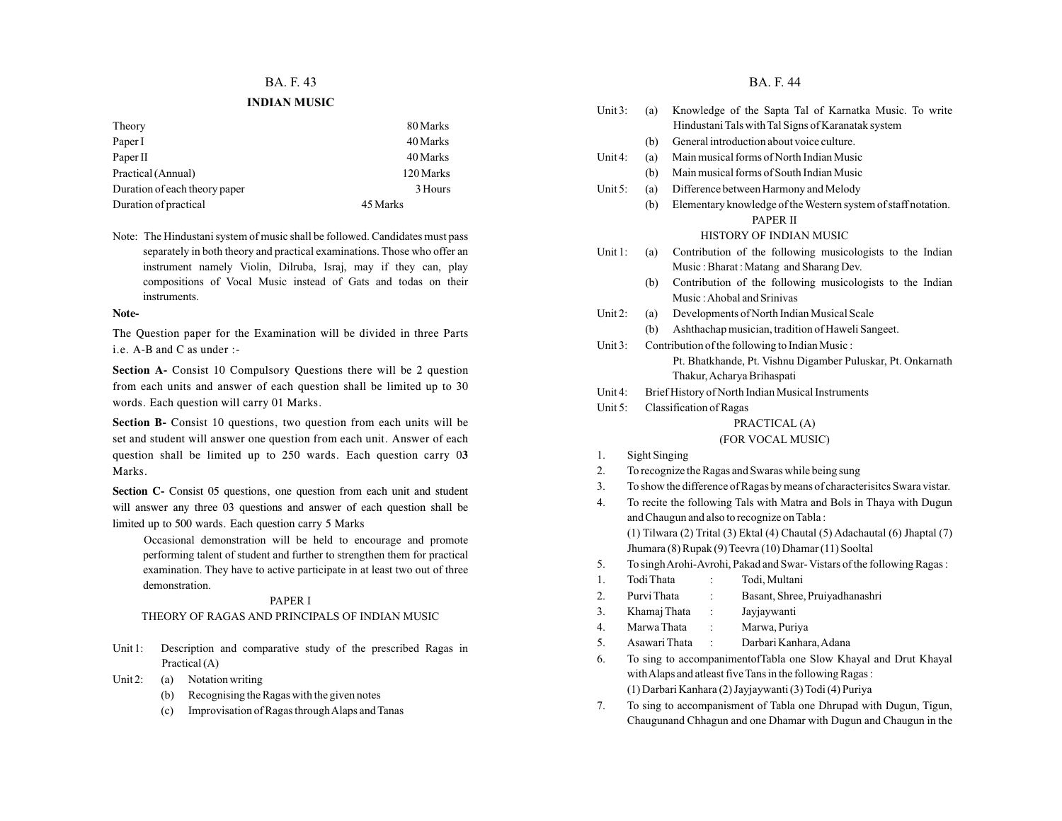#### **BA. F. 43 BA. F. 44**

#### **INDIAN MUSIC**

| Theory                        | 80 Marks  |
|-------------------------------|-----------|
| Paper I                       | 40 Marks  |
| Paper II                      | 40 Marks  |
| Practical (Annual)            | 120 Marks |
| Duration of each theory paper | 3 Hours   |
| Duration of practical         | 45 Marks  |

Note: The Hindustani system of music shall be followed. Candidates must pass separately in both theory and practical examinations. Those who offer an instrument namely Violin, Dilruba, Israj, may if they can, play compositions of Vocal Music instead of Gats and todas on their instruments.

#### **Note-**

The Question paper for the Examination will be divided in three Parts i.e. A-B and C as under :-

**Section A-** Consist 10 Compulsory Questions there will be 2 question from each units and answer of each question shall be limited up to 30 words. Each question will carry 01 Marks.

Section B- Consist 10 questions, two question from each units will be set and student will answer one question from each unit. Answer of each question shall be limited up to 250 wards. Each question carry 0**3** Marks.

**Section C-** Consist 05 questions, one question from each unit and student will answer any three 03 questions and answer of each question shall be limited up to 500 wards. Each question carry 5 Marks

Occasional demonstration will be held to encourage and promote performing talent of student and further to strengthen them for practical examination. They have to active participate in at least two out of three demonstration.

#### PAPER I

#### THEORY OF RAGAS AND PRINCIPALS OF INDIAN MUSIC

- Unit 1: Description and comparative study of the prescribed Ragas in Practical (A)
- Unit 2: (a) Notation writing
	- (b) Recognising the Ragas with the given notes
	- (c) Improvisation of Ragas through Alaps and Tanas

| Unit $3:$                                                                   | Knowledge of the Sapta Tal of Karnatka Music. To write<br>(a)             |                                                               |  |  |
|-----------------------------------------------------------------------------|---------------------------------------------------------------------------|---------------------------------------------------------------|--|--|
|                                                                             | Hindustani Tals with Tal Signs of Karanatak system                        |                                                               |  |  |
|                                                                             | (b)                                                                       | General introduction about voice culture.                     |  |  |
| Unit <sub>4</sub> :                                                         | (a)                                                                       | Main musical forms of North Indian Music                      |  |  |
|                                                                             | (b)                                                                       | Main musical forms of South Indian Music                      |  |  |
| Unit $5:$                                                                   | (a)                                                                       | Difference between Harmony and Melody                         |  |  |
|                                                                             | (b)                                                                       | Elementary knowledge of the Western system of staff notation. |  |  |
|                                                                             |                                                                           | PAPER II                                                      |  |  |
|                                                                             |                                                                           | HISTORY OF INDIAN MUSIC                                       |  |  |
| Unit 1:                                                                     | (a)                                                                       | Contribution of the following musicologists to the Indian     |  |  |
|                                                                             |                                                                           | Music: Bharat: Matang and Sharang Dev.                        |  |  |
|                                                                             | (b)                                                                       | Contribution of the following musicologists to the Indian     |  |  |
|                                                                             |                                                                           | Music: Ahobal and Srinivas                                    |  |  |
| Unit 2:                                                                     | (a)                                                                       | Developments of North Indian Musical Scale                    |  |  |
|                                                                             | (b)                                                                       | Ashthachap musician, tradition of Haweli Sangeet.             |  |  |
| Unit $3$ :                                                                  |                                                                           | Contribution of the following to Indian Music:                |  |  |
|                                                                             |                                                                           | Pt. Bhatkhande, Pt. Vishnu Digamber Puluskar, Pt. Onkarnath   |  |  |
|                                                                             |                                                                           | Thakur, Acharya Brihaspati                                    |  |  |
| Unit $4$ :                                                                  |                                                                           | Brief History of North Indian Musical Instruments             |  |  |
| Unit 5:                                                                     |                                                                           | Classification of Ragas                                       |  |  |
|                                                                             |                                                                           | PRACTICAL (A)                                                 |  |  |
|                                                                             |                                                                           | (FOR VOCAL MUSIC)                                             |  |  |
| 1.                                                                          | Sight Singing                                                             |                                                               |  |  |
| 2.                                                                          |                                                                           | To recognize the Ragas and Swaras while being sung            |  |  |
| 3.                                                                          | To show the difference of Ragas by means of characterisites Swara vistar. |                                                               |  |  |
| 4.                                                                          | To recite the following Tals with Matra and Bols in Thaya with Dugun      |                                                               |  |  |
| and Chaugun and also to recognize on Tabla:                                 |                                                                           |                                                               |  |  |
| (1) Tilwara (2) Trital (3) Ektal (4) Chautal (5) Adachautal (6) Jhaptal (7) |                                                                           |                                                               |  |  |
| Jhumara (8) Rupak (9) Teevra (10) Dhamar (11) Sooltal                       |                                                                           |                                                               |  |  |
| 5.                                                                          | To singh Arohi-Avrohi, Pakad and Swar-Vistars of the following Ragas:     |                                                               |  |  |
| 1.                                                                          | Todi Thata                                                                | Todi, Multani                                                 |  |  |
| 2.                                                                          | Purvi Thata<br>Basant, Shree, Pruiyadhanashri                             |                                                               |  |  |
| 3.                                                                          | Khamaj Thata                                                              | Jayjaywanti<br>:                                              |  |  |

- 4. Marwa Thata : Marwa, Puriya 5. Asawari Thata : Darbari Kanhara, Adana
- 
- 6. To sing to accompanimentofTabla one Slow Khayal and Drut Khayal with Alaps and atleast five Tans in the following Ragas : (1) Darbari Kanhara (2) Jayjaywanti (3) Todi (4) Puriya
- 7. To sing to accompanisment of Tabla one Dhrupad with Dugun, Tigun, Chaugunand Chhagun and one Dhamar with Dugun and Chaugun in the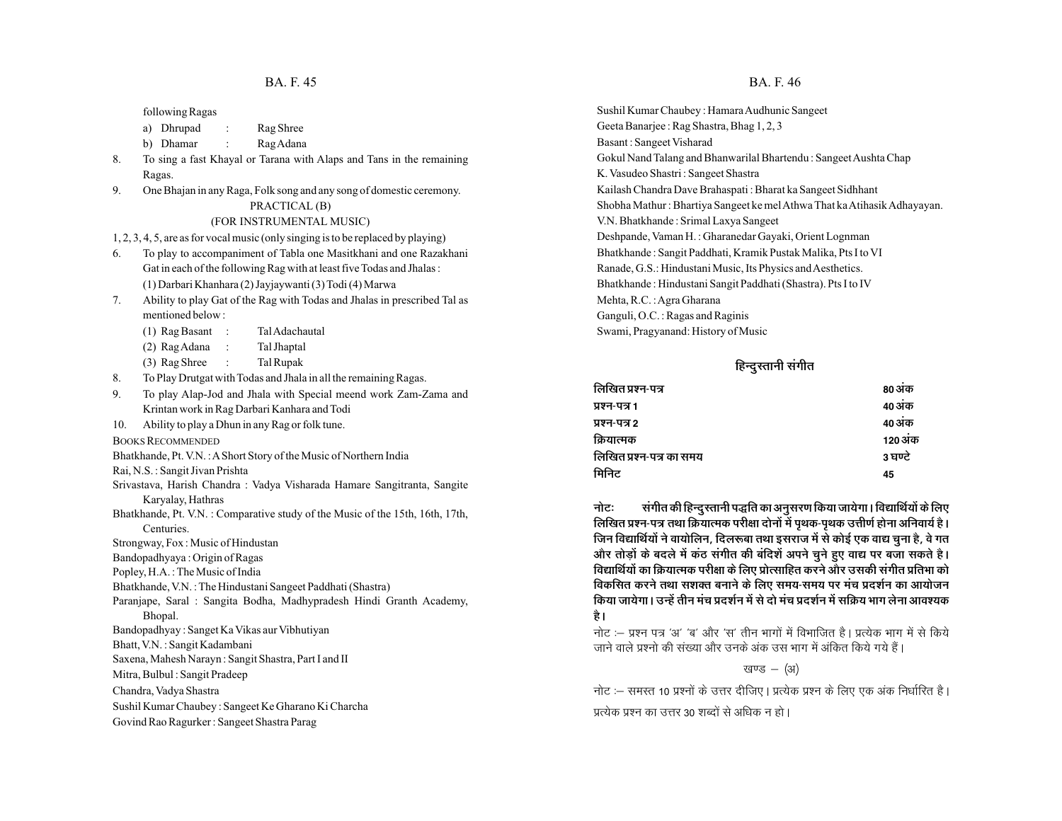following Ragas

- a) Dhrupad : Rag Shree
- b) Dhamar : Rag Adana
- 8. To sing a fast Khayal or Tarana with Alaps and Tans in the remaining Ragas.
- 9. One Bhajan in any Raga, Folk song and any song of domestic ceremony.
	- PRACTICAL (B)

#### (FOR INSTRUMENTAL MUSIC)

1, 2, 3, 4, 5, are as for vocal music (only singing is to be replaced by playing)

- 6. To play to accompaniment of Tabla one Masitkhani and one Razakhani Gat in each of the following Rag with at least five Todas and Jhalas : (1) Darbari Khanhara (2) Jayjaywanti (3) Todi (4) Marwa
- 7. Ability to play Gat of the Rag with Todas and Jhalas in prescribed Tal as mentioned below :
	- (1) Rag Basant : Tal Adachautal
	- (2) Rag Adana : Tal Jhaptal
	- (3) Rag Shree : Tal Rupak
- 8. To Play Drutgat with Todas and Jhala in all the remaining Ragas.
- 9. To play Alap-Jod and Jhala with Special meend work Zam-Zama and Krintan work in Rag Darbari Kanhara and Todi
- 10. Ability to play a Dhun in any Rag or folk tune.
- BOOKS RECOMMENDED
- Bhatkhande, Pt. V.N. : AShort Story of the Music of Northern India
- Rai, N.S. : Sangit Jivan Prishta
- Srivastava, Harish Chandra : Vadya Visharada Hamare Sangitranta, Sangite Karyalay, Hathras
- Bhatkhande, Pt. V.N. : Comparative study of the Music of the 15th, 16th, 17th, Centuries.
- Strongway, Fox : Music of Hindustan
- Bandopadhyaya : Origin of Ragas
- Popley, H.A. : The Music of India
- Bhatkhande, V.N. : The Hindustani Sangeet Paddhati (Shastra)
- Paranjape, Saral : Sangita Bodha, Madhypradesh Hindi Granth Academy, Bhopal.
- Bandopadhyay : Sanget Ka Vikas aur Vibhutiyan
- Bhatt, V.N. : Sangit Kadambani
- Saxena, Mahesh Narayn : Sangit Shastra, Part I and II
- Mitra, Bulbul : Sangit Pradeep
- Chandra, Vadya Shastra
- Sushil Kumar Chaubey : Sangeet Ke Gharano Ki Charcha
- Govind Rao Ragurker : Sangeet Shastra Parag

#### **BA. F. 45** BA. F. 46

Sushil Kumar Chaubey : Hamara Audhunic Sangeet Geeta Banarjee : Rag Shastra, Bhag 1, 2, 3 Basant : Sangeet Visharad Gokul Nand Talang and Bhanwarilal Bhartendu : Sangeet Aushta Chap K. Vasudeo Shastri : Sangeet Shastra Kailash Chandra Dave Brahaspati : Bharat ka Sangeet Sidhhant Shobha Mathur : Bhartiya Sangeet ke mel Athwa That ka Atihasik Adhayayan. V.N. Bhatkhande : Srimal Laxya Sangeet Deshpande, Vaman H. : Gharanedar Gayaki, Orient Lognman Bhatkhande : Sangit Paddhati, Kramik Pustak Malika, Pts I to VI Ranade, G.S.: Hindustani Music, Its Physics and Aesthetics. Bhatkhande : Hindustani Sangit Paddhati (Shastra). Pts I to IV Mehta, R.C. : Agra Gharana Ganguli, O.C. : Ragas and Raginis Swami, Pragyanand: History of Music

#### हिन्दुस्तानी संगीत

| लिखित प्रश्न-पत्र        | 80 अक   |
|--------------------------|---------|
| प्रश्न-पत्र 1            | 40 अंक  |
| प्रश्न-पत्र 2            | 40 अक   |
| क्रियात्मक               | 120 अक  |
| लिखित प्रश्न-पत्र का समय | 3 घण्टे |
| मिनिट                    | 45      |
|                          |         |

नोटः संगीत की हिन्दुस्तानी पद्धति का अनुसरण किया जायेगा। विद्यार्थियों के लिए <u>लिखित प्रश्न-पत्र तथा क्रियात्मक परीक्षा दोनों में पृथक-पृथक उत्तीर्ण होना अनिवार्य है।</u> <u>जिन विद्यार्थियों ने वायोलिन, दिलरूबा तथा इसराज में से कोई एक वाद्य चना है, वे गत</u> <u>और तोड़ों के बदले में कंठ संगीत की बंदिशें अपने चुने हुए वाद्य पर बजा सकते है।</u> <u>विद्यार्थियों का क्रियात्मक परीक्षा के लिए प्रोत्साहित करने और उसकी संगीत प्रतिभा को</u> **विकसित करने तथा सशक्त बनाने के लिए समय-समय पर मंच प्रदर्शन का आयोजन** किया जायेगा। उन्हें तीन मंच प्रदर्शन में से दो मंच प्रदर्शन में सक्रिय भाग लेना आवश्यक है।

नोट :– प्रश्न पत्र 'अ' 'ब' और 'स' तीन भागों में विभाजित है। प्रत्येक भाग में से किये जाने वाले प्रश्नो की संख्या और उनके अंक उस भाग में अंकित किये गये हैं।

खण्ड  $-$  (अ)

नोट :– समस्त 10 प्रश्नों के उत्तर दीजिए | प्रत्येक प्रश्न के लिए एक अंक निर्धारित है |

प्रत्येक प्रश्न का उत्तर 30 शब्दों से अधिक न हो।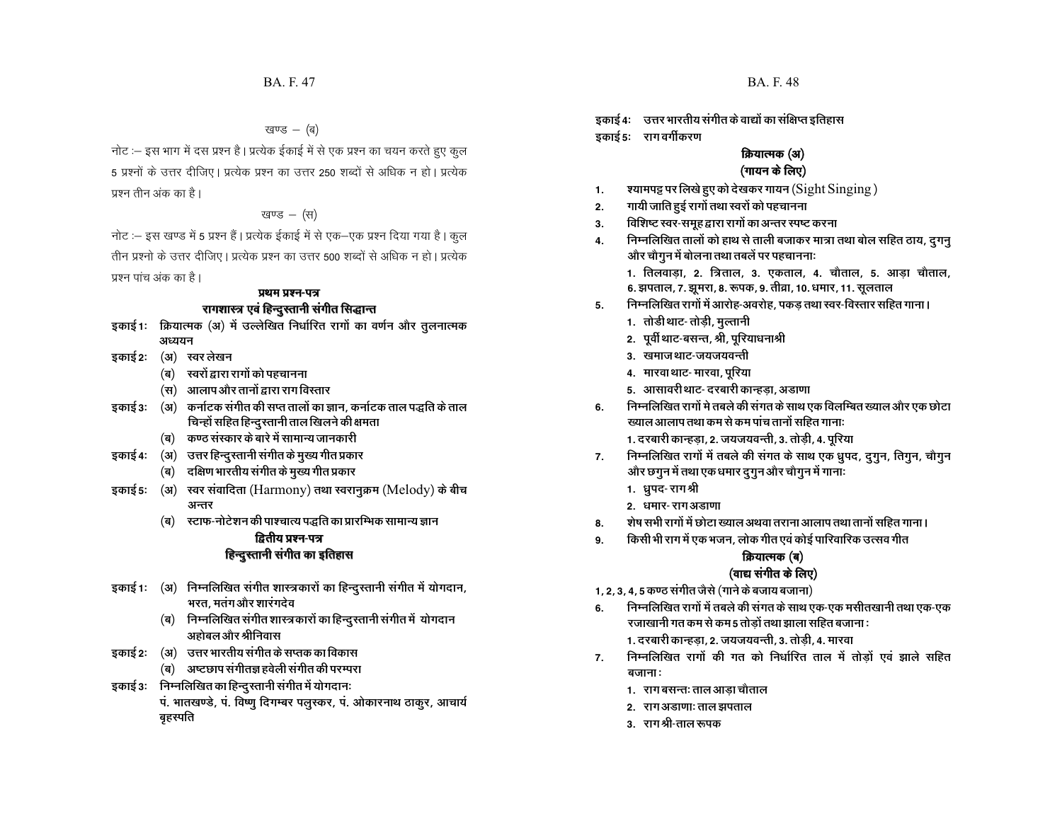नोट :– इस भाग में दस प्रश्न है | प्रत्येक ईकाई में से एक प्रश्न का चयन करते हुए कुल 5 प्रश्नों के उत्तर दीजिए। प्रत्येक प्रश्न का उत्तर 250 शब्दों से अधिक न हो। प्रत्येक प्रश्न तीन अंक का है।

खण्ड – (स)

नोट :– इस खण्ड में 5 प्रश्न हैं | प्रत्येक ईकाई में से एक–एक प्रश्न दिया गया है | कुल तीन प्रश्नो के उत्तर दीजिए। प्रत्येक प्रश्न का उत्तर 500 शब्दों से अधिक न हो। प्रत्येक प्रश्न पांच अंक का है।

#### **प्रथम प्रश्न-पत्र** <u>रागशास्त्र एवं हिन्दु</u>स्तानी संगीत सिद्धान्त

- इकाई 1: क्रियात्मक (अ) में उल्लेखित निर्धारित रागों का वर्णन और तुलनात्मक *<u>3182121</u>*
- इकाई 2: (अ) स्वर लेखन
	- (ब) स्वरों द्वारा रागों को पहचानना
	- $\mathbf{u}(\mathbf{w})$  आलाप और तानों द्वारा राग विस्तार
- <u>इकाई 3: (अ) कर्नाटक संगीत की सप्त तालों का ज्ञान, कर्नाटक ताल पद्धति के ताल</u> <u>चिन्हों सहित हिन्दु</u>स्तानी ताल खिलने की क्षमता
	- <u>(ब) कण्ठ संस्कार के बारे में सामान्य जानकारी</u>
- **इकाई 4:** (अ) उत्तर हिन्दुस्तानी संगीत के मुख्य गीत प्रकार
	- (ब) दक्षिण भारतीय संगीत के मुख्य गीत प्रकार
- इकाई 5: (अ) स्वर संवादिता (Harmony) तथा स्वरानुक्रम (Melody) के बीच अन्तर
	- <u>(ब) स्टाफ-नोटेशन की पाश्चात्य पद्धति का प्रारम्भिक सामान्य ज्ञान</u>

#### *द्वितीय प्रश्न-पत्र* **हिन्दुस्तानी संगीत का इतिहास**

- **इकाई 1: (अ) निम्नलिखित संगीत शास्त्रकारों का हिन्दुस्तानी संगीत में योगदान,** <u>भरत, मतंग और शारंगदेव</u>
	- (ब) **निम्नलिखित संगीत शास्त्रकारों का हिन्दु**स्तानी संगीत में योगदान अहोबल और श्रीनिवास
- इकाई 2: (अ) उत्तर भारतीय संगीत के सप्तक का विकास
	- <u>(ब)</u> अष्टछाप संगीतज्ञ हवेली संगीत की परम्परा
- इकाई 3: निम्नलिखित का हिन्दु**रतानी संगीत में योगदान**: पं. भातखण्डे, पं. विष्णु दिगम्बर पलुस्कर, पं. ओकारनाथ ठाकुर, आचार्य बृहस्पति

इकाई 4: उत्तर भारतीय संगीत के वाद्यों का संक्षिप्त इतिहास **डकाई** 5: राग वर्गीकरण

#### **क्रियात्मक (अ)** (गायन के लिए)

- **1- ';keiê ij fy[ks gq, dks ns[kdj xk;u ¼**Sight Singing **½**
- 2. **गायी जाति हुई रागों तथा स्वरों को पहचा**नना
- 3. विशिष्ट स्वर-समूह द्वारा रागों का अन्तर स्पष्ट करना
- <u>4. निम्नलिखित तालों को हाथ से ताली बजाकर मात्रा तथा बोल सहित ठाय, दूगनू</u> <u>और चौगुन में बोलना तथा तबलें पर पहचाननाः</u>
	- 1. तिलवाडा, 2. त्रिताल, 3. एकताल, 4. चौताल, 5. आडा चौताल, 6. झपताल, 7. झूमरा, 8. रूपक, 9. तीव्रा, 10. धमार, 11. सूलताल
- 5. **निम्नलिखित रागों में आरोह-अवरोह, पकड़ तथा** स्वर-विस्तार सहित गाना।
	- 1. तोडी थाट- तोड़ी, मुल्तानी
	- 2. पूर्वी थाट-बसन्त, श्री, पूरियाधनाश्री
	- 3. खमाजथाट-जयजयवन्ती
	- **4. मारवा** थाट- मारवा, पुरिया
	- 5. आसावरी थाट- दरबारी कान्हड़ा, अडाणा
- 6. निम्नलिखित रागों मे तबले की संगत के साथ एक विलम्बित ख्याल और एक छोटा <u>ख्याल आलाप तथा कम से कम पांच तानों सहित गानाः</u>
	- 1. दरबारी कान्हड़ा, 2. जयजयवन्ती, 3. तोड़ी, 4. पूरिया
- 7. निम्नलिखित रागों में तबले की संगत के साथ एक ध्रुपद, <u>दुगु</u>न, तिगुन, चौगुन <u>और छगु</u>न में तथा एक धमार दुगुन और चौगुन में गानाः
	- 1. धुपद-रागश्री
	- 2. धमार- राग अडाणा
- **8. शेष सभी रागों में छोटा ख्याल अथवा** तराना आलाप तथा तानों सहित गाना ।
- 9. किसी भी राग में एक भजन, लोक गीत एवं कोई पारिवारिक उत्सव गीत

#### **क्रियात्मक (ब)**

#### (वाद्य संगीत के लिए)

- 1, 2, 3, 4, 5 कण्ठ संगीत जैसे (गाने के बजाय बजाना)
- 6. **निम्नलिखित रागों में तबले की संगत के साथ** एक-एक मसीतखानी तथा एक-एक <u>रजाखानी गत कम से कम 5 तोडों तथा झाला सहित बजाना :</u>
	- 1. दरबारी कान्हड़ा, 2. जयजयवन्ती, 3. तोड़ी, 4. मारवा
- 7. निम्नलिखित रागों की गत को निर्धारित ताल में तोडों एवं झाले सहित <u>बजानाः</u>
	- 1. राग बसन्तः ताल आड़ा चौताल
	- **2. रागअडाणाः ताल झपताल**
	- 3. राग*श्री-*ताल रूपक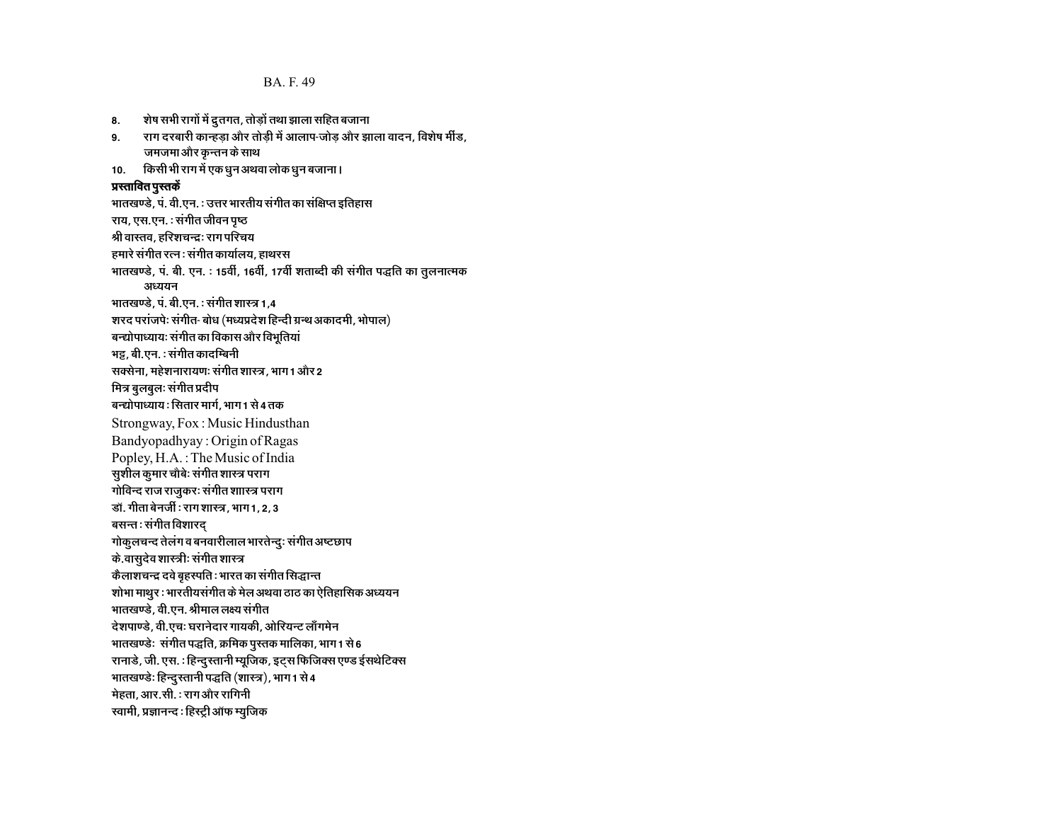BA. F. 49

8. शेष सभी रागों में द्रुतगत, तोड़ों तथा झाला सहित बजाना

9. राग दरबारी कान्हडा और तोडी में आलाप-जोड और झाला वादन, विशेष मींड, जमजमा और कृन्तन के साथ 10. किसी भी राग में एक धुन अथवा लोक धुन बजाना। **u**स्तावित पुस्तकें भातखण्डे, पं. वी.एन. : उत्तर भारतीय संगीत का संक्षिप्त इतिहास राय, एस.एन. : संगीत जीवन पृष्ठ श्री वास्तव, हरिशचन्द्रः राग परिचय हमारे संगीत रत्न : संगीत कार्यालय, हाथ**रस** भातखण्डे, पं. बी. एन. : 15वीं, 16वीं, 17वीं शताब्दी की संगीत पद्धति का तुलनात्मक अध्ययन भातखण्डे, पं. बी.एन. : संगीत शास्त्र 1,4 ेशरद परांजपेः संगीत- बोध (मध्यप्रदेश हिन्दी ग्रन्थ अकादमी, भोपाल) बन्द्योपाध्यायः संगीत का विकास और विभूतियां **भट्ट, बी.एन. : संगीत कादम्बिनी** <u>सक्सेना, महेशनारायणः संगीत शास्त्र, भाग 1 और 2</u> मित्र बुलबुलः संगीत प्रदी**प** बन्द्योपाध्याय : सितार मार्ग, भाग 1 से 4 तक Strongway, Fox : Music Hindusthan Bandyopadhyay : Origin of Ragas Popley, H.A. : The Music of India **सुशील कुमार चौबेः संगीत शास्त्र परा**ग <u>गोविन्द राज राजुकरः संगीत शाास्त्र पराग</u> <u> डॉ. गीता बेनर्जी : राग शास्त्र, भाग 1, 2, 3</u> बसन्तः संगीत विशार**द** <u>गोकु</u>लचन्द तेलंग व बनवारीलाल भारतेन्दुः संगीत अष्टछाप <u>के.वासु</u>देव शास्त्रीः संगीत शास्त्र *कैलाशचन्द्र द*वे बृहस्पति : भारत का संगीत सिद्धान्त शोभा माथुर : भारतीयसंगीत के मेल अथवा ठाठ का ऐतिहासिक अध्ययन भातखण्डे, वी.एन. श्रीमाल लक्ष्य संगीत **देशपाण्डे, वी.एचः घरानेदार गायकी, ओरियन्ट** लॉंगमेन भातखण्डेः संगीत पद्धति, क्रमिक पु**रतक मालिका, भाग 1 से** 6 रानाडे, जी. एस. : हिन्दुस्तानी म्यूजिक, इट्स फिजिक्स एण्ड ईसथेटिक्स भातखण्डेः हिन्दु**रतानी पद्धति (शास्त्र), भाग** 1 से 4 **मेहता, आर.सी.: राग और रागिनी स्वामी, प्रज्ञानन्द : हिस्ट्री ऑफ म्युजिक**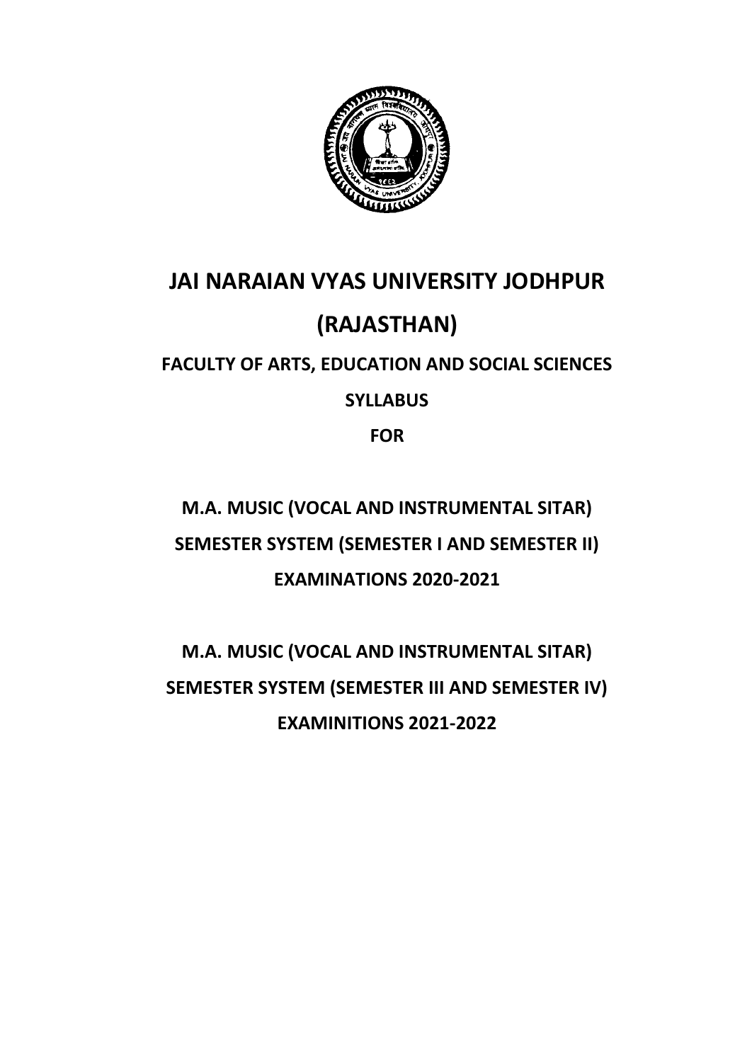

# **JAI NARAIAN VYAS UNIVERSITY JODHPUR (RAJASTHAN)**

# **FACULTY OF ARTS, EDUCATION AND SOCIAL SCIENCES**

# **SYLLABUS**

**FOR** 

# **M.A. MUSIC (VOCAL AND INSTRUMENTAL SITAR) SEMESTER SYSTEM (SEMESTER I AND SEMESTER II) EXAMINATIONS 2020-2021**

# **M.A. MUSIC (VOCAL AND INSTRUMENTAL SITAR) SEMESTER SYSTEM (SEMESTER III AND SEMESTER IV) EXAMINITIONS 2021-2022**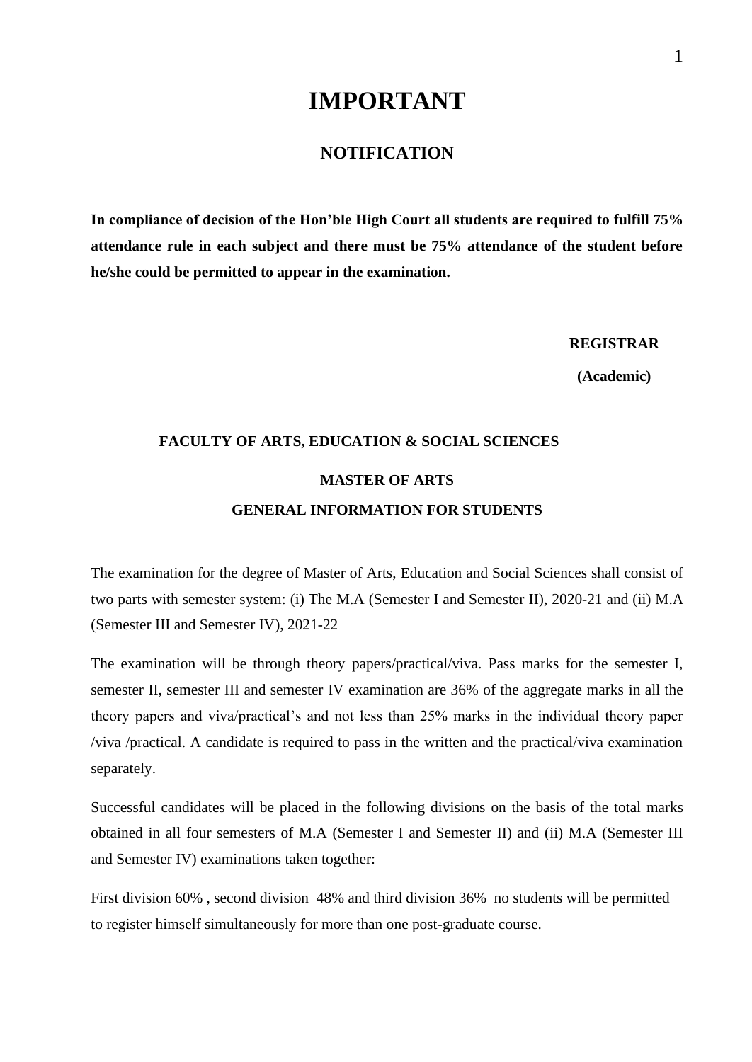# **IMPORTANT**

# **NOTIFICATION**

**In compliance of decision of the Hon'ble High Court all students are required to fulfill 75% attendance rule in each subject and there must be 75% attendance of the student before he/she could be permitted to appear in the examination.**

**REGISTRAR**

**(Academic)**

# **FACULTY OF ARTS, EDUCATION & SOCIAL SCIENCES MASTER OF ARTS GENERAL INFORMATION FOR STUDENTS**

The examination for the degree of Master of Arts, Education and Social Sciences shall consist of two parts with semester system: (i) The M.A (Semester I and Semester II), 2020-21 and (ii) M.A (Semester III and Semester IV), 2021-22

The examination will be through theory papers/practical/viva. Pass marks for the semester I, semester II, semester III and semester IV examination are 36% of the aggregate marks in all the theory papers and viva/practical's and not less than 25% marks in the individual theory paper /viva /practical. A candidate is required to pass in the written and the practical/viva examination separately.

Successful candidates will be placed in the following divisions on the basis of the total marks obtained in all four semesters of M.A (Semester I and Semester II) and (ii) M.A (Semester III and Semester IV) examinations taken together:

First division 60% , second division 48% and third division 36% no students will be permitted to register himself simultaneously for more than one post-graduate course.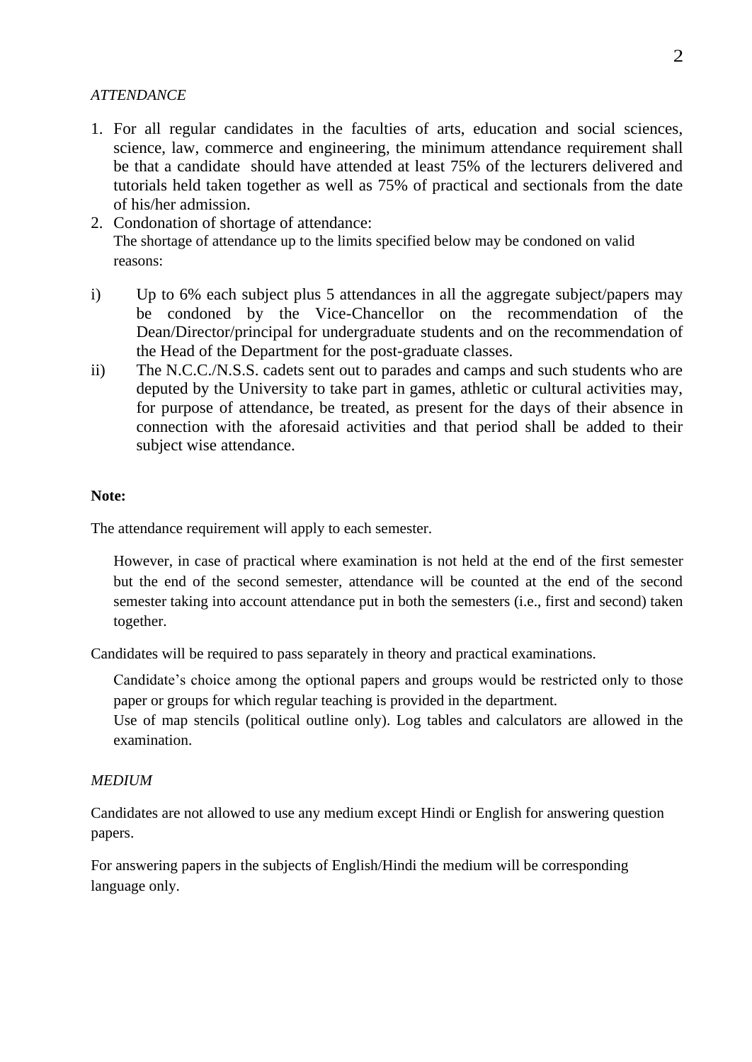#### *ATTENDANCE*

- 1. For all regular candidates in the faculties of arts, education and social sciences, science, law, commerce and engineering, the minimum attendance requirement shall be that a candidate should have attended at least 75% of the lecturers delivered and tutorials held taken together as well as 75% of practical and sectionals from the date of his/her admission.
- 2. Condonation of shortage of attendance: The shortage of attendance up to the limits specified below may be condoned on valid reasons:
- i) Up to 6% each subject plus 5 attendances in all the aggregate subject/papers may be condoned by the Vice-Chancellor on the recommendation of the Dean/Director/principal for undergraduate students and on the recommendation of the Head of the Department for the post-graduate classes.
- ii) The N.C.C./N.S.S. cadets sent out to parades and camps and such students who are deputed by the University to take part in games, athletic or cultural activities may, for purpose of attendance, be treated, as present for the days of their absence in connection with the aforesaid activities and that period shall be added to their subject wise attendance.

#### **Note:**

The attendance requirement will apply to each semester.

However, in case of practical where examination is not held at the end of the first semester but the end of the second semester, attendance will be counted at the end of the second semester taking into account attendance put in both the semesters (i.e., first and second) taken together.

Candidates will be required to pass separately in theory and practical examinations.

Candidate's choice among the optional papers and groups would be restricted only to those paper or groups for which regular teaching is provided in the department.

Use of map stencils (political outline only). Log tables and calculators are allowed in the examination.

#### *MEDIUM*

Candidates are not allowed to use any medium except Hindi or English for answering question papers.

For answering papers in the subjects of English/Hindi the medium will be corresponding language only.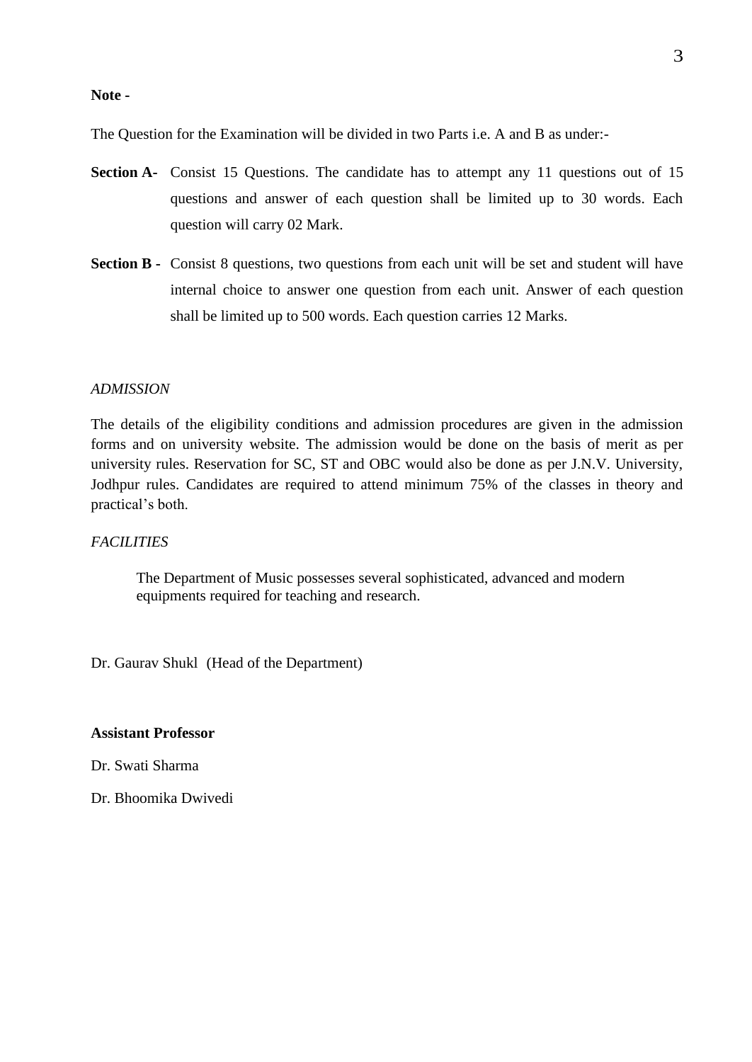#### **Note -**

The Question for the Examination will be divided in two Parts i.e. A and B as under:-

- **Section A-** Consist 15 Questions. The candidate has to attempt any 11 questions out of 15 questions and answer of each question shall be limited up to 30 words. Each question will carry 02 Mark.
- **Section B -** Consist 8 questions, two questions from each unit will be set and student will have internal choice to answer one question from each unit. Answer of each question shall be limited up to 500 words. Each question carries 12 Marks.

#### *ADMISSION*

The details of the eligibility conditions and admission procedures are given in the admission forms and on university website. The admission would be done on the basis of merit as per university rules. Reservation for SC, ST and OBC would also be done as per J.N.V. University, Jodhpur rules. Candidates are required to attend minimum 75% of the classes in theory and practical's both.

#### *FACILITIES*

The Department of Music possesses several sophisticated, advanced and modern equipments required for teaching and research.

Dr. Gaurav Shukl (Head of the Department)

#### **Assistant Professor**

Dr. Swati Sharma

Dr. Bhoomika Dwivedi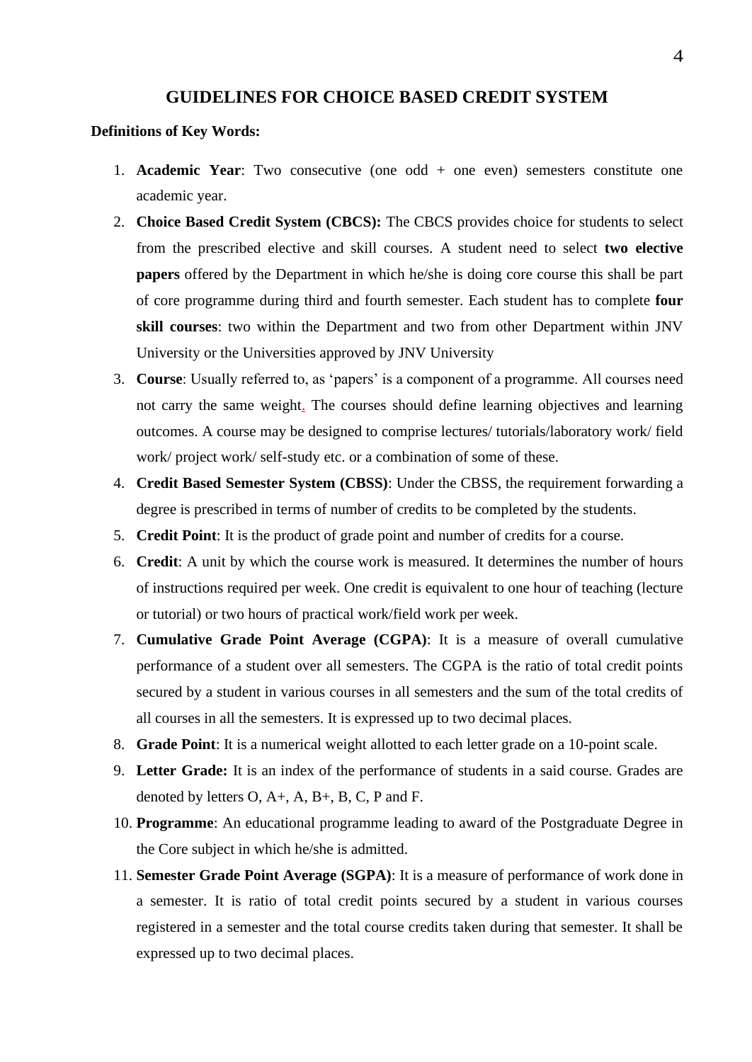#### **GUIDELINES FOR CHOICE BASED CREDIT SYSTEM**

#### **Definitions of Key Words:**

- 1. **Academic Year**: Two consecutive (one odd + one even) semesters constitute one academic year.
- 2. **Choice Based Credit System (CBCS):** The CBCS provides choice for students to select from the prescribed elective and skill courses. A student need to select **two elective papers** offered by the Department in which he/she is doing core course this shall be part of core programme during third and fourth semester. Each student has to complete **four skill courses**: two within the Department and two from other Department within JNV University or the Universities approved by JNV University
- 3. **Course**: Usually referred to, as 'papers' is a component of a programme. All courses need not carry the same weight. The courses should define learning objectives and learning outcomes. A course may be designed to comprise lectures/ tutorials/laboratory work/ field work/ project work/ self-study etc. or a combination of some of these.
- 4. **Credit Based Semester System (CBSS)**: Under the CBSS, the requirement forwarding a degree is prescribed in terms of number of credits to be completed by the students.
- 5. **Credit Point**: It is the product of grade point and number of credits for a course.
- 6. **Credit**: A unit by which the course work is measured. It determines the number of hours of instructions required per week. One credit is equivalent to one hour of teaching (lecture or tutorial) or two hours of practical work/field work per week.
- 7. **Cumulative Grade Point Average (CGPA)**: It is a measure of overall cumulative performance of a student over all semesters. The CGPA is the ratio of total credit points secured by a student in various courses in all semesters and the sum of the total credits of all courses in all the semesters. It is expressed up to two decimal places.
- 8. **Grade Point**: It is a numerical weight allotted to each letter grade on a 10-point scale.
- 9. **Letter Grade:** It is an index of the performance of students in a said course. Grades are denoted by letters O, A+, A, B+, B, C, P and F.
- 10. **Programme**: An educational programme leading to award of the Postgraduate Degree in the Core subject in which he/she is admitted.
- 11. **Semester Grade Point Average (SGPA)**: It is a measure of performance of work done in a semester. It is ratio of total credit points secured by a student in various courses registered in a semester and the total course credits taken during that semester. It shall be expressed up to two decimal places.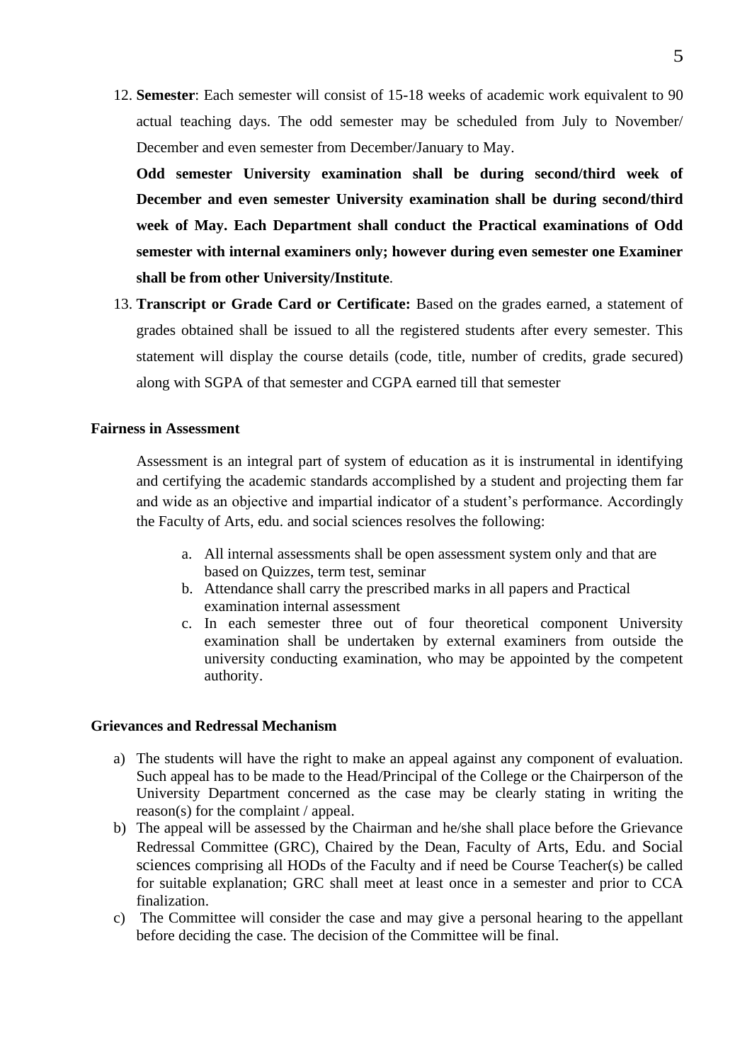12. **Semester**: Each semester will consist of 15-18 weeks of academic work equivalent to 90 actual teaching days. The odd semester may be scheduled from July to November/ December and even semester from December/January to May.

**Odd semester University examination shall be during second/third week of December and even semester University examination shall be during second/third week of May. Each Department shall conduct the Practical examinations of Odd semester with internal examiners only; however during even semester one Examiner shall be from other University/Institute**.

13. **Transcript or Grade Card or Certificate:** Based on the grades earned, a statement of grades obtained shall be issued to all the registered students after every semester. This statement will display the course details (code, title, number of credits, grade secured) along with SGPA of that semester and CGPA earned till that semester

#### **Fairness in Assessment**

Assessment is an integral part of system of education as it is instrumental in identifying and certifying the academic standards accomplished by a student and projecting them far and wide as an objective and impartial indicator of a student's performance. Accordingly the Faculty of Arts, edu. and social sciences resolves the following:

- a. All internal assessments shall be open assessment system only and that are based on Quizzes, term test, seminar
- b. Attendance shall carry the prescribed marks in all papers and Practical examination internal assessment
- c. In each semester three out of four theoretical component University examination shall be undertaken by external examiners from outside the university conducting examination, who may be appointed by the competent authority.

#### **Grievances and Redressal Mechanism**

- a) The students will have the right to make an appeal against any component of evaluation. Such appeal has to be made to the Head/Principal of the College or the Chairperson of the University Department concerned as the case may be clearly stating in writing the reason(s) for the complaint / appeal.
- b) The appeal will be assessed by the Chairman and he/she shall place before the Grievance Redressal Committee (GRC), Chaired by the Dean, Faculty of Arts, Edu. and Social sciences comprising all HODs of the Faculty and if need be Course Teacher(s) be called for suitable explanation; GRC shall meet at least once in a semester and prior to CCA finalization.
- c) The Committee will consider the case and may give a personal hearing to the appellant before deciding the case. The decision of the Committee will be final.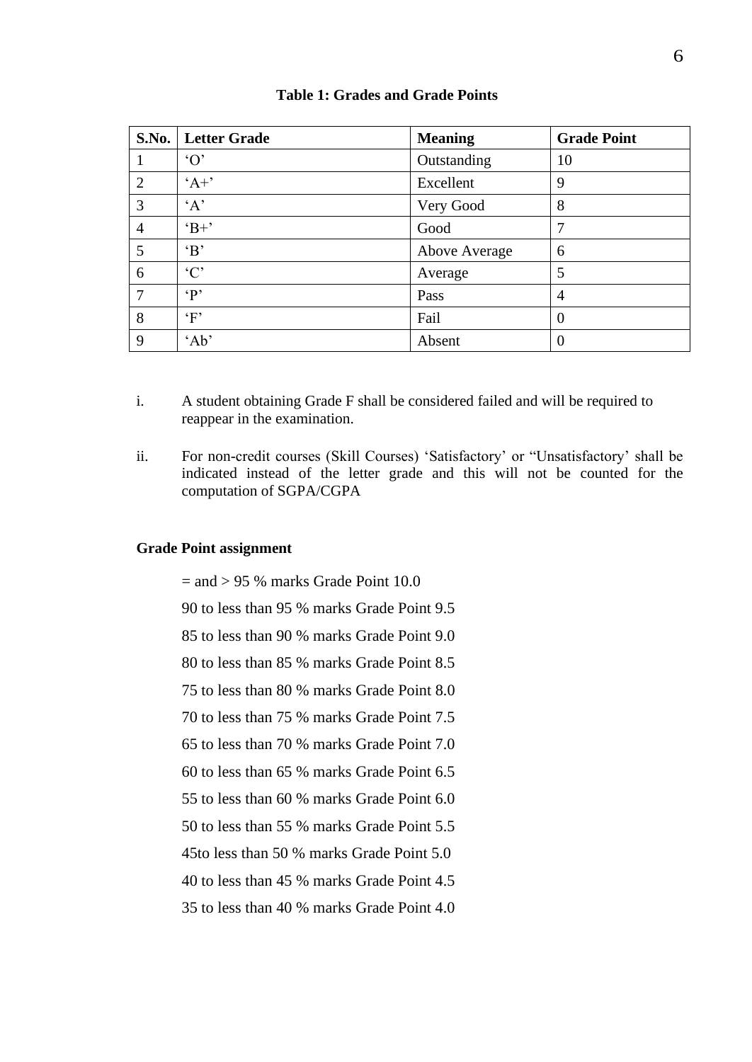| S.No.          | <b>Letter Grade</b> | <b>Meaning</b> | <b>Grade Point</b> |
|----------------|---------------------|----------------|--------------------|
|                | $\Omega$            | Outstanding    | 10                 |
| 2              | $A+$                | Excellent      | 9                  |
| 3              | A                   | Very Good      | 8                  |
| $\overline{4}$ | $B+$                | Good           | ┑                  |
| 5              | $\mathbf{B}$        | Above Average  | 6                  |
| 6              | °C                  | Average        | 5                  |
| 7              | $\cdot$ P'          | Pass           | $\overline{4}$     |
| 8              | $\cdot_F$           | Fail           | $\theta$           |
| 9              | 'Ab'                | Absent         |                    |

#### **Table 1: Grades and Grade Points**

- i. A student obtaining Grade F shall be considered failed and will be required to reappear in the examination.
- ii. For non-credit courses (Skill Courses) 'Satisfactory' or "Unsatisfactory' shall be indicated instead of the letter grade and this will not be counted for the computation of SGPA/CGPA

#### **Grade Point assignment**

 $=$  and  $> 95\%$  marks Grade Point 10.0

90 to less than 95 % marks Grade Point 9.5

85 to less than 90 % marks Grade Point 9.0

80 to less than 85 % marks Grade Point 8.5

75 to less than 80 % marks Grade Point 8.0

70 to less than 75 % marks Grade Point 7.5

65 to less than 70 % marks Grade Point 7.0

60 to less than 65 % marks Grade Point 6.5

55 to less than 60 % marks Grade Point 6.0

50 to less than 55 % marks Grade Point 5.5

45to less than 50 % marks Grade Point 5.0

40 to less than 45 % marks Grade Point 4.5

35 to less than 40 % marks Grade Point 4.0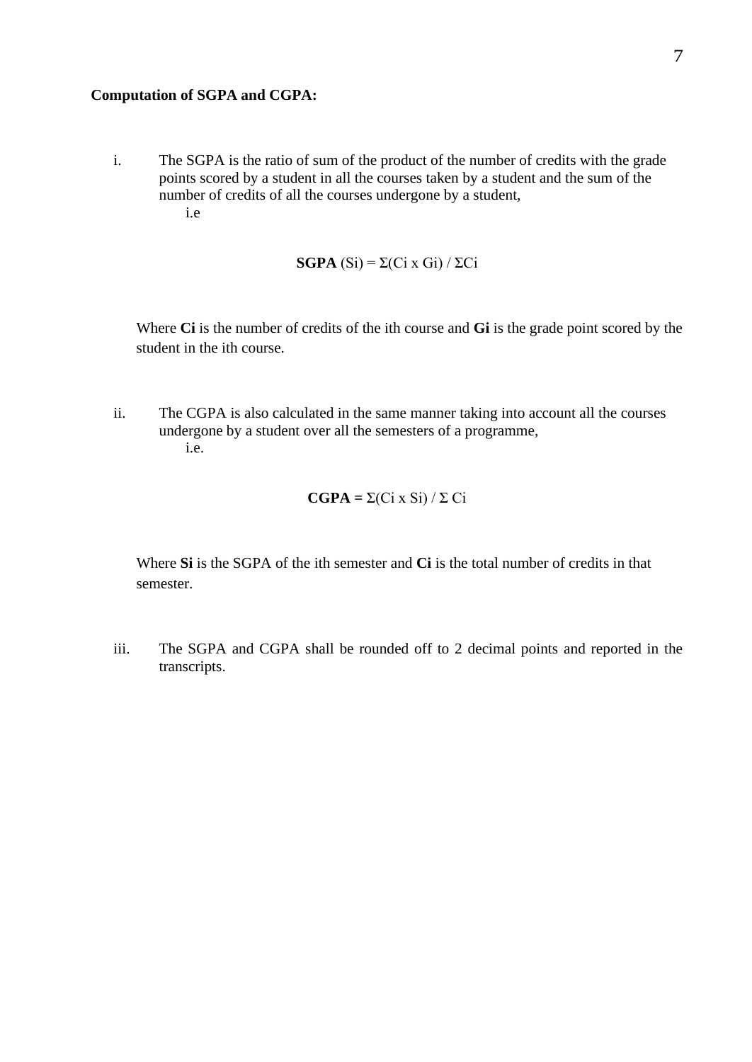#### **Computation of SGPA and CGPA:**

i. The SGPA is the ratio of sum of the product of the number of credits with the grade points scored by a student in all the courses taken by a student and the sum of the number of credits of all the courses undergone by a student, i.e

$$
\mathbf{SGPA}(\text{Si}) = \Sigma(\text{Ci} \times \text{Gi}) / \Sigma \text{Ci}
$$

Where **Ci** is the number of credits of the ith course and **Gi** is the grade point scored by the student in the ith course.

ii. The CGPA is also calculated in the same manner taking into account all the courses undergone by a student over all the semesters of a programme, i.e.

$$
CGPA = \Sigma(Ci \times Si) / \Sigma Ci
$$

Where **Si** is the SGPA of the ith semester and **Ci** is the total number of credits in that semester.

iii. The SGPA and CGPA shall be rounded off to 2 decimal points and reported in the transcripts.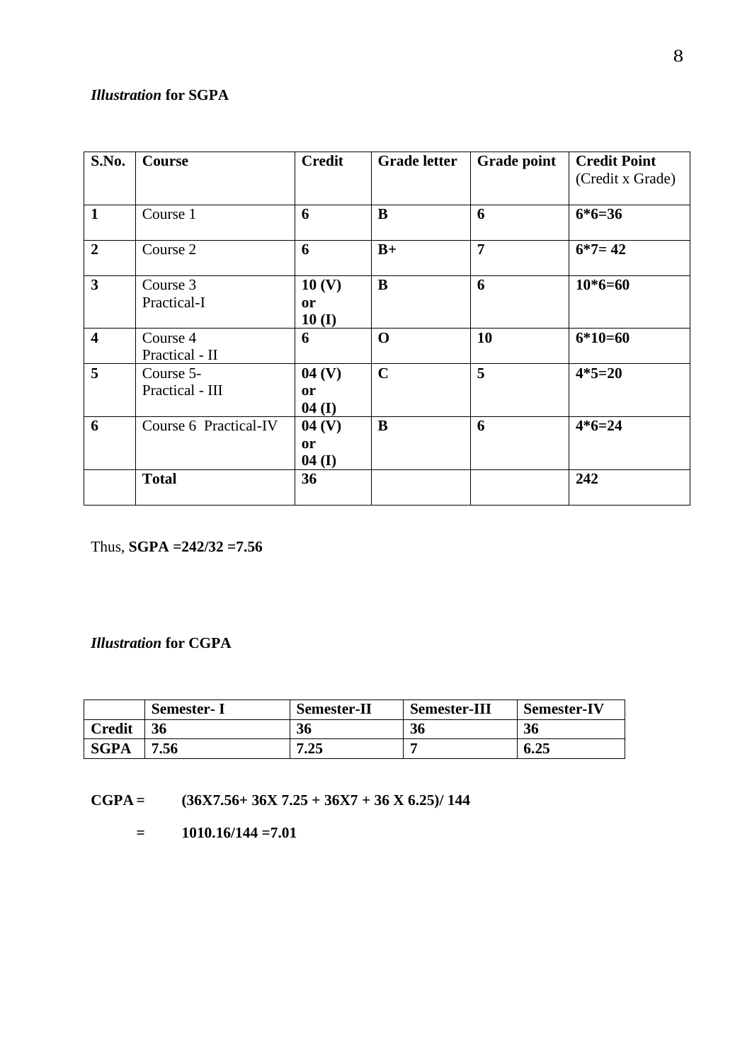# *Illustration* **for SGPA**

| S.No.                   | Course                       | <b>Credit</b>                           | <b>Grade letter</b> | <b>Grade point</b> | <b>Credit Point</b><br>(Credit x Grade) |
|-------------------------|------------------------------|-----------------------------------------|---------------------|--------------------|-----------------------------------------|
| $\mathbf{1}$            | Course 1                     | 6                                       | B                   | 6                  | $6*6=36$                                |
| $\overline{2}$          | Course 2                     | 6                                       | $B+$                | $\overline{7}$     | $6*7=42$                                |
| $\overline{\mathbf{3}}$ | Course 3<br>Practical-I      | 10 <sub>(V)</sub><br><b>or</b><br>10(I) | B                   | 6                  | $10*6=60$                               |
| $\overline{\mathbf{4}}$ | Course 4<br>Practical - II   | 6                                       | $\mathbf 0$         | 10                 | $6*10=60$                               |
| 5                       | Course 5-<br>Practical - III | 04(V)<br><b>or</b><br>04(I)             | $\mathbf C$         | 5                  | $4*5=20$                                |
| 6                       | Course 6 Practical-IV        | 04(V)<br><sub>or</sub><br>04(I)         | B                   | 6                  | $4*6=24$                                |
|                         | <b>Total</b>                 | 36                                      |                     |                    | 242                                     |

Thus, **SGPA =242/32 =7.56**

#### *Illustration* **for CGPA**

|               | <b>Semester-I</b> | <b>Semester-II</b> | <b>Semester-III</b> | <b>Semester-IV</b> |
|---------------|-------------------|--------------------|---------------------|--------------------|
| <b>Credit</b> | 36                | 36                 | 36                  | 36                 |
| <b>SGPA</b>   | .56               | 7.25               |                     | 6.25               |

**CGPA = (36X7.56+ 36X 7.25 + 36X7 + 36 X 6.25)/ 144**

 $=$  **1010.16/144**  $=$  **7.01**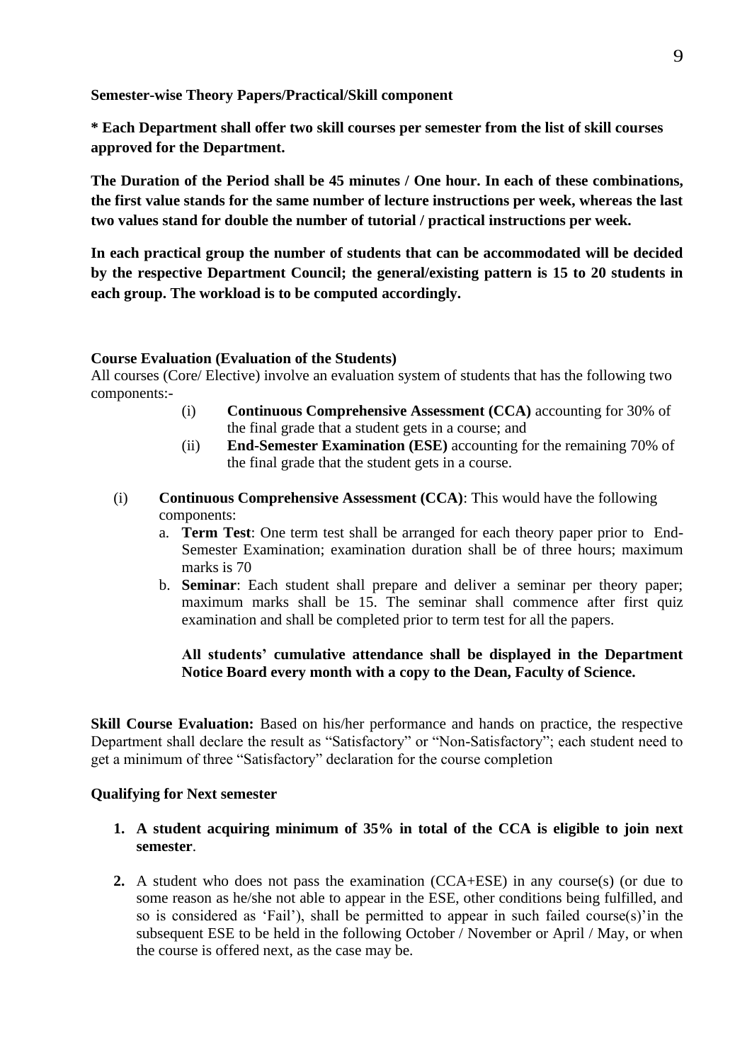**Semester-wise Theory Papers/Practical/Skill component** 

**\* Each Department shall offer two skill courses per semester from the list of skill courses approved for the Department.**

**The Duration of the Period shall be 45 minutes / One hour. In each of these combinations, the first value stands for the same number of lecture instructions per week, whereas the last two values stand for double the number of tutorial / practical instructions per week.**

**In each practical group the number of students that can be accommodated will be decided by the respective Department Council; the general/existing pattern is 15 to 20 students in each group. The workload is to be computed accordingly.**

#### **Course Evaluation (Evaluation of the Students)**

All courses (Core/ Elective) involve an evaluation system of students that has the following two components:-

- (i) **Continuous Comprehensive Assessment (CCA)** accounting for 30% of the final grade that a student gets in a course; and
- (ii) **End-Semester Examination (ESE)** accounting for the remaining 70% of the final grade that the student gets in a course.
- (i) **Continuous Comprehensive Assessment (CCA)**: This would have the following components:
	- a. **Term Test**: One term test shall be arranged for each theory paper prior to End-Semester Examination; examination duration shall be of three hours; maximum marks is 70
	- b. **Seminar**: Each student shall prepare and deliver a seminar per theory paper; maximum marks shall be 15. The seminar shall commence after first quiz examination and shall be completed prior to term test for all the papers.

#### **All students' cumulative attendance shall be displayed in the Department Notice Board every month with a copy to the Dean, Faculty of Science.**

**Skill Course Evaluation:** Based on his/her performance and hands on practice, the respective Department shall declare the result as "Satisfactory" or "Non-Satisfactory"; each student need to get a minimum of three "Satisfactory" declaration for the course completion

#### **Qualifying for Next semester**

- **1. A student acquiring minimum of 35% in total of the CCA is eligible to join next semester**.
- **2.** A student who does not pass the examination (CCA+ESE) in any course(s) (or due to some reason as he/she not able to appear in the ESE, other conditions being fulfilled, and so is considered as 'Fail'), shall be permitted to appear in such failed course(s)'in the subsequent ESE to be held in the following October / November or April / May, or when the course is offered next, as the case may be.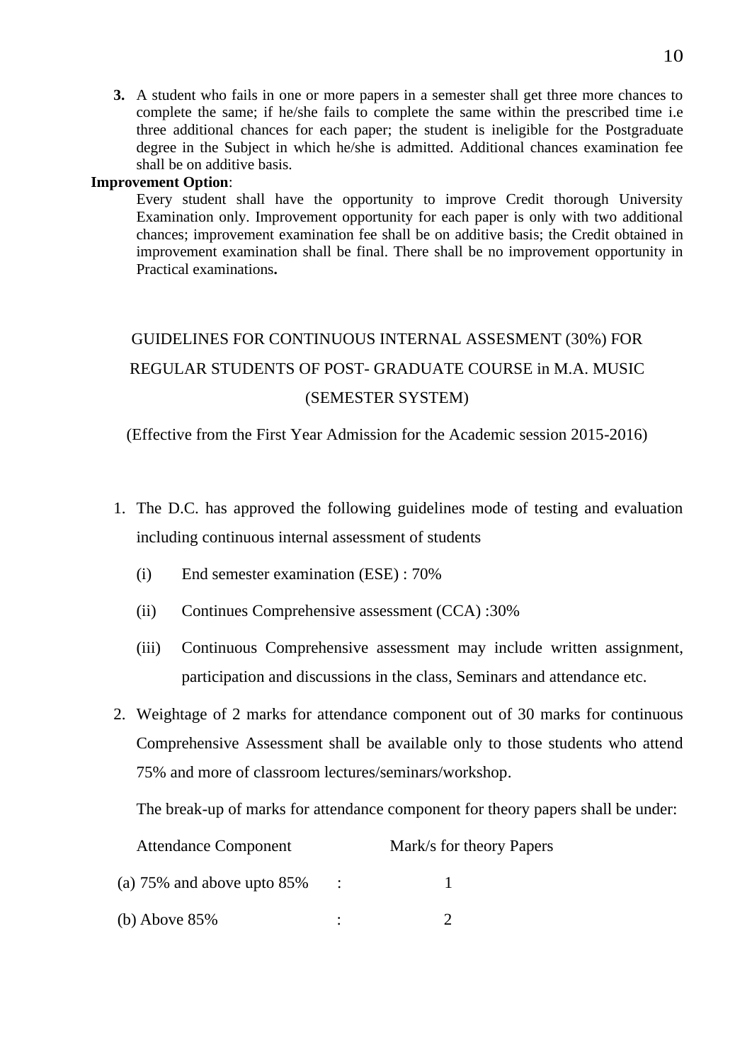**3.** A student who fails in one or more papers in a semester shall get three more chances to complete the same; if he/she fails to complete the same within the prescribed time i.e three additional chances for each paper; the student is ineligible for the Postgraduate degree in the Subject in which he/she is admitted. Additional chances examination fee shall be on additive basis.

#### **Improvement Option**:

Every student shall have the opportunity to improve Credit thorough University Examination only. Improvement opportunity for each paper is only with two additional chances; improvement examination fee shall be on additive basis; the Credit obtained in improvement examination shall be final. There shall be no improvement opportunity in Practical examinations**.**

# GUIDELINES FOR CONTINUOUS INTERNAL ASSESMENT (30%) FOR REGULAR STUDENTS OF POST- GRADUATE COURSE in M.A. MUSIC (SEMESTER SYSTEM)

(Effective from the First Year Admission for the Academic session 2015-2016)

- 1. The D.C. has approved the following guidelines mode of testing and evaluation including continuous internal assessment of students
	- (i) End semester examination (ESE) : 70%
	- (ii) Continues Comprehensive assessment (CCA) :30%
	- (iii) Continuous Comprehensive assessment may include written assignment, participation and discussions in the class, Seminars and attendance etc.
- 2. Weightage of 2 marks for attendance component out of 30 marks for continuous Comprehensive Assessment shall be available only to those students who attend 75% and more of classroom lectures/seminars/workshop.

The break-up of marks for attendance component for theory papers shall be under:

| <b>Attendance Component</b>      |  | Mark/s for theory Papers |  |  |
|----------------------------------|--|--------------------------|--|--|
| (a) $75\%$ and above upto $85\%$ |  |                          |  |  |
| (b) Above 85%                    |  |                          |  |  |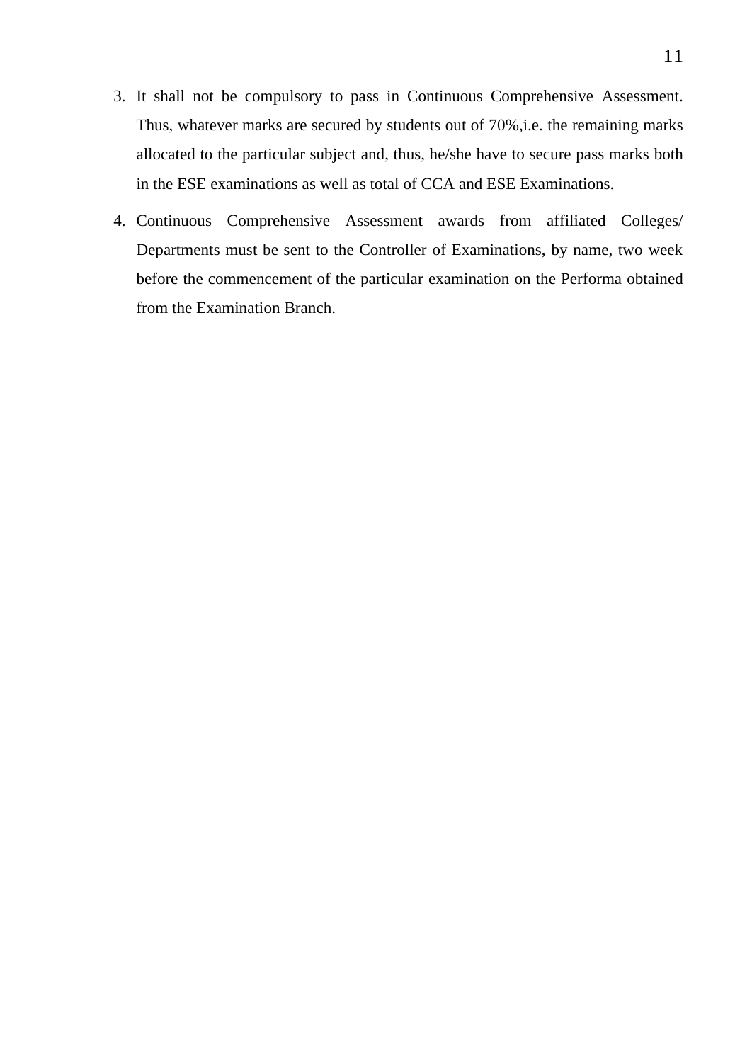- 3. It shall not be compulsory to pass in Continuous Comprehensive Assessment. Thus, whatever marks are secured by students out of 70%,i.e. the remaining marks allocated to the particular subject and, thus, he/she have to secure pass marks both in the ESE examinations as well as total of CCA and ESE Examinations.
- 4. Continuous Comprehensive Assessment awards from affiliated Colleges/ Departments must be sent to the Controller of Examinations, by name, two week before the commencement of the particular examination on the Performa obtained from the Examination Branch.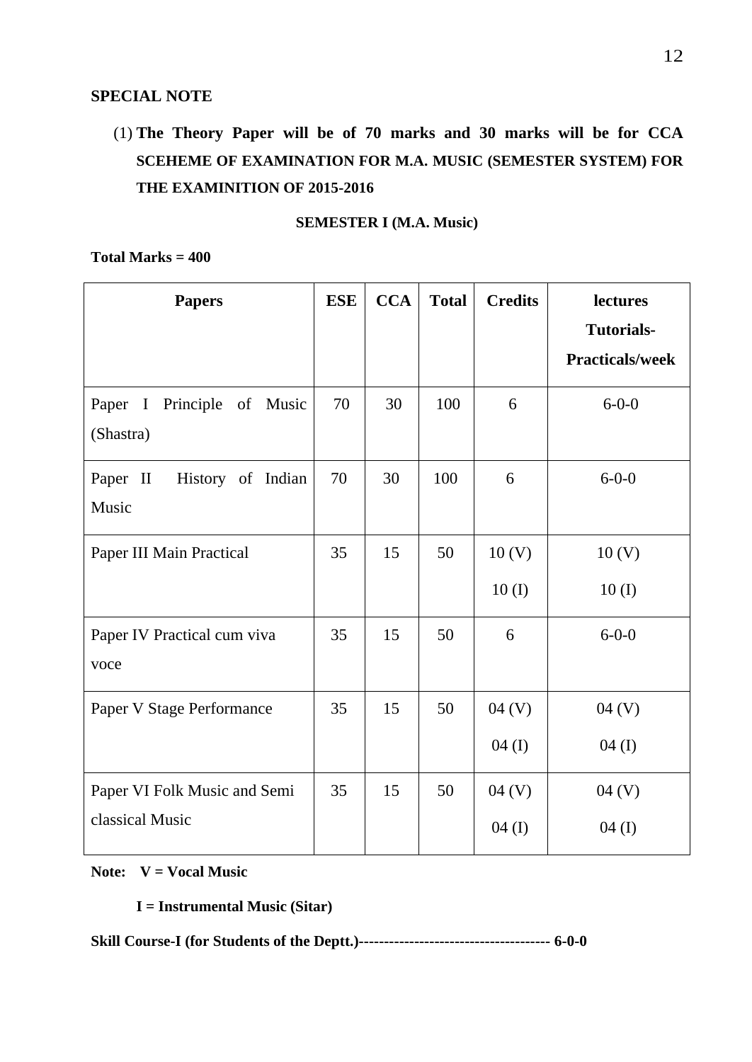# **SPECIAL NOTE**

# (1) **The Theory Paper will be of 70 marks and 30 marks will be for CCA SCEHEME OF EXAMINATION FOR M.A. MUSIC (SEMESTER SYSTEM) FOR THE EXAMINITION OF 2015-2016**

**SEMESTER I (M.A. Music)**

#### **Total Marks = 400**

| <b>Papers</b>                                               | <b>ESE</b> | <b>CCA</b> | <b>Total</b> | <b>Credits</b>             | lectures<br><b>Tutorials-</b> |
|-------------------------------------------------------------|------------|------------|--------------|----------------------------|-------------------------------|
|                                                             |            |            |              |                            | <b>Practicals/week</b>        |
| Paper<br>Principle<br>of Music<br>$\mathbf{I}$<br>(Shastra) | 70         | 30         | 100          | 6                          | $6 - 0 - 0$                   |
| Paper II<br>History of Indian<br>Music                      | 70         | 30         | 100          | 6                          | $6 - 0 - 0$                   |
| Paper III Main Practical                                    | 35         | 15         | 50           | 10 <sub>(V)</sub><br>10(I) | 10 <sub>(V)</sub><br>10(I)    |
| Paper IV Practical cum viva<br>voce                         | 35         | 15         | 50           | 6                          | $6 - 0 - 0$                   |
| Paper V Stage Performance                                   | 35         | 15         | 50           | 04 (V)<br>$04$ (I)         | 04 (V)<br>$04 \; (I)$         |
| Paper VI Folk Music and Semi<br>classical Music             | 35         | 15         | 50           | 04 (V)<br>$04$ (I)         | 04 (V)<br>$04$ (I)            |

#### **Note: V = Vocal Music**

**I = Instrumental Music (Sitar)**

**Skill Course-I (for Students of the Deptt.)-------------------------------------- 6-0-0**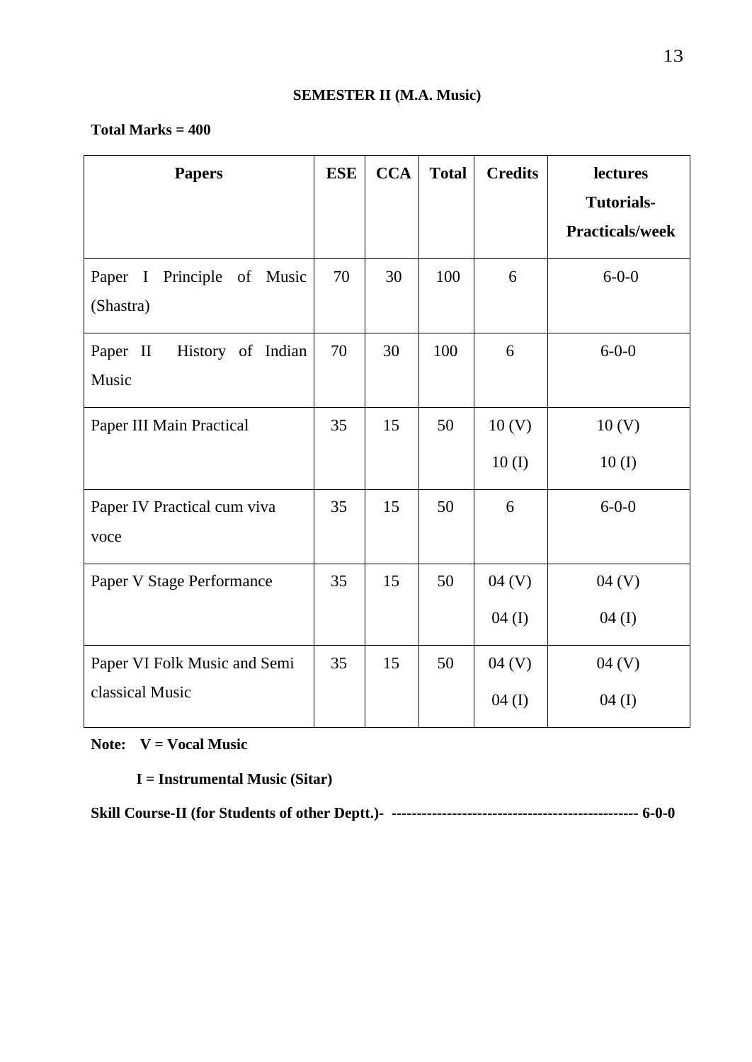### **Total Marks = 400**

| <b>Papers</b>                                                  | <b>ESE</b> | <b>CCA</b> | <b>Total</b> | <b>Credits</b>             | lectures<br><b>Tutorials-</b> |
|----------------------------------------------------------------|------------|------------|--------------|----------------------------|-------------------------------|
|                                                                |            |            |              |                            | <b>Practicals/week</b>        |
| Paper<br>Principle<br>of<br>$\mathbf{I}$<br>Music<br>(Shastra) | 70         | 30         | 100          | 6                          | $6 - 0 - 0$                   |
| Paper II<br>History of Indian<br>Music                         | 70         | 30         | 100          | 6                          | $6 - 0 - 0$                   |
| Paper III Main Practical                                       | 35         | 15         | 50           | 10 <sub>(V)</sub><br>10(I) | 10 <sub>(V)</sub><br>10(I)    |
| Paper IV Practical cum viva<br>voce                            | 35         | 15         | 50           | 6                          | $6 - 0 - 0$                   |
| Paper V Stage Performance                                      | 35         | 15         | 50           | 04 (V)<br>04(I)            | 04 (V)<br>$04$ (I)            |
| Paper VI Folk Music and Semi<br>classical Music                | 35         | 15         | 50           | 04 (V)<br>04(I)            | 04 (V)<br>$04$ (I)            |

**Note: V = Vocal Music**

**I = Instrumental Music (Sitar)**

**Skill Course-II (for Students of other Deptt.)- ------------------------------------------------- 6-0-0**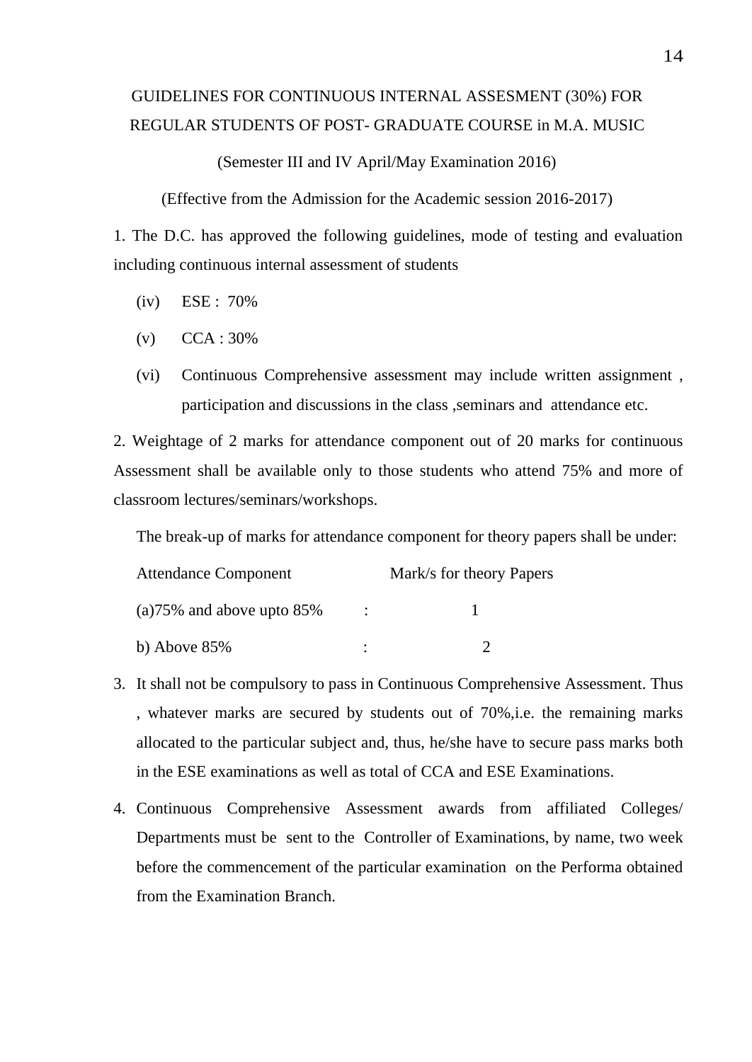# GUIDELINES FOR CONTINUOUS INTERNAL ASSESMENT (30%) FOR REGULAR STUDENTS OF POST- GRADUATE COURSE in M.A. MUSIC

(Semester III and IV April/May Examination 2016)

(Effective from the Admission for the Academic session 2016-2017)

1. The D.C. has approved the following guidelines, mode of testing and evaluation including continuous internal assessment of students

- (iv) ESE : 70%
- (v) CCA : 30%
- (vi) Continuous Comprehensive assessment may include written assignment , participation and discussions in the class ,seminars and attendance etc.

2. Weightage of 2 marks for attendance component out of 20 marks for continuous Assessment shall be available only to those students who attend 75% and more of classroom lectures/seminars/workshops.

The break-up of marks for attendance component for theory papers shall be under:

| <b>Attendance Component</b>  |   | Mark/s for theory Papers |
|------------------------------|---|--------------------------|
| $(a)75\%$ and above upto 85% | ٠ |                          |
| b) Above 85%                 |   |                          |

- 3. It shall not be compulsory to pass in Continuous Comprehensive Assessment. Thus , whatever marks are secured by students out of 70%,i.e. the remaining marks allocated to the particular subject and, thus, he/she have to secure pass marks both in the ESE examinations as well as total of CCA and ESE Examinations.
- 4. Continuous Comprehensive Assessment awards from affiliated Colleges/ Departments must be sent to the Controller of Examinations, by name, two week before the commencement of the particular examination on the Performa obtained from the Examination Branch.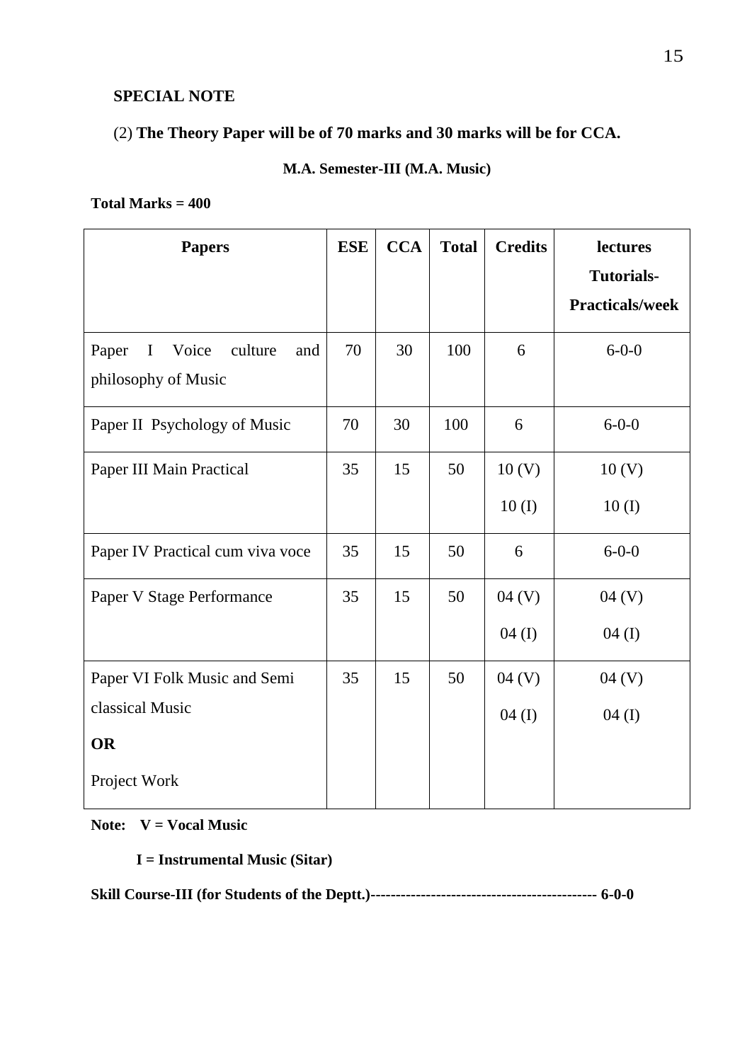# **SPECIAL NOTE**

# (2) **The Theory Paper will be of 70 marks and 30 marks will be for CCA.**

# **M.A. Semester-III (M.A. Music)**

#### **Total Marks = 400**

| <b>Papers</b>                                   | <b>ESE</b> | <b>CCA</b> | <b>Total</b> | <b>Credits</b>    | lectures               |
|-------------------------------------------------|------------|------------|--------------|-------------------|------------------------|
|                                                 |            |            |              |                   | <b>Tutorials-</b>      |
|                                                 |            |            |              |                   | <b>Practicals/week</b> |
| Paper<br>$\mathbf I$<br>Voice<br>culture<br>and | 70         | 30         | 100          | 6                 | $6 - 0 - 0$            |
| philosophy of Music                             |            |            |              |                   |                        |
| Paper II Psychology of Music                    | 70         | 30         | 100          | 6                 | $6 - 0 - 0$            |
| Paper III Main Practical                        | 35         | 15         | 50           | 10 <sub>(V)</sub> | 10 <sub>(V)</sub>      |
|                                                 |            |            |              | 10(I)             | 10(I)                  |
| Paper IV Practical cum viva voce                | 35         | 15         | 50           | 6                 | $6 - 0 - 0$            |
| Paper V Stage Performance                       | 35         | 15         | 50           | 04 (V)            | 04 (V)                 |
|                                                 |            |            |              | 04 (I)            | $04$ (I)               |
| Paper VI Folk Music and Semi                    | 35         | 15         | 50           | 04 (V)            | 04 (V)                 |
| classical Music                                 |            |            |              | $04$ (I)          | $04$ (I)               |
| <b>OR</b>                                       |            |            |              |                   |                        |
| Project Work                                    |            |            |              |                   |                        |

**Note: V = Vocal Music**

**I = Instrumental Music (Sitar)**

**Skill Course-III (for Students of the Deptt.)--------------------------------------------- 6-0-0**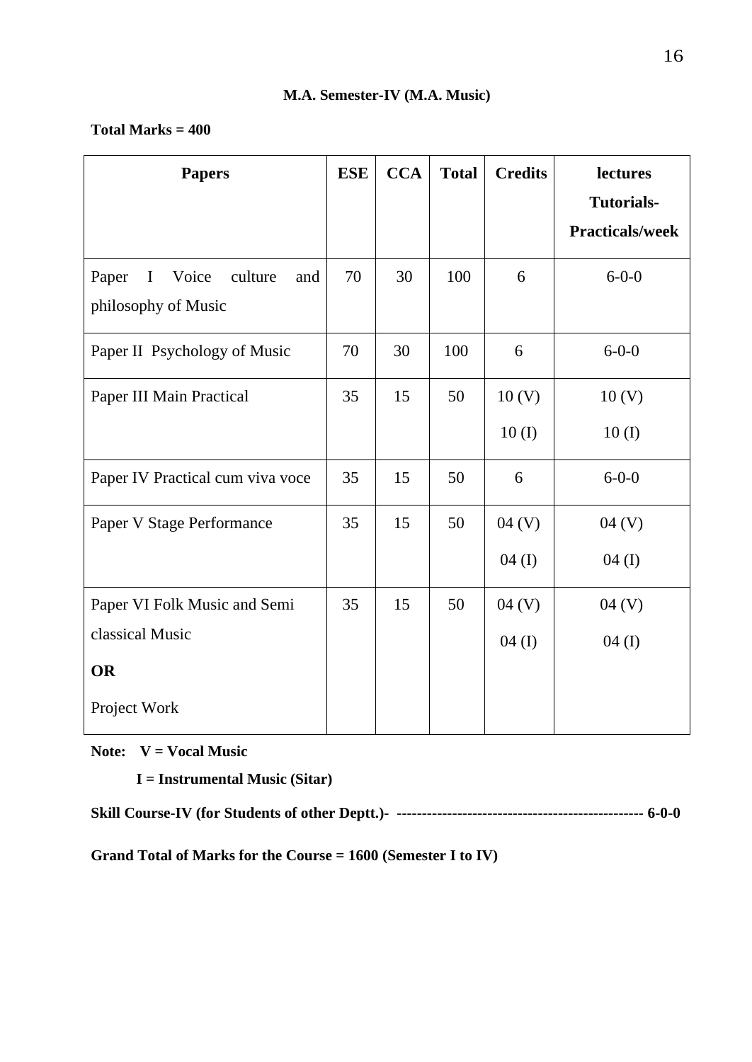## **Total Marks = 400**

| <b>Papers</b>                                                          | <b>ESE</b> | <b>CCA</b> | <b>Total</b> | <b>Credits</b>    | lectures               |
|------------------------------------------------------------------------|------------|------------|--------------|-------------------|------------------------|
|                                                                        |            |            |              |                   | <b>Tutorials-</b>      |
|                                                                        |            |            |              |                   | <b>Practicals/week</b> |
| Paper<br>$\mathbf I$<br>Voice<br>culture<br>and<br>philosophy of Music | 70         | 30         | 100          | 6                 | $6 - 0 - 0$            |
| Paper II Psychology of Music                                           | 70         | 30         | 100          | 6                 | $6 - 0 - 0$            |
| Paper III Main Practical                                               | 35         | 15         | 50           | 10 <sub>(V)</sub> | 10 <sub>(V)</sub>      |
|                                                                        |            |            |              | 10(I)             | 10(I)                  |
| Paper IV Practical cum viva voce                                       | 35         | 15         | 50           | 6                 | $6 - 0 - 0$            |
| Paper V Stage Performance                                              | 35         | 15         | 50           | 04 (V)            | 04 (V)                 |
|                                                                        |            |            |              | 04(I)             | $04$ (I)               |
| Paper VI Folk Music and Semi                                           | 35         | 15         | 50           | 04 (V)            | 04 (V)                 |
| classical Music                                                        |            |            |              | 04(I)             | $04 \; (I)$            |
| <b>OR</b>                                                              |            |            |              |                   |                        |
| Project Work                                                           |            |            |              |                   |                        |

**Note: V = Vocal Music**

**I = Instrumental Music (Sitar)**

**Skill Course-IV (for Students of other Deptt.)- ------------------------------------------------- 6-0-0**

**Grand Total of Marks for the Course = 1600 (Semester I to IV)**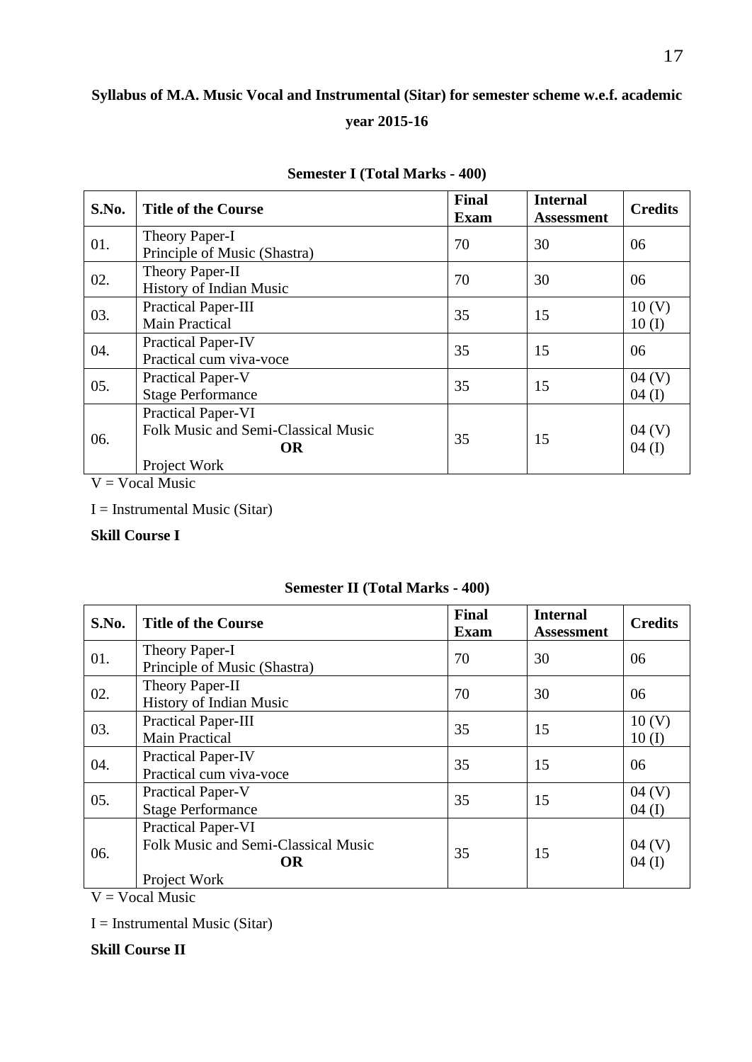# **Syllabus of M.A. Music Vocal and Instrumental (Sitar) for semester scheme w.e.f. academic year 2015-16**

| S.No. | <b>Title of the Course</b>                                                             | <b>Final</b><br><b>Exam</b> | <b>Internal</b><br><b>Assessment</b> | <b>Credits</b>             |
|-------|----------------------------------------------------------------------------------------|-----------------------------|--------------------------------------|----------------------------|
| 01.   | Theory Paper-I<br>Principle of Music (Shastra)                                         | 70                          | 30                                   | 06                         |
| 02.   | Theory Paper-II<br>History of Indian Music                                             | 70                          | 30                                   | 06                         |
| 03.   | Practical Paper-III<br><b>Main Practical</b>                                           | 35                          | 15                                   | 10 <sub>(V)</sub><br>10(I) |
| 04.   | <b>Practical Paper-IV</b><br>Practical cum viva-voce                                   | 35                          | 15                                   | 06                         |
| 05.   | Practical Paper-V<br><b>Stage Performance</b>                                          | 35                          | 15                                   | 04 (V)<br>$04 \; (I)$      |
| 06.   | Practical Paper-VI<br>Folk Music and Semi-Classical Music<br><b>OR</b><br>Project Work | 35                          | 15                                   | 04 (V)<br>$04 \; (I)$      |

#### **Semester I (Total Marks - 400)**

 $V = Vocal Music$ 

I = Instrumental Music (Sitar)

#### **Skill Course I**

| S.No. | <b>Title of the Course</b>                                                                    | <b>Final</b><br><b>Exam</b> | <b>Internal</b><br><b>Assessment</b> | <b>Credits</b>    |
|-------|-----------------------------------------------------------------------------------------------|-----------------------------|--------------------------------------|-------------------|
| 01.   | Theory Paper-I<br>Principle of Music (Shastra)                                                | 70                          | 30                                   | 06                |
| 02.   | Theory Paper-II<br>History of Indian Music                                                    | 70                          | 30                                   | 06                |
| 03.   | Practical Paper-III<br><b>Main Practical</b>                                                  | 35                          | 15                                   | 10(V)<br>10(I)    |
| 04.   | <b>Practical Paper-IV</b><br>Practical cum viva-voce                                          | 35                          | 15                                   | 06                |
| 05.   | <b>Practical Paper-V</b><br><b>Stage Performance</b>                                          | 35                          | 15                                   | 04(V)<br>$04$ (I) |
| 06.   | <b>Practical Paper-VI</b><br>Folk Music and Semi-Classical Music<br><b>OR</b><br>Project Work | 35                          | 15                                   | 04 (V)<br>04(I)   |

### **Semester II (Total Marks - 400)**

 $V = Vocal Music$ 

 $I =$  Instrumental Music (Sitar)

**Skill Course II**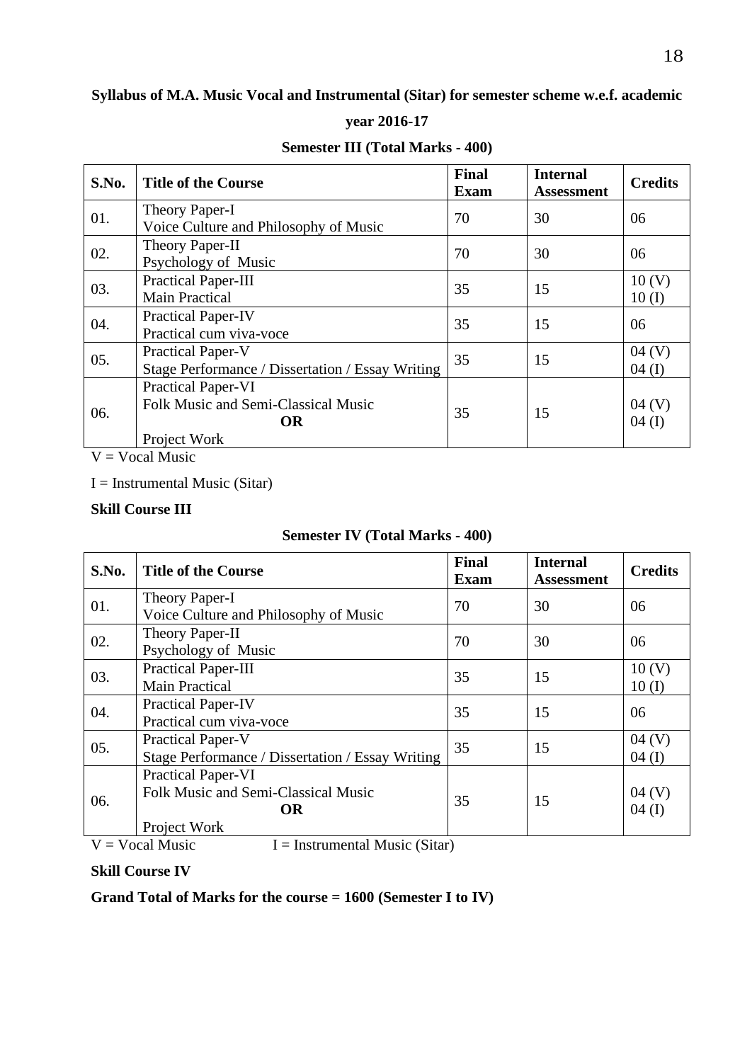# **Syllabus of M.A. Music Vocal and Instrumental (Sitar) for semester scheme w.e.f. academic**

#### **year 2016-17**

| S.No. | <b>Title of the Course</b>                                                             | Final<br><b>Exam</b> | <b>Internal</b><br><b>Assessment</b> | <b>Credits</b>        |
|-------|----------------------------------------------------------------------------------------|----------------------|--------------------------------------|-----------------------|
| 01.   | Theory Paper-I<br>Voice Culture and Philosophy of Music                                | 70                   | 30                                   | 06                    |
| 02.   | Theory Paper-II<br>Psychology of Music                                                 | 70                   | 30                                   | 06                    |
| 03.   | Practical Paper-III<br><b>Main Practical</b>                                           | 35                   | 15                                   | 10(V)<br>10(I)        |
| 04.   | <b>Practical Paper-IV</b><br>Practical cum viva-voce                                   | 35                   | 15                                   | 06                    |
| 05.   | Practical Paper-V<br>Stage Performance / Dissertation / Essay Writing                  | 35                   | 15                                   | 04 (V)<br>$04 \; (I)$ |
| 06.   | Practical Paper-VI<br>Folk Music and Semi-Classical Music<br><b>OR</b><br>Project Work | 35                   | 15                                   | 04 (V)<br>04(I)       |

### **Semester III (Total Marks - 400)**

 $V = Vocal Music$ 

 $I =$  Instrumental Music (Sitar)

#### **Skill Course III**

# **Semester IV (Total Marks - 400)**

| S.No. | <b>Title of the Course</b>                                                             | <b>Final</b><br><b>Exam</b> | <b>Internal</b><br><b>Assessment</b> | <b>Credits</b>    |
|-------|----------------------------------------------------------------------------------------|-----------------------------|--------------------------------------|-------------------|
| 01.   | Theory Paper-I<br>Voice Culture and Philosophy of Music                                | 70                          | 30                                   | 06                |
| 02.   | Theory Paper-II<br>Psychology of Music                                                 | 70                          | 30                                   | 06                |
| 03.   | Practical Paper-III<br><b>Main Practical</b>                                           | 35                          | 15                                   | 10(V)<br>10(I)    |
| 04.   | <b>Practical Paper-IV</b><br>Practical cum viva-voce                                   | 35                          | 15                                   | 06                |
| 05.   | <b>Practical Paper-V</b><br>Stage Performance / Dissertation / Essay Writing           | 35                          | 15                                   | 04 (V)<br>04(I)   |
| 06.   | Practical Paper-VI<br>Folk Music and Semi-Classical Music<br><b>OR</b><br>Project Work | 35                          | 15                                   | 04(V)<br>$04$ (I) |

 $V = Vocal Music$  I = Instrumental Music (Sitar)

#### **Skill Course IV**

**Grand Total of Marks for the course = 1600 (Semester I to IV)**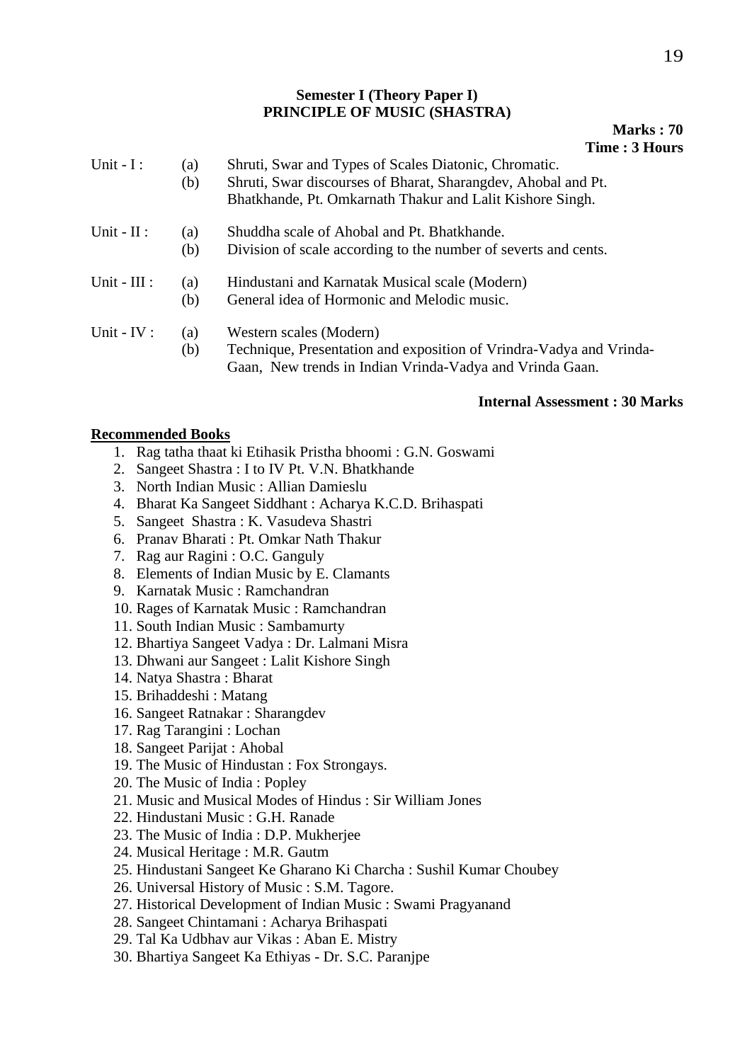#### **Semester I (Theory Paper I) PRINCIPLE OF MUSIC (SHASTRA)**

#### **Marks : 70 Time : 3 Hours**

| Unit $-I$ :    | (a)<br>(b) | Shruti, Swar and Types of Scales Diatonic, Chromatic.<br>Shruti, Swar discourses of Bharat, Sharangdev, Ahobal and Pt.<br>Bhatkhande, Pt. Omkarnath Thakur and Lalit Kishore Singh. |
|----------------|------------|-------------------------------------------------------------------------------------------------------------------------------------------------------------------------------------|
| Unit - $II$ :  | (a)<br>(b) | Shuddha scale of Ahobal and Pt. Bhatkhande.<br>Division of scale according to the number of severts and cents.                                                                      |
| Unit - $III$ : | (a)<br>(b) | Hindustani and Karnatak Musical scale (Modern)<br>General idea of Hormonic and Melodic music.                                                                                       |
| Unit - $IV:$   | (a)<br>(b) | Western scales (Modern)<br>Technique, Presentation and exposition of Vrindra-Vadya and Vrinda-<br>Gaan, New trends in Indian Vrinda-Vadya and Vrinda Gaan.                          |

#### **Internal Assessment : 30 Marks**

#### **Recommended Books**

- 1. Rag tatha thaat ki Etihasik Pristha bhoomi : G.N. Goswami
- 2. Sangeet Shastra : I to IV Pt. V.N. Bhatkhande
- 3. North Indian Music : Allian Damieslu
- 4. Bharat Ka Sangeet Siddhant : Acharya K.C.D. Brihaspati
- 5. Sangeet Shastra : K. Vasudeva Shastri
- 6. Pranav Bharati : Pt. Omkar Nath Thakur
- 7. Rag aur Ragini : O.C. Ganguly
- 8. Elements of Indian Music by E. Clamants
- 9. Karnatak Music : Ramchandran
- 10. Rages of Karnatak Music : Ramchandran
- 11. South Indian Music : Sambamurty
- 12. Bhartiya Sangeet Vadya : Dr. Lalmani Misra
- 13. Dhwani aur Sangeet : Lalit Kishore Singh
- 14. Natya Shastra : Bharat
- 15. Brihaddeshi : Matang
- 16. Sangeet Ratnakar : Sharangdev
- 17. Rag Tarangini : Lochan
- 18. Sangeet Parijat : Ahobal
- 19. The Music of Hindustan : Fox Strongays.
- 20. The Music of India : Popley
- 21. Music and Musical Modes of Hindus : Sir William Jones
- 22. Hindustani Music : G.H. Ranade
- 23. The Music of India : D.P. Mukherjee
- 24. Musical Heritage : M.R. Gautm
- 25. Hindustani Sangeet Ke Gharano Ki Charcha : Sushil Kumar Choubey
- 26. Universal History of Music : S.M. Tagore.
- 27. Historical Development of Indian Music : Swami Pragyanand
- 28. Sangeet Chintamani : Acharya Brihaspati
- 29. Tal Ka Udbhav aur Vikas : Aban E. Mistry
- 30. Bhartiya Sangeet Ka Ethiyas Dr. S.C. Paranjpe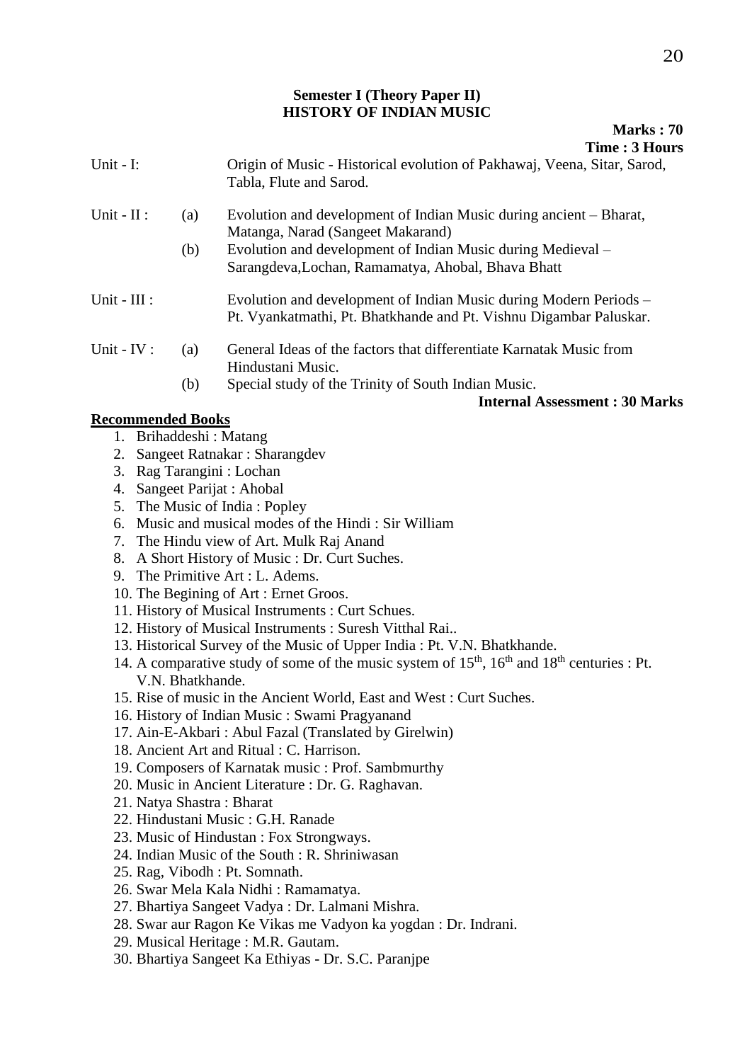#### **Semester I (Theory Paper II) HISTORY OF INDIAN MUSIC**

|                |     | Time: 3 Hours                                                                                                     |
|----------------|-----|-------------------------------------------------------------------------------------------------------------------|
| Unit - $I$ :   |     | Origin of Music - Historical evolution of Pakhawaj, Veena, Sitar, Sarod,<br>Tabla, Flute and Sarod.               |
| Unit - $II$ :  | (a) | Evolution and development of Indian Music during ancient – Bharat,<br>Matanga, Narad (Sangeet Makarand)           |
|                | (b) | Evolution and development of Indian Music during Medieval –<br>Sarangdeva, Lochan, Ramamatya, Ahobal, Bhava Bhatt |
| Unit - $III$ : |     | Evolution and development of Indian Music during Modern Periods –                                                 |

- Pt. Vyankatmathi, Pt. Bhatkhande and Pt. Vishnu Digambar Paluskar.
- Unit IV : (a) General Ideas of the factors that differentiate Karnatak Music from Hindustani Music.
	- (b) Special study of the Trinity of South Indian Music.

#### **Internal Assessment : 30 Marks**

#### **Recommended Books**

- 1. Brihaddeshi : Matang
- 2. Sangeet Ratnakar : Sharangdev
- 3. Rag Tarangini : Lochan
- 4. Sangeet Parijat : Ahobal
- 5. The Music of India : Popley
- 6. Music and musical modes of the Hindi : Sir William
- 7. The Hindu view of Art. Mulk Raj Anand
- 8. A Short History of Music : Dr. Curt Suches.
- 9. The Primitive Art : L. Adems.
- 10. The Begining of Art : Ernet Groos.
- 11. History of Musical Instruments : Curt Schues.
- 12. History of Musical Instruments : Suresh Vitthal Rai..
- 13. Historical Survey of the Music of Upper India : Pt. V.N. Bhatkhande.
- 14. A comparative study of some of the music system of  $15<sup>th</sup>$ ,  $16<sup>th</sup>$  and  $18<sup>th</sup>$  centuries : Pt. V.N. Bhatkhande.
- 15. Rise of music in the Ancient World, East and West : Curt Suches.
- 16. History of Indian Music : Swami Pragyanand
- 17. Ain-E-Akbari : Abul Fazal (Translated by Girelwin)
- 18. Ancient Art and Ritual : C. Harrison.
- 19. Composers of Karnatak music : Prof. Sambmurthy
- 20. Music in Ancient Literature : Dr. G. Raghavan.
- 21. Natya Shastra : Bharat
- 22. Hindustani Music : G.H. Ranade
- 23. Music of Hindustan : Fox Strongways.
- 24. Indian Music of the South : R. Shriniwasan
- 25. Rag, Vibodh : Pt. Somnath.
- 26. Swar Mela Kala Nidhi : Ramamatya.
- 27. Bhartiya Sangeet Vadya : Dr. Lalmani Mishra.
- 28. Swar aur Ragon Ke Vikas me Vadyon ka yogdan : Dr. Indrani.
- 29. Musical Heritage : M.R. Gautam.
- 30. Bhartiya Sangeet Ka Ethiyas Dr. S.C. Paranjpe

**Marks : 70**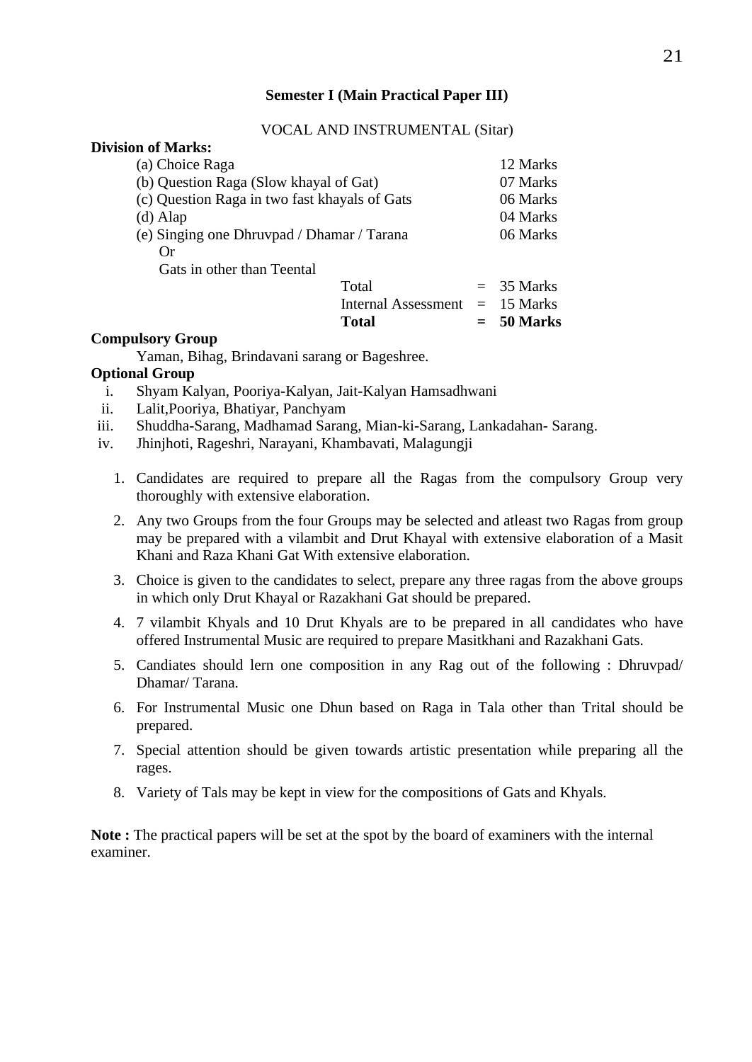#### **Semester I (Main Practical Paper III)**

#### VOCAL AND INSTRUMENTAL (Sitar)

| (a) Choice Raga                               | 12 Marks     |
|-----------------------------------------------|--------------|
| (b) Question Raga (Slow khayal of Gat)        | 07 Marks     |
| (c) Question Raga in two fast khayals of Gats | 06 Marks     |
| $(d)$ Alap                                    | 04 Marks     |
| (e) Singing one Dhruvpad / Dhamar / Tarana    | 06 Marks     |
| Оr                                            |              |
| Gats in other than Teental                    |              |
| Total                                         | $=$ 35 Marks |
| Internal Assessment $= 15$ Marks              |              |

# **Total = 50 Marks**

#### **Compulsory Group**

Yaman, Bihag, Brindavani sarang or Bageshree.

#### **Optional Group**

- i. Shyam Kalyan, Pooriya-Kalyan, Jait-Kalyan Hamsadhwani
- ii. Lalit,Pooriya, Bhatiyar, Panchyam
- iii. Shuddha-Sarang, Madhamad Sarang, Mian-ki-Sarang, Lankadahan- Sarang.
- iv. Jhinjhoti, Rageshri, Narayani, Khambavati, Malagungji
	- 1. Candidates are required to prepare all the Ragas from the compulsory Group very thoroughly with extensive elaboration.
	- 2. Any two Groups from the four Groups may be selected and atleast two Ragas from group may be prepared with a vilambit and Drut Khayal with extensive elaboration of a Masit Khani and Raza Khani Gat With extensive elaboration.
	- 3. Choice is given to the candidates to select, prepare any three ragas from the above groups in which only Drut Khayal or Razakhani Gat should be prepared.
	- 4. 7 vilambit Khyals and 10 Drut Khyals are to be prepared in all candidates who have offered Instrumental Music are required to prepare Masitkhani and Razakhani Gats.
	- 5. Candiates should lern one composition in any Rag out of the following : Dhruvpad/ Dhamar/ Tarana.
	- 6. For Instrumental Music one Dhun based on Raga in Tala other than Trital should be prepared.
	- 7. Special attention should be given towards artistic presentation while preparing all the rages.
	- 8. Variety of Tals may be kept in view for the compositions of Gats and Khyals.

**Note :** The practical papers will be set at the spot by the board of examiners with the internal examiner.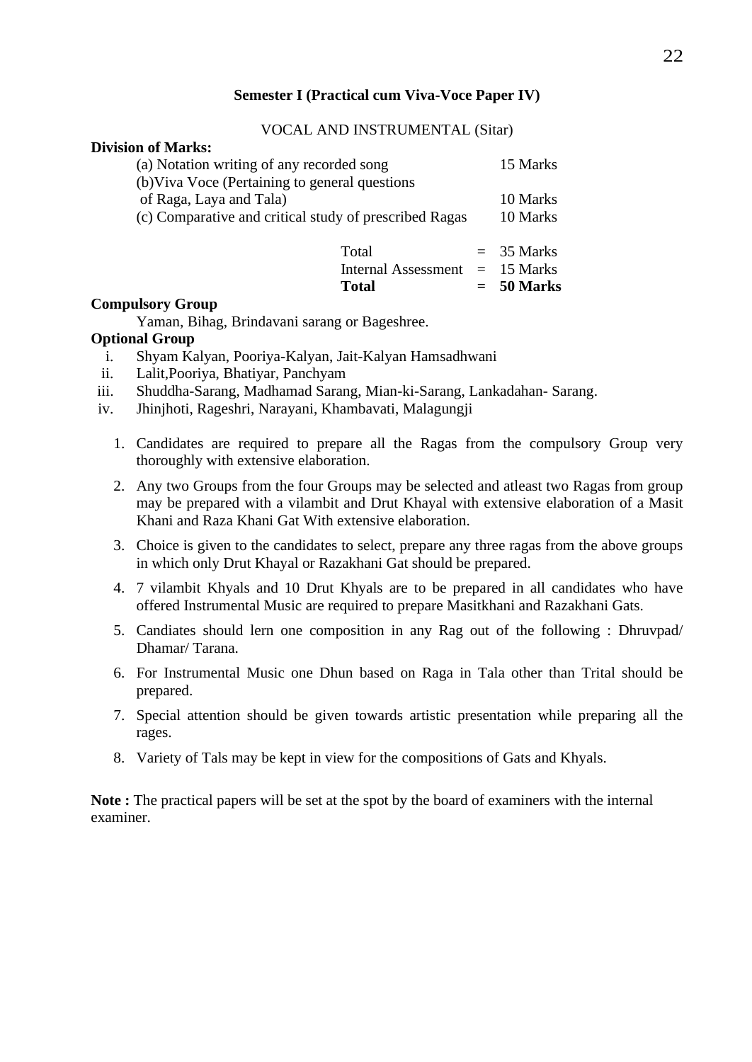#### **Semester I (Practical cum Viva-Voce Paper IV)**

#### VOCAL AND INSTRUMENTAL (Sitar)

#### **Division of Marks:**

| (a) Notation writing of any recorded song                                                                                           | 15 Marks             |
|-------------------------------------------------------------------------------------------------------------------------------------|----------------------|
| (b) Viva Voce (Pertaining to general questions<br>of Raga, Laya and Tala)<br>(c) Comparative and critical study of prescribed Ragas | 10 Marks<br>10 Marks |
| Total                                                                                                                               | $=$ 35 Marks         |

#### Internal Assessment = 15 Marks

#### **Compulsory Group**

Yaman, Bihag, Brindavani sarang or Bageshree.

#### **Optional Group**

- i. Shyam Kalyan, Pooriya-Kalyan, Jait-Kalyan Hamsadhwani
- ii. Lalit,Pooriya, Bhatiyar, Panchyam
- iii. Shuddha-Sarang, Madhamad Sarang, Mian-ki-Sarang, Lankadahan- Sarang.
- iv. Jhinjhoti, Rageshri, Narayani, Khambavati, Malagungji
	- 1. Candidates are required to prepare all the Ragas from the compulsory Group very thoroughly with extensive elaboration.
	- 2. Any two Groups from the four Groups may be selected and atleast two Ragas from group may be prepared with a vilambit and Drut Khayal with extensive elaboration of a Masit Khani and Raza Khani Gat With extensive elaboration.
	- 3. Choice is given to the candidates to select, prepare any three ragas from the above groups in which only Drut Khayal or Razakhani Gat should be prepared.
	- 4. 7 vilambit Khyals and 10 Drut Khyals are to be prepared in all candidates who have offered Instrumental Music are required to prepare Masitkhani and Razakhani Gats.
	- 5. Candiates should lern one composition in any Rag out of the following : Dhruvpad/ Dhamar/ Tarana.
	- 6. For Instrumental Music one Dhun based on Raga in Tala other than Trital should be prepared.
	- 7. Special attention should be given towards artistic presentation while preparing all the rages.
	- 8. Variety of Tals may be kept in view for the compositions of Gats and Khyals.

**Note :** The practical papers will be set at the spot by the board of examiners with the internal examiner.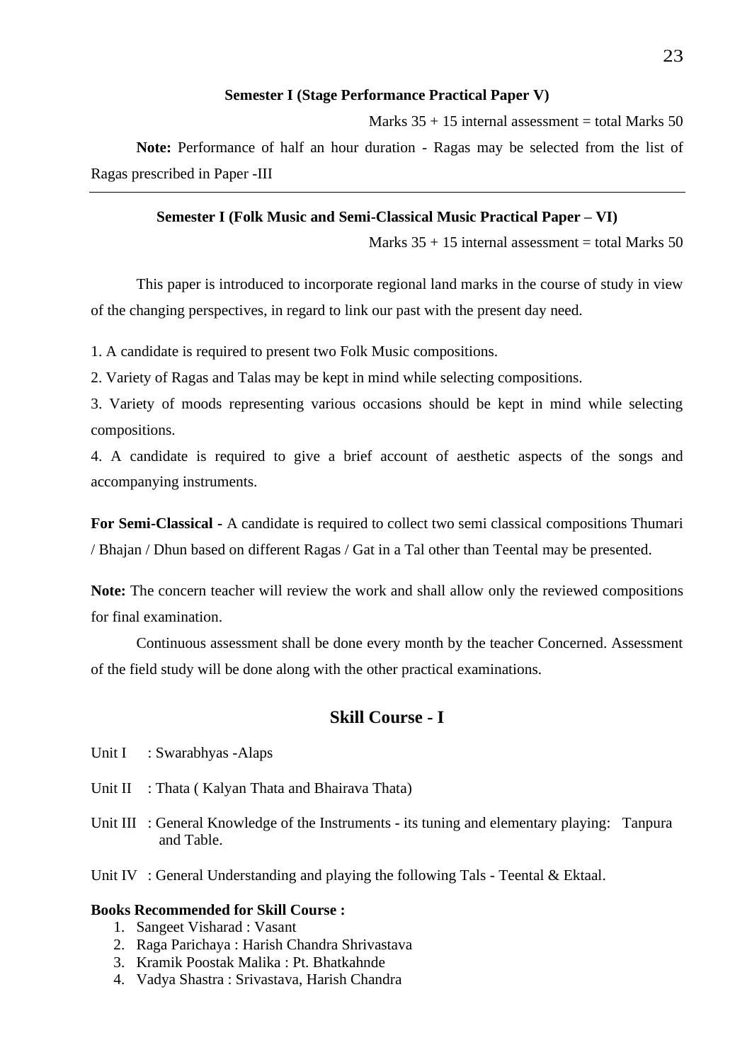#### **Semester I (Stage Performance Practical Paper V)**

Marks  $35 + 15$  internal assessment = total Marks 50 **Note:** Performance of half an hour duration - Ragas may be selected from the list of Ragas prescribed in Paper -III

#### **Semester I (Folk Music and Semi-Classical Music Practical Paper – VI)**

Marks  $35 + 15$  internal assessment = total Marks 50

This paper is introduced to incorporate regional land marks in the course of study in view of the changing perspectives, in regard to link our past with the present day need.

1. A candidate is required to present two Folk Music compositions.

2. Variety of Ragas and Talas may be kept in mind while selecting compositions.

3. Variety of moods representing various occasions should be kept in mind while selecting compositions.

4. A candidate is required to give a brief account of aesthetic aspects of the songs and accompanying instruments.

**For Semi-Classical -** A candidate is required to collect two semi classical compositions Thumari / Bhajan / Dhun based on different Ragas / Gat in a Tal other than Teental may be presented.

**Note:** The concern teacher will review the work and shall allow only the reviewed compositions for final examination.

Continuous assessment shall be done every month by the teacher Concerned. Assessment of the field study will be done along with the other practical examinations.

#### **Skill Course - I**

- Unit I : Swarabhyas -Alaps
- Unit II : Thata ( Kalyan Thata and Bhairava Thata)
- Unit III : General Knowledge of the Instruments its tuning and elementary playing: Tanpura and Table.
- Unit IV : General Understanding and playing the following Tals Teental & Ektaal.

#### **Books Recommended for Skill Course :**

- 1. Sangeet Visharad : Vasant
- 2. Raga Parichaya : Harish Chandra Shrivastava
- 3. Kramik Poostak Malika : Pt. Bhatkahnde
- 4. Vadya Shastra : Srivastava, Harish Chandra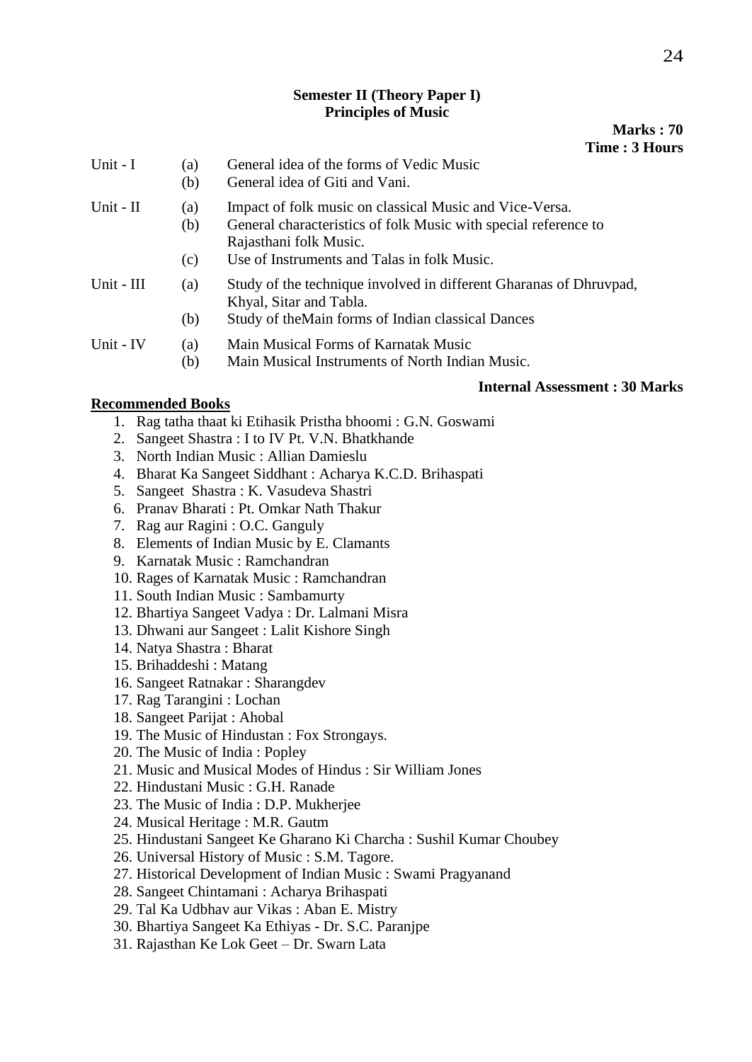#### **Semester II (Theory Paper I) Principles of Music**

#### **Marks : 70 Time : 3 Hours**

| Unit - I   | (a)<br>(b)        | General idea of the forms of Vedic Music<br>General idea of Giti and Vani.                                                                                                                          |
|------------|-------------------|-----------------------------------------------------------------------------------------------------------------------------------------------------------------------------------------------------|
| Unit - II  | (a)<br>(b)<br>(c) | Impact of folk music on classical Music and Vice-Versa.<br>General characteristics of folk Music with special reference to<br>Rajasthani folk Music.<br>Use of Instruments and Talas in folk Music. |
| Unit - III | (a)<br>(b)        | Study of the technique involved in different Gharanas of Dhruvpad,<br>Khyal, Sitar and Tabla.<br>Study of the Main forms of Indian classical Dances                                                 |
| Unit - IV  | (a)<br>(b)        | Main Musical Forms of Karnatak Music<br>Main Musical Instruments of North Indian Music.                                                                                                             |

# **Internal Assessment : 30 Marks**

#### **Recommended Books**

- 1. Rag tatha thaat ki Etihasik Pristha bhoomi : G.N. Goswami
- 2. Sangeet Shastra : I to IV Pt. V.N. Bhatkhande
- 3. North Indian Music : Allian Damieslu
- 4. Bharat Ka Sangeet Siddhant : Acharya K.C.D. Brihaspati
- 5. Sangeet Shastra : K. Vasudeva Shastri
- 6. Pranav Bharati : Pt. Omkar Nath Thakur
- 7. Rag aur Ragini : O.C. Ganguly
- 8. Elements of Indian Music by E. Clamants
- 9. Karnatak Music : Ramchandran
- 10. Rages of Karnatak Music : Ramchandran
- 11. South Indian Music : Sambamurty
- 12. Bhartiya Sangeet Vadya : Dr. Lalmani Misra
- 13. Dhwani aur Sangeet : Lalit Kishore Singh
- 14. Natya Shastra : Bharat
- 15. Brihaddeshi : Matang
- 16. Sangeet Ratnakar : Sharangdev
- 17. Rag Tarangini : Lochan
- 18. Sangeet Parijat : Ahobal
- 19. The Music of Hindustan : Fox Strongays.
- 20. The Music of India : Popley
- 21. Music and Musical Modes of Hindus : Sir William Jones
- 22. Hindustani Music : G.H. Ranade
- 23. The Music of India : D.P. Mukherjee
- 24. Musical Heritage : M.R. Gautm
- 25. Hindustani Sangeet Ke Gharano Ki Charcha : Sushil Kumar Choubey
- 26. Universal History of Music : S.M. Tagore.
- 27. Historical Development of Indian Music : Swami Pragyanand
- 28. Sangeet Chintamani : Acharya Brihaspati
- 29. Tal Ka Udbhav aur Vikas : Aban E. Mistry
- 30. Bhartiya Sangeet Ka Ethiyas Dr. S.C. Paranjpe
- 31. Rajasthan Ke Lok Geet Dr. Swarn Lata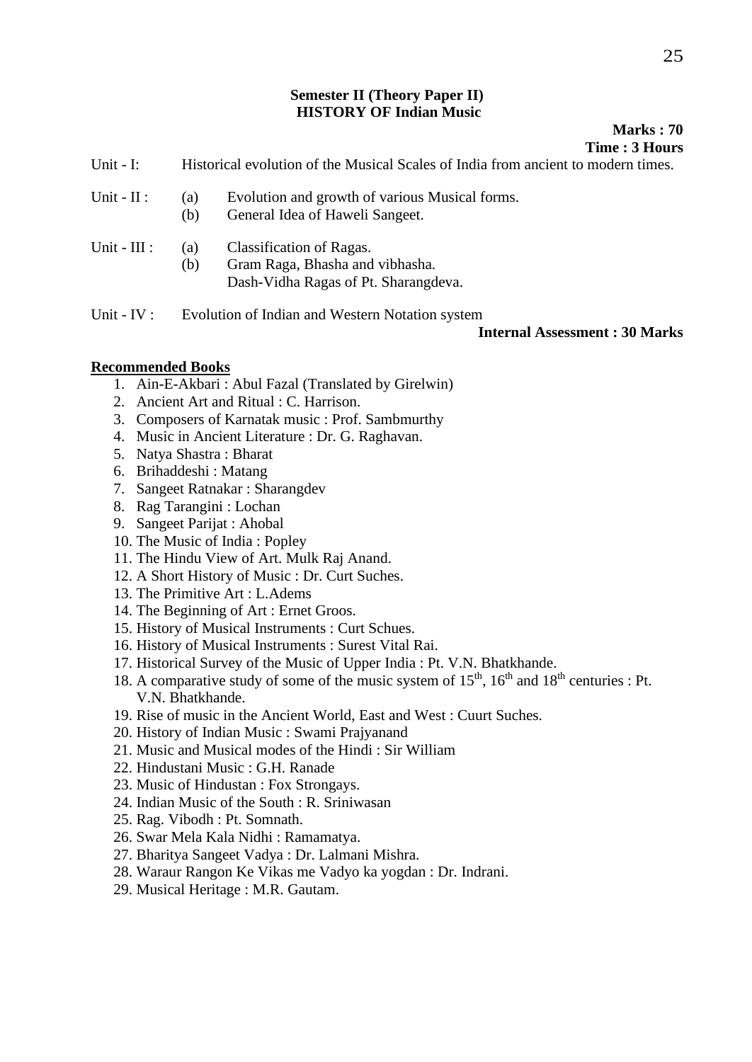#### **Semester II (Theory Paper II) HISTORY OF Indian Music**

#### **Marks : 70 Time : 3 Hours**

- Unit I: Historical evolution of the Musical Scales of India from ancient to modern times.
- Unit II : (a) Evolution and growth of various Musical forms.
	- (b) General Idea of Haweli Sangeet.
- Unit III : (a) Classification of Ragas. (b) Gram Raga, Bhasha and vibhasha. Dash-Vidha Ragas of Pt. Sharangdeva.
- Unit IV : Evolution of Indian and Western Notation system

#### **Internal Assessment : 30 Marks**

#### **Recommended Books**

- 1. Ain-E-Akbari : Abul Fazal (Translated by Girelwin)
- 2. Ancient Art and Ritual : C. Harrison.
- 3. Composers of Karnatak music : Prof. Sambmurthy
- 4. Music in Ancient Literature : Dr. G. Raghavan.
- 5. Natya Shastra : Bharat
- 6. Brihaddeshi : Matang
- 7. Sangeet Ratnakar : Sharangdev
- 8. Rag Tarangini : Lochan
- 9. Sangeet Parijat : Ahobal
- 10. The Music of India : Popley
- 11. The Hindu View of Art. Mulk Raj Anand.
- 12. A Short History of Music : Dr. Curt Suches.
- 13. The Primitive Art : L.Adems
- 14. The Beginning of Art : Ernet Groos.
- 15. History of Musical Instruments : Curt Schues.
- 16. History of Musical Instruments : Surest Vital Rai.
- 17. Historical Survey of the Music of Upper India : Pt. V.N. Bhatkhande.
- 18. A comparative study of some of the music system of  $15<sup>th</sup>$ ,  $16<sup>th</sup>$  and  $18<sup>th</sup>$  centuries : Pt. V.N. Bhatkhande.
- 19. Rise of music in the Ancient World, East and West : Cuurt Suches.
- 20. History of Indian Music : Swami Prajyanand
- 21. Music and Musical modes of the Hindi : Sir William
- 22. Hindustani Music : G.H. Ranade
- 23. Music of Hindustan : Fox Strongays.
- 24. Indian Music of the South : R. Sriniwasan
- 25. Rag. Vibodh : Pt. Somnath.
- 26. Swar Mela Kala Nidhi : Ramamatya.
- 27. Bharitya Sangeet Vadya : Dr. Lalmani Mishra.
- 28. Waraur Rangon Ke Vikas me Vadyo ka yogdan : Dr. Indrani.
- 29. Musical Heritage : M.R. Gautam.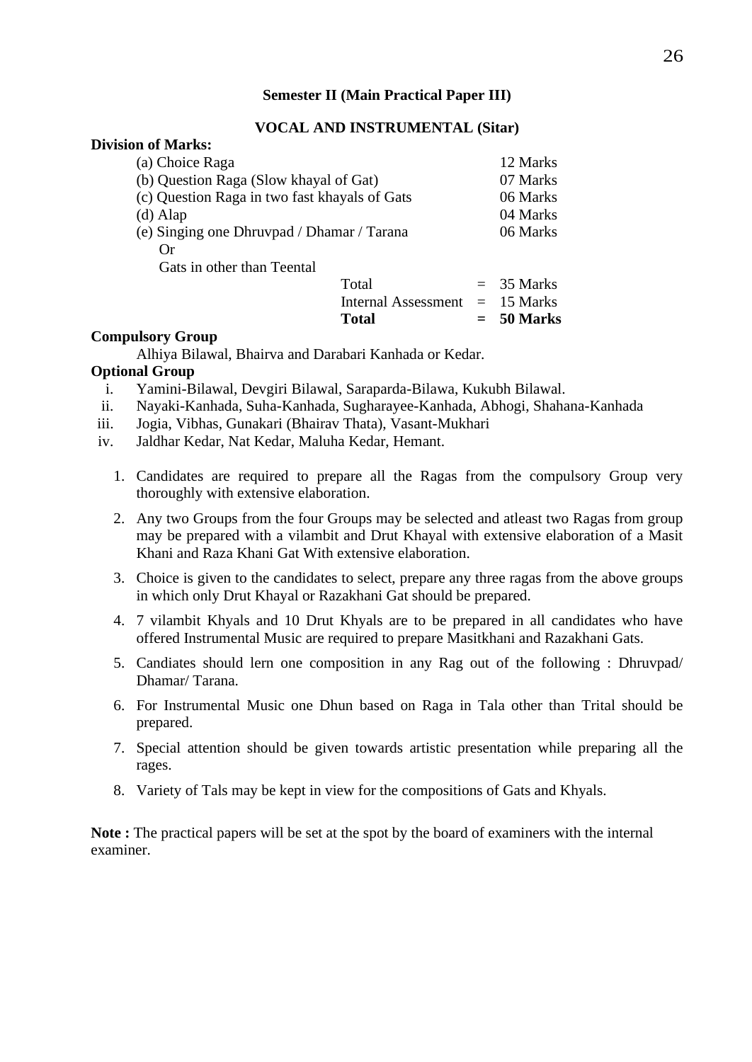#### **Semester II (Main Practical Paper III)**

#### **VOCAL AND INSTRUMENTAL (Sitar)**

#### **Division of Marks:**

| (a) Choice Raga                               | 12 Marks     |
|-----------------------------------------------|--------------|
| (b) Question Raga (Slow khayal of Gat)        | 07 Marks     |
| (c) Question Raga in two fast khayals of Gats | 06 Marks     |
| $(d)$ Alap                                    | 04 Marks     |
| (e) Singing one Dhruvpad / Dhamar / Tarana    | 06 Marks     |
| Or                                            |              |
| Gats in other than Teental                    |              |
| Total                                         | $=$ 35 Marks |
| Internal Assessment $= 15$ Marks              |              |

#### **Compulsory Group**

Alhiya Bilawal, Bhairva and Darabari Kanhada or Kedar.

#### **Optional Group**

- i. Yamini-Bilawal, Devgiri Bilawal, Saraparda-Bilawa, Kukubh Bilawal.
- ii. Nayaki-Kanhada, Suha-Kanhada, Sugharayee-Kanhada, Abhogi, Shahana-Kanhada
- iii. Jogia, Vibhas, Gunakari (Bhairav Thata), Vasant-Mukhari
- iv. Jaldhar Kedar, Nat Kedar, Maluha Kedar, Hemant.
	- 1. Candidates are required to prepare all the Ragas from the compulsory Group very thoroughly with extensive elaboration.

**Total = 50 Marks**

- 2. Any two Groups from the four Groups may be selected and atleast two Ragas from group may be prepared with a vilambit and Drut Khayal with extensive elaboration of a Masit Khani and Raza Khani Gat With extensive elaboration.
- 3. Choice is given to the candidates to select, prepare any three ragas from the above groups in which only Drut Khayal or Razakhani Gat should be prepared.
- 4. 7 vilambit Khyals and 10 Drut Khyals are to be prepared in all candidates who have offered Instrumental Music are required to prepare Masitkhani and Razakhani Gats.
- 5. Candiates should lern one composition in any Rag out of the following : Dhruvpad/ Dhamar/ Tarana.
- 6. For Instrumental Music one Dhun based on Raga in Tala other than Trital should be prepared.
- 7. Special attention should be given towards artistic presentation while preparing all the rages.
- 8. Variety of Tals may be kept in view for the compositions of Gats and Khyals.

**Note :** The practical papers will be set at the spot by the board of examiners with the internal examiner.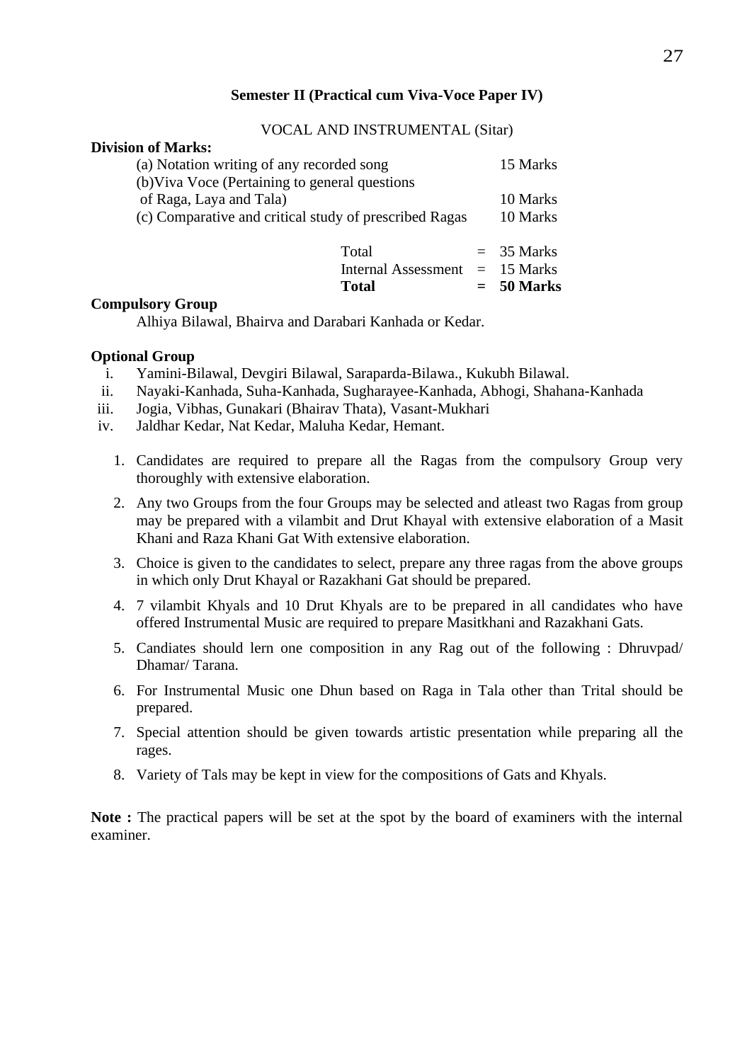#### **Semester II (Practical cum Viva-Voce Paper IV)**

#### VOCAL AND INSTRUMENTAL (Sitar)

#### **Division of Marks:**

| Total<br><b>Internal Assessment</b><br><b>Total</b>                                         | $=$ 35 Marks<br>$=$ 15 Marks<br>$= 50$ Marks |
|---------------------------------------------------------------------------------------------|----------------------------------------------|
| of Raga, Laya and Tala)<br>(c) Comparative and critical study of prescribed Ragas           | 10 Marks<br>10 Marks                         |
| (a) Notation writing of any recorded song<br>(b) Viva Voce (Pertaining to general questions | 15 Marks                                     |

#### **Compulsory Group**

Alhiya Bilawal, Bhairva and Darabari Kanhada or Kedar.

#### **Optional Group**

- i. Yamini-Bilawal, Devgiri Bilawal, Saraparda-Bilawa., Kukubh Bilawal.
- ii. Nayaki-Kanhada, Suha-Kanhada, Sugharayee-Kanhada, Abhogi, Shahana-Kanhada
- iii. Jogia, Vibhas, Gunakari (Bhairav Thata), Vasant-Mukhari
- iv. Jaldhar Kedar, Nat Kedar, Maluha Kedar, Hemant.
	- 1. Candidates are required to prepare all the Ragas from the compulsory Group very thoroughly with extensive elaboration.
	- 2. Any two Groups from the four Groups may be selected and atleast two Ragas from group may be prepared with a vilambit and Drut Khayal with extensive elaboration of a Masit Khani and Raza Khani Gat With extensive elaboration.
	- 3. Choice is given to the candidates to select, prepare any three ragas from the above groups in which only Drut Khayal or Razakhani Gat should be prepared.
	- 4. 7 vilambit Khyals and 10 Drut Khyals are to be prepared in all candidates who have offered Instrumental Music are required to prepare Masitkhani and Razakhani Gats.
	- 5. Candiates should lern one composition in any Rag out of the following : Dhruvpad/ Dhamar/ Tarana.
	- 6. For Instrumental Music one Dhun based on Raga in Tala other than Trital should be prepared.
	- 7. Special attention should be given towards artistic presentation while preparing all the rages.
	- 8. Variety of Tals may be kept in view for the compositions of Gats and Khyals.

**Note :** The practical papers will be set at the spot by the board of examiners with the internal examiner.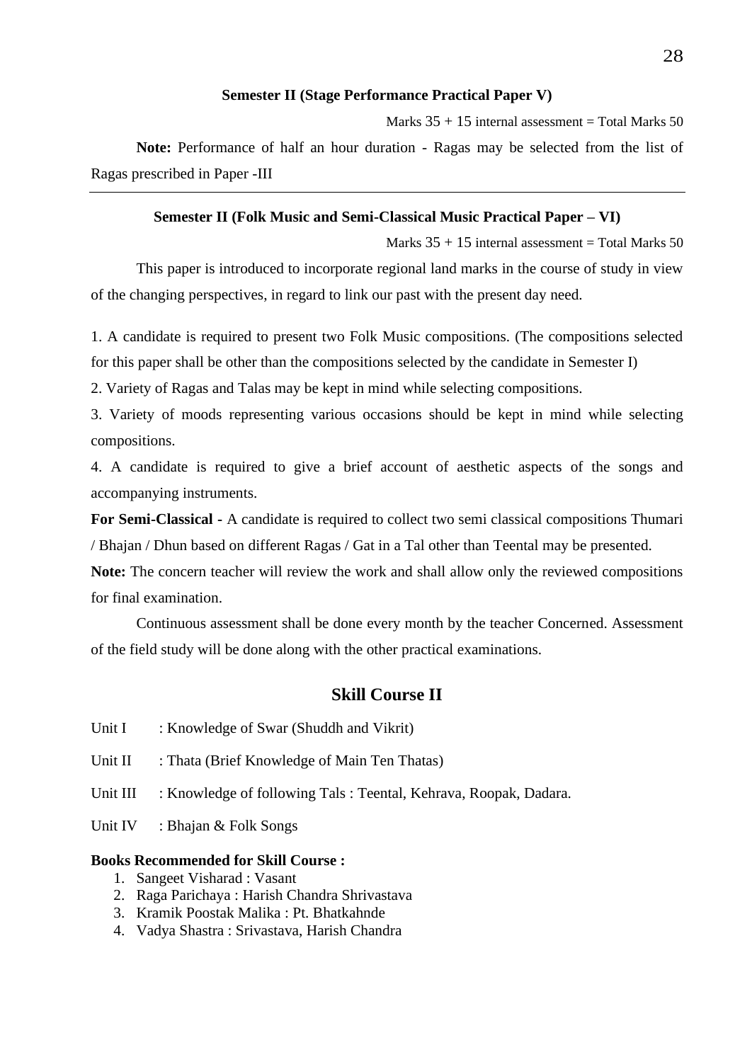#### **Semester II (Stage Performance Practical Paper V)**

Marks  $35 + 15$  internal assessment = Total Marks 50 **Note:** Performance of half an hour duration - Ragas may be selected from the list of Ragas prescribed in Paper -III

#### **Semester II (Folk Music and Semi-Classical Music Practical Paper – VI)**

Marks  $35 + 15$  internal assessment = Total Marks 50 This paper is introduced to incorporate regional land marks in the course of study in view of the changing perspectives, in regard to link our past with the present day need.

1. A candidate is required to present two Folk Music compositions. (The compositions selected for this paper shall be other than the compositions selected by the candidate in Semester I)

2. Variety of Ragas and Talas may be kept in mind while selecting compositions.

3. Variety of moods representing various occasions should be kept in mind while selecting compositions.

4. A candidate is required to give a brief account of aesthetic aspects of the songs and accompanying instruments.

**For Semi-Classical -** A candidate is required to collect two semi classical compositions Thumari / Bhajan / Dhun based on different Ragas / Gat in a Tal other than Teental may be presented.

**Note:** The concern teacher will review the work and shall allow only the reviewed compositions for final examination.

Continuous assessment shall be done every month by the teacher Concerned. Assessment of the field study will be done along with the other practical examinations.

#### **Skill Course II**

- Unit I : Knowledge of Swar (Shuddh and Vikrit)
- Unit II : Thata (Brief Knowledge of Main Ten Thatas)
- Unit III : Knowledge of following Tals : Teental, Kehrava, Roopak, Dadara.
- Unit IV : Bhajan & Folk Songs

#### **Books Recommended for Skill Course :**

- 1. Sangeet Visharad : Vasant
- 2. Raga Parichaya : Harish Chandra Shrivastava
- 3. Kramik Poostak Malika : Pt. Bhatkahnde
- 4. Vadya Shastra : Srivastava, Harish Chandra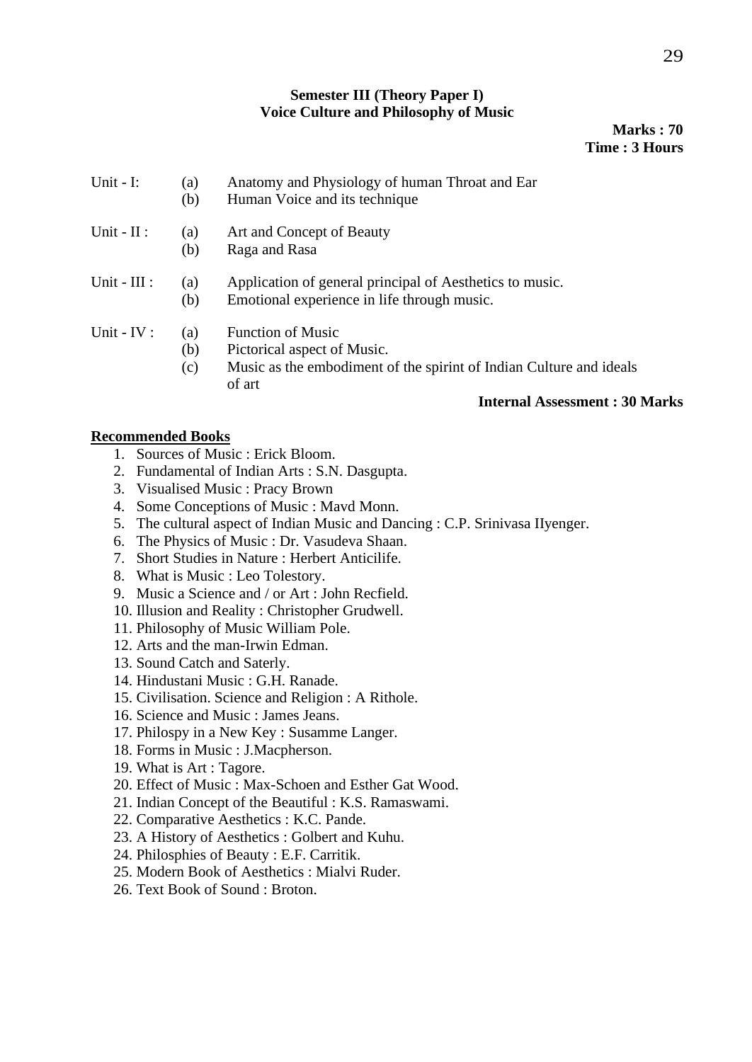#### **Semester III (Theory Paper I) Voice Culture and Philosophy of Music**

**Marks : 70 Time : 3 Hours**

| Unit - $I$ :   | (a)<br>(b)        | Anatomy and Physiology of human Throat and Ear<br>Human Voice and its technique                                                          |
|----------------|-------------------|------------------------------------------------------------------------------------------------------------------------------------------|
| Unit - $II$ :  | (a)<br>(b)        | Art and Concept of Beauty<br>Raga and Rasa                                                                                               |
| Unit - $III$ : | (a)<br>(b)        | Application of general principal of Aesthetics to music.<br>Emotional experience in life through music.                                  |
| Unit - $IV:$   | (a)<br>(b)<br>(c) | <b>Function of Music</b><br>Pictorical aspect of Music.<br>Music as the embodiment of the spirint of Indian Culture and ideals<br>of art |

#### **Internal Assessment : 30 Marks**

#### **Recommended Books**

- 1. Sources of Music : Erick Bloom.
- 2. Fundamental of Indian Arts : S.N. Dasgupta.
- 3. Visualised Music : Pracy Brown
- 4. Some Conceptions of Music : Mavd Monn.
- 5. The cultural aspect of Indian Music and Dancing : C.P. Srinivasa IIyenger.
- 6. The Physics of Music : Dr. Vasudeva Shaan.
- 7. Short Studies in Nature : Herbert Anticilife.
- 8. What is Music : Leo Tolestory.
- 9. Music a Science and / or Art : John Recfield.
- 10. Illusion and Reality : Christopher Grudwell.
- 11. Philosophy of Music William Pole.
- 12. Arts and the man-Irwin Edman.
- 13. Sound Catch and Saterly.
- 14. Hindustani Music : G.H. Ranade.
- 15. Civilisation. Science and Religion : A Rithole.
- 16. Science and Music : James Jeans.
- 17. Philospy in a New Key : Susamme Langer.
- 18. Forms in Music : J.Macpherson.
- 19. What is Art : Tagore.
- 20. Effect of Music : Max-Schoen and Esther Gat Wood.
- 21. Indian Concept of the Beautiful : K.S. Ramaswami.
- 22. Comparative Aesthetics : K.C. Pande.
- 23. A History of Aesthetics : Golbert and Kuhu.
- 24. Philosphies of Beauty : E.F. Carritik.
- 25. Modern Book of Aesthetics : Mialvi Ruder.
- 26. Text Book of Sound : Broton.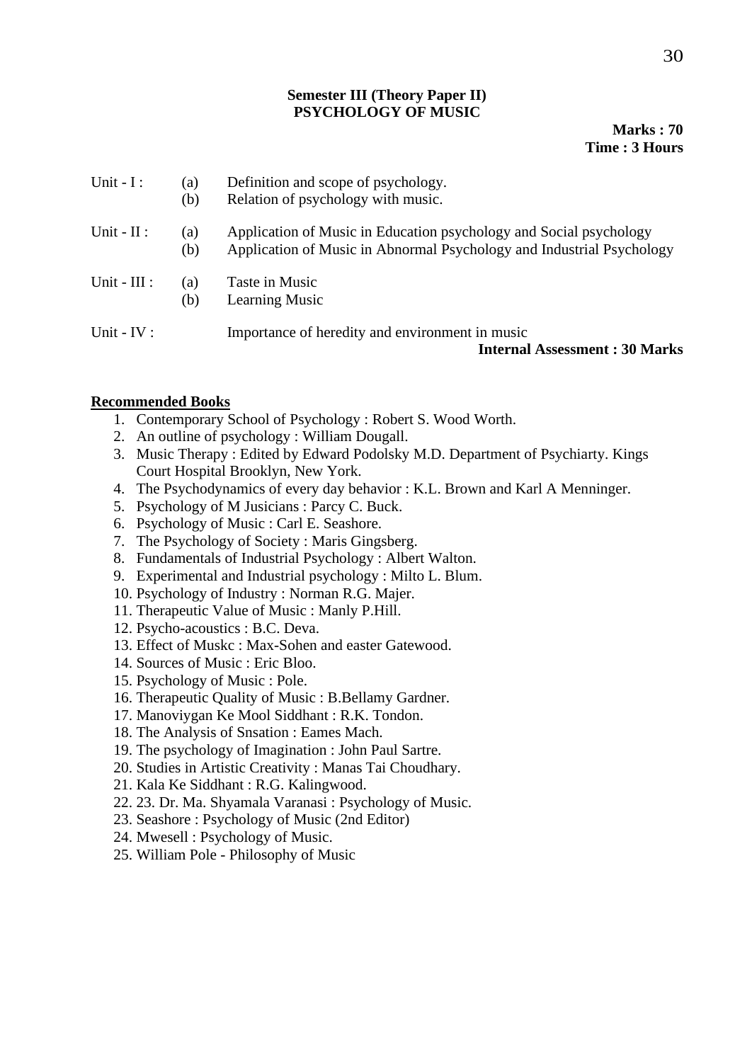#### **Semester III (Theory Paper II) PSYCHOLOGY OF MUSIC**

#### **Marks : 70 Time : 3 Hours**

| Unit $-I$ :    | (a)<br>(b) | Definition and scope of psychology.<br>Relation of psychology with music.                                                                   |
|----------------|------------|---------------------------------------------------------------------------------------------------------------------------------------------|
| Unit - $II$ :  | (a)<br>(b) | Application of Music in Education psychology and Social psychology<br>Application of Music in Abnormal Psychology and Industrial Psychology |
| Unit - $III$ : | (a)<br>(b) | Taste in Music<br><b>Learning Music</b>                                                                                                     |
| Unit - $IV:$   |            | Importance of heredity and environment in music<br><b>Internal Assessment: 30 Marks</b>                                                     |

#### **Recommended Books**

- 1. Contemporary School of Psychology : Robert S. Wood Worth.
- 2. An outline of psychology : William Dougall.
- 3. Music Therapy : Edited by Edward Podolsky M.D. Department of Psychiarty. Kings Court Hospital Brooklyn, New York.
- 4. The Psychodynamics of every day behavior : K.L. Brown and Karl A Menninger.
- 5. Psychology of M Jusicians : Parcy C. Buck.
- 6. Psychology of Music : Carl E. Seashore.
- 7. The Psychology of Society : Maris Gingsberg.
- 8. Fundamentals of Industrial Psychology : Albert Walton.
- 9. Experimental and Industrial psychology : Milto L. Blum.
- 10. Psychology of Industry : Norman R.G. Majer.
- 11. Therapeutic Value of Music : Manly P.Hill.
- 12. Psycho-acoustics : B.C. Deva.
- 13. Effect of Muskc : Max-Sohen and easter Gatewood.
- 14. Sources of Music : Eric Bloo.
- 15. Psychology of Music : Pole.
- 16. Therapeutic Quality of Music : B.Bellamy Gardner.
- 17. Manoviygan Ke Mool Siddhant : R.K. Tondon.
- 18. The Analysis of Snsation : Eames Mach.
- 19. The psychology of Imagination : John Paul Sartre.
- 20. Studies in Artistic Creativity : Manas Tai Choudhary.
- 21. Kala Ke Siddhant : R.G. Kalingwood.
- 22. 23. Dr. Ma. Shyamala Varanasi : Psychology of Music.
- 23. Seashore : Psychology of Music (2nd Editor)
- 24. Mwesell : Psychology of Music.
- 25. William Pole Philosophy of Music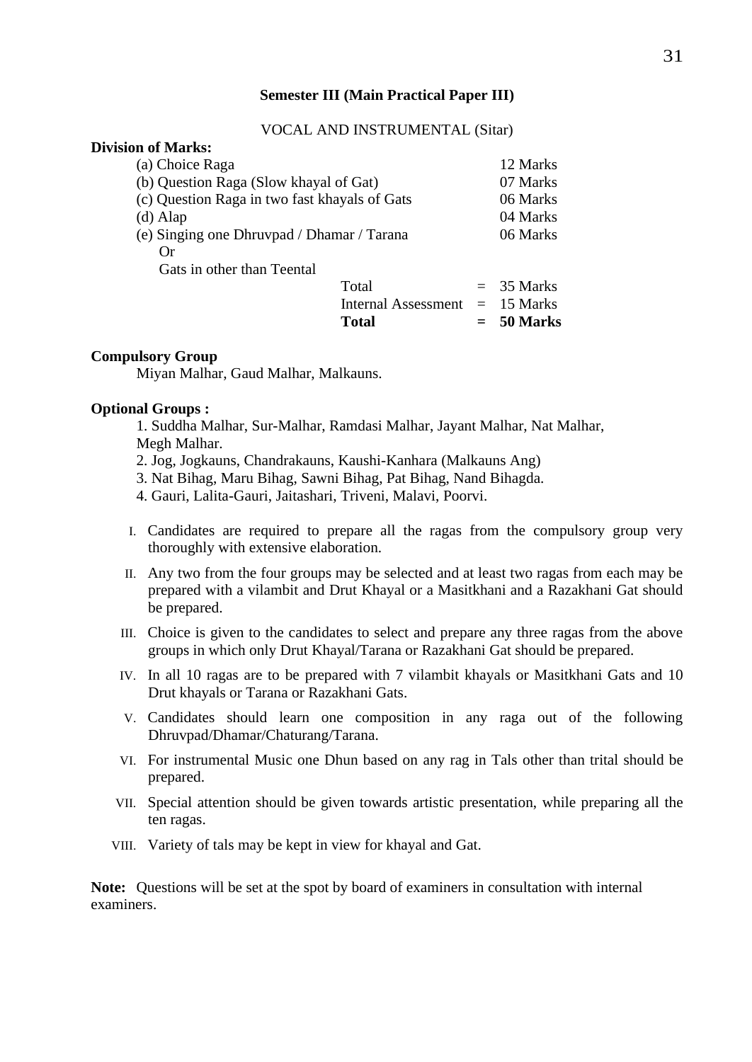#### **Semester III (Main Practical Paper III)**

#### VOCAL AND INSTRUMENTAL (Sitar)

| <b>Division of Marks:</b>                     |                                  |              |
|-----------------------------------------------|----------------------------------|--------------|
| (a) Choice Raga                               |                                  | 12 Marks     |
| (b) Question Raga (Slow khayal of Gat)        |                                  | 07 Marks     |
| (c) Question Raga in two fast khayals of Gats |                                  | 06 Marks     |
| $(d)$ Alap                                    |                                  | 04 Marks     |
| (e) Singing one Dhruvpad / Dhamar / Tarana    |                                  | 06 Marks     |
| ()r                                           |                                  |              |
| Gats in other than Teental                    |                                  |              |
|                                               | Total                            | $=$ 35 Marks |
|                                               | Internal Assessment $= 15$ Marks |              |
|                                               | Total                            | $=$ 50 Marks |

#### **Compulsory Group**

Miyan Malhar, Gaud Malhar, Malkauns.

#### **Optional Groups :**

1. Suddha Malhar, Sur-Malhar, Ramdasi Malhar, Jayant Malhar, Nat Malhar, Megh Malhar.

- 2. Jog, Jogkauns, Chandrakauns, Kaushi-Kanhara (Malkauns Ang)
- 3. Nat Bihag, Maru Bihag, Sawni Bihag, Pat Bihag, Nand Bihagda.
- 4. Gauri, Lalita-Gauri, Jaitashari, Triveni, Malavi, Poorvi.
- I. Candidates are required to prepare all the ragas from the compulsory group very thoroughly with extensive elaboration.
- II. Any two from the four groups may be selected and at least two ragas from each may be prepared with a vilambit and Drut Khayal or a Masitkhani and a Razakhani Gat should be prepared.
- III. Choice is given to the candidates to select and prepare any three ragas from the above groups in which only Drut Khayal/Tarana or Razakhani Gat should be prepared.
- IV. In all 10 ragas are to be prepared with 7 vilambit khayals or Masitkhani Gats and 10 Drut khayals or Tarana or Razakhani Gats.
- V. Candidates should learn one composition in any raga out of the following Dhruvpad/Dhamar/Chaturang/Tarana.
- VI. For instrumental Music one Dhun based on any rag in Tals other than trital should be prepared.
- VII. Special attention should be given towards artistic presentation, while preparing all the ten ragas.
- VIII. Variety of tals may be kept in view for khayal and Gat.

**Note:** Questions will be set at the spot by board of examiners in consultation with internal examiners.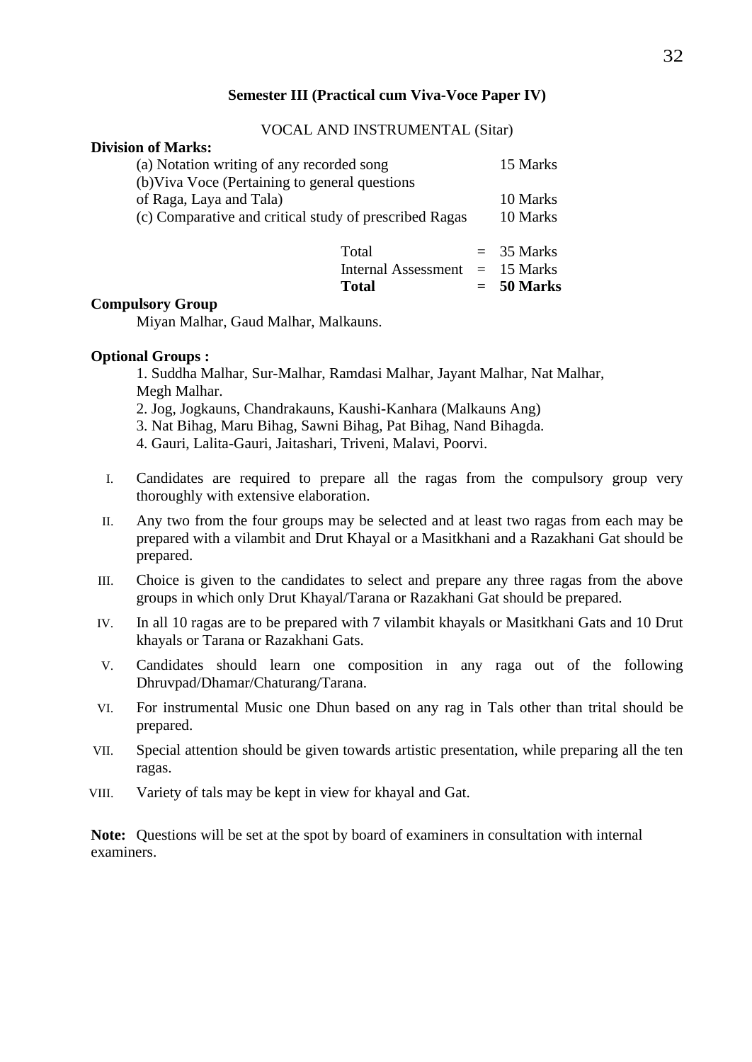#### **Semester III (Practical cum Viva-Voce Paper IV)**

#### VOCAL AND INSTRUMENTAL (Sitar)

**Total = 50 Marks**

#### **Division of Marks:**

| (a) Notation writing of any recorded song<br>(b) Viva Voce (Pertaining to general questions |                                           |  | 15 Marks             |
|---------------------------------------------------------------------------------------------|-------------------------------------------|--|----------------------|
| of Raga, Laya and Tala)<br>(c) Comparative and critical study of prescribed Ragas           |                                           |  | 10 Marks<br>10 Marks |
|                                                                                             | Total<br>Internal Assessment $= 15$ Marks |  | $=$ 35 Marks         |

#### **Compulsory Group**

Miyan Malhar, Gaud Malhar, Malkauns.

#### **Optional Groups :**

1. Suddha Malhar, Sur-Malhar, Ramdasi Malhar, Jayant Malhar, Nat Malhar, Megh Malhar.

- 2. Jog, Jogkauns, Chandrakauns, Kaushi-Kanhara (Malkauns Ang)
- 3. Nat Bihag, Maru Bihag, Sawni Bihag, Pat Bihag, Nand Bihagda.

4. Gauri, Lalita-Gauri, Jaitashari, Triveni, Malavi, Poorvi.

- I. Candidates are required to prepare all the ragas from the compulsory group very thoroughly with extensive elaboration.
- II. Any two from the four groups may be selected and at least two ragas from each may be prepared with a vilambit and Drut Khayal or a Masitkhani and a Razakhani Gat should be prepared.
- III. Choice is given to the candidates to select and prepare any three ragas from the above groups in which only Drut Khayal/Tarana or Razakhani Gat should be prepared.
- IV. In all 10 ragas are to be prepared with 7 vilambit khayals or Masitkhani Gats and 10 Drut khayals or Tarana or Razakhani Gats.
- V. Candidates should learn one composition in any raga out of the following Dhruvpad/Dhamar/Chaturang/Tarana.
- VI. For instrumental Music one Dhun based on any rag in Tals other than trital should be prepared.
- VII. Special attention should be given towards artistic presentation, while preparing all the ten ragas.
- VIII. Variety of tals may be kept in view for khayal and Gat.

**Note:** Questions will be set at the spot by board of examiners in consultation with internal examiners.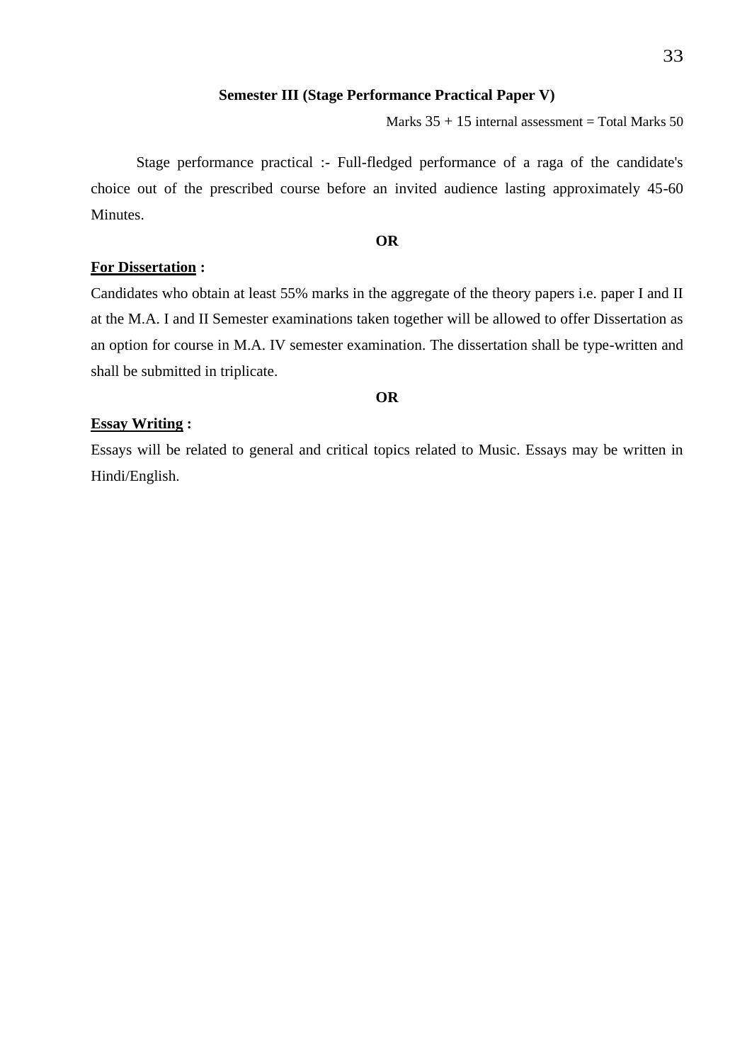#### **Semester III (Stage Performance Practical Paper V)**

Marks  $35 + 15$  internal assessment = Total Marks  $50$ 

Stage performance practical :- Full-fledged performance of a raga of the candidate's choice out of the prescribed course before an invited audience lasting approximately 45-60 Minutes.

#### **OR**

#### **For Dissertation :**

Candidates who obtain at least 55% marks in the aggregate of the theory papers i.e. paper I and II at the M.A. I and II Semester examinations taken together will be allowed to offer Dissertation as an option for course in M.A. IV semester examination. The dissertation shall be type-written and shall be submitted in triplicate.

#### **OR**

#### **Essay Writing :**

Essays will be related to general and critical topics related to Music. Essays may be written in Hindi/English.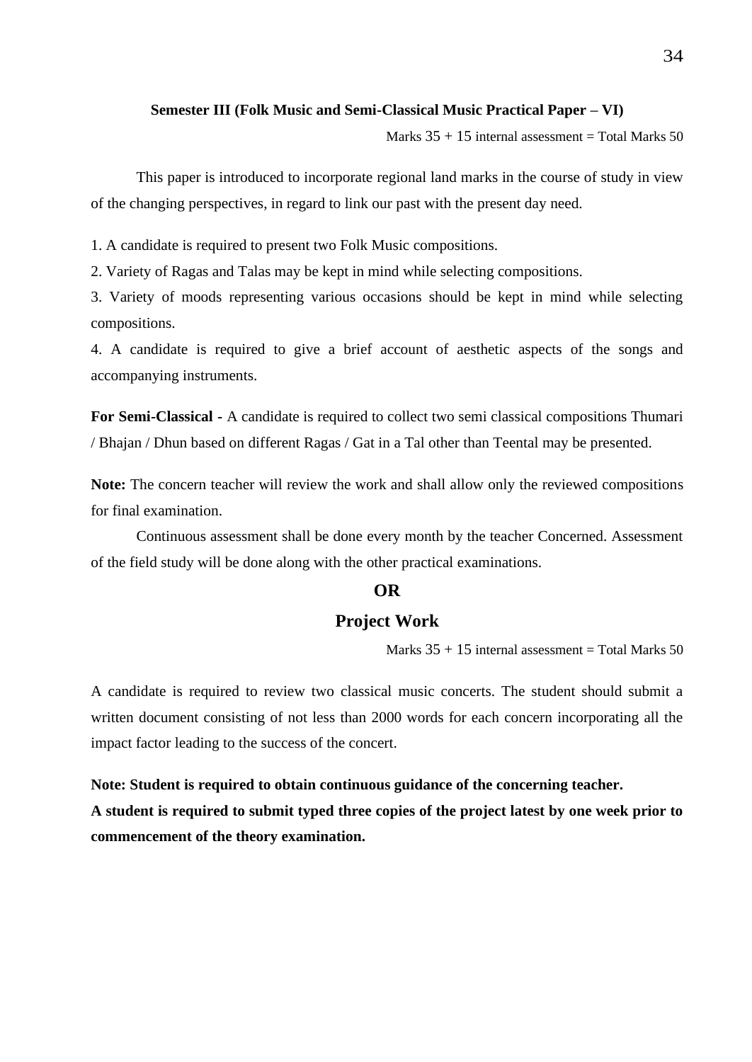#### **Semester III (Folk Music and Semi-Classical Music Practical Paper – VI)**

Marks  $35 + 15$  internal assessment = Total Marks  $50$ 

This paper is introduced to incorporate regional land marks in the course of study in view of the changing perspectives, in regard to link our past with the present day need.

1. A candidate is required to present two Folk Music compositions.

2. Variety of Ragas and Talas may be kept in mind while selecting compositions.

3. Variety of moods representing various occasions should be kept in mind while selecting compositions.

4. A candidate is required to give a brief account of aesthetic aspects of the songs and accompanying instruments.

**For Semi-Classical -** A candidate is required to collect two semi classical compositions Thumari / Bhajan / Dhun based on different Ragas / Gat in a Tal other than Teental may be presented.

**Note:** The concern teacher will review the work and shall allow only the reviewed compositions for final examination.

Continuous assessment shall be done every month by the teacher Concerned. Assessment of the field study will be done along with the other practical examinations.

#### **OR**

#### **Project Work**

Marks  $35 + 15$  internal assessment = Total Marks 50

A candidate is required to review two classical music concerts. The student should submit a written document consisting of not less than 2000 words for each concern incorporating all the impact factor leading to the success of the concert.

# **Note: Student is required to obtain continuous guidance of the concerning teacher. A student is required to submit typed three copies of the project latest by one week prior to commencement of the theory examination.**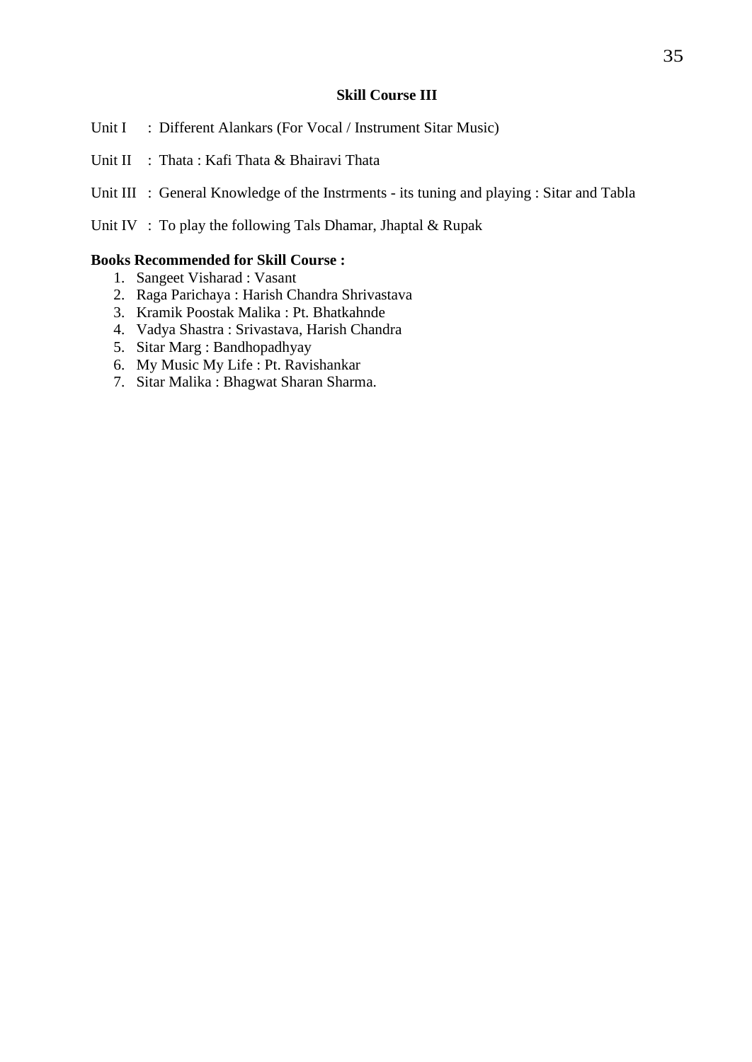#### **Skill Course III**

- Unit I : Different Alankars (For Vocal / Instrument Sitar Music)
- Unit II : Thata : Kafi Thata & Bhairavi Thata
- Unit III : General Knowledge of the Instrments its tuning and playing : Sitar and Tabla
- Unit IV : To play the following Tals Dhamar, Jhaptal & Rupak

#### **Books Recommended for Skill Course :**

- 1. Sangeet Visharad : Vasant
- 2. Raga Parichaya : Harish Chandra Shrivastava
- 3. Kramik Poostak Malika : Pt. Bhatkahnde
- 4. Vadya Shastra : Srivastava, Harish Chandra
- 5. Sitar Marg : Bandhopadhyay
- 6. My Music My Life : Pt. Ravishankar
- 7. Sitar Malika : Bhagwat Sharan Sharma.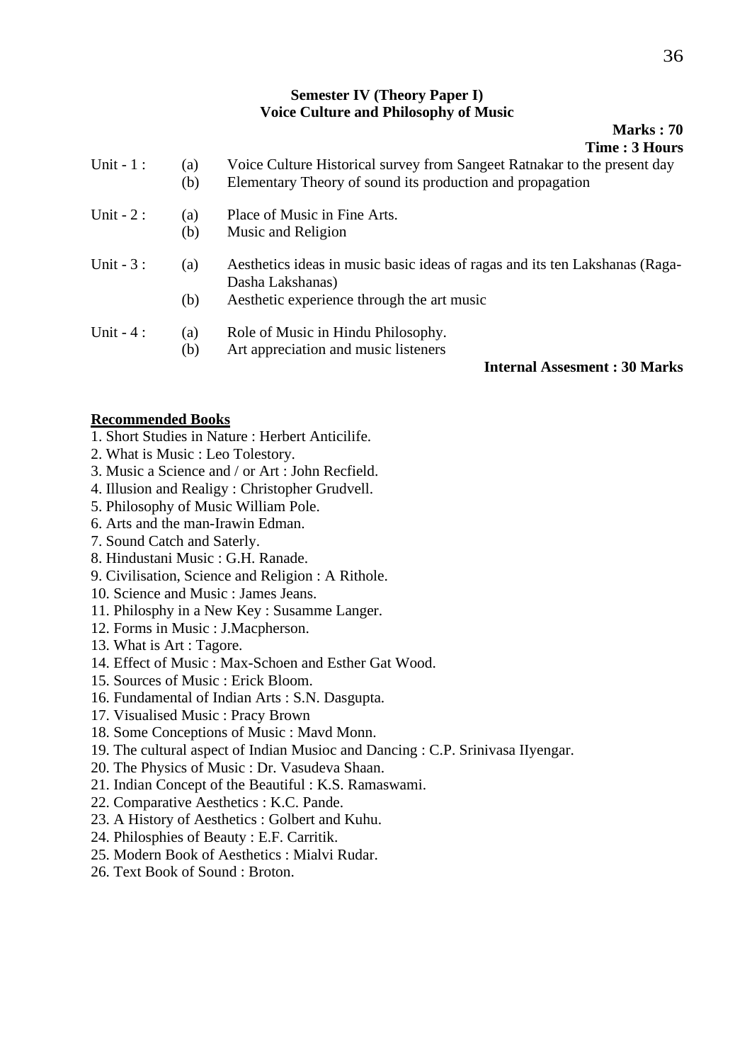#### **Semester IV (Theory Paper I) Voice Culture and Philosophy of Music**

| <b>Marks</b> : 70     |
|-----------------------|
| <b>Time : 3 Hours</b> |

| Unit $-1$ : | (a)<br>(b) | Voice Culture Historical survey from Sangeet Ratnakar to the present day<br>Elementary Theory of sound its production and propagation |
|-------------|------------|---------------------------------------------------------------------------------------------------------------------------------------|
| Unit $-2$ : | (a)        | Place of Music in Fine Arts.                                                                                                          |
|             | (b)        | Music and Religion                                                                                                                    |
| Unit $-3$ : | (a)        | Aesthetics ideas in music basic ideas of ragas and its ten Lakshanas (Raga-                                                           |
|             |            | Dasha Lakshanas)                                                                                                                      |
|             | (b)        | Aesthetic experience through the art music                                                                                            |
| Unit $-4$ : | (a)        | Role of Music in Hindu Philosophy.                                                                                                    |
|             | (b)        | Art appreciation and music listeners                                                                                                  |
|             |            | <b>Internal Assesment: 30 Marks</b>                                                                                                   |

#### **Recommended Books**

- 1. Short Studies in Nature : Herbert Anticilife.
- 2. What is Music : Leo Tolestory.
- 3. Music a Science and / or Art : John Recfield.
- 4. Illusion and Realigy : Christopher Grudvell.
- 5. Philosophy of Music William Pole.
- 6. Arts and the man-Irawin Edman.
- 7. Sound Catch and Saterly.
- 8. Hindustani Music : G.H. Ranade.
- 9. Civilisation, Science and Religion : A Rithole.
- 10. Science and Music : James Jeans.
- 11. Philosphy in a New Key : Susamme Langer.
- 12. Forms in Music : J.Macpherson.
- 13. What is Art : Tagore.
- 14. Effect of Music : Max-Schoen and Esther Gat Wood.
- 15. Sources of Music : Erick Bloom.
- 16. Fundamental of Indian Arts : S.N. Dasgupta.
- 17. Visualised Music : Pracy Brown
- 18. Some Conceptions of Music : Mavd Monn.
- 19. The cultural aspect of Indian Musioc and Dancing : C.P. Srinivasa IIyengar.
- 20. The Physics of Music : Dr. Vasudeva Shaan.
- 21. Indian Concept of the Beautiful : K.S. Ramaswami.
- 22. Comparative Aesthetics : K.C. Pande.
- 23. A History of Aesthetics : Golbert and Kuhu.
- 24. Philosphies of Beauty : E.F. Carritik.
- 25. Modern Book of Aesthetics : Mialvi Rudar.
- 26. Text Book of Sound : Broton.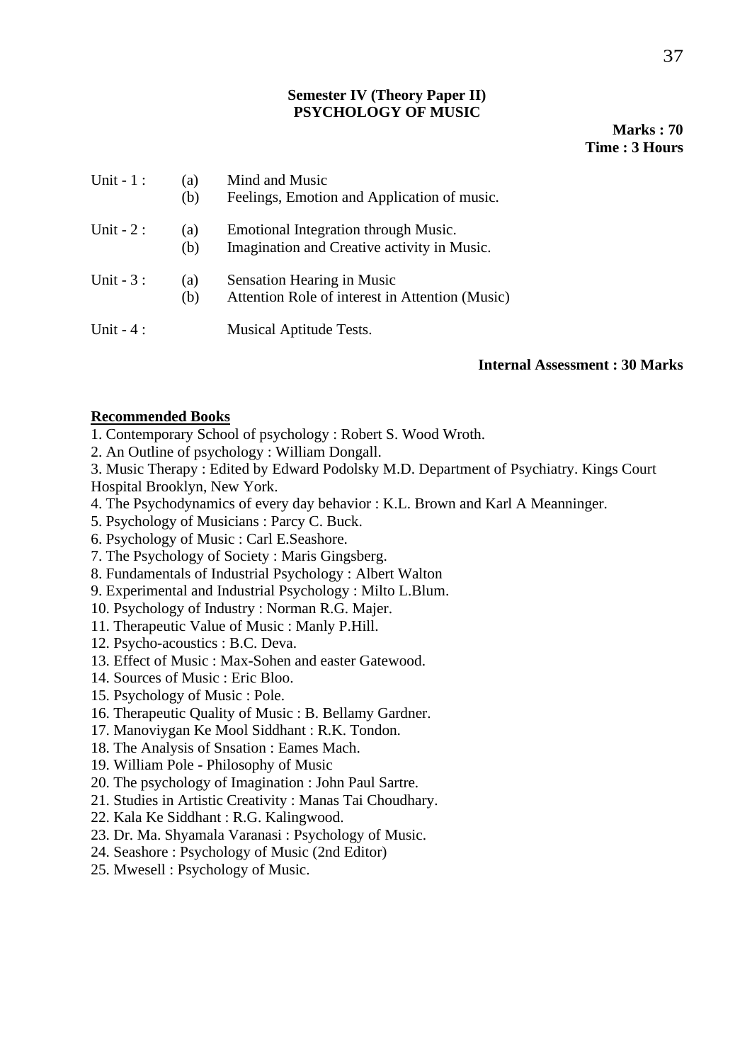#### **Semester IV (Theory Paper II) PSYCHOLOGY OF MUSIC**

**Marks : 70 Time : 3 Hours**

| Unit $-1$ : | (a)<br>(b) | Mind and Music<br>Feelings, Emotion and Application of music.                       |
|-------------|------------|-------------------------------------------------------------------------------------|
| Unit $-2$ : | (a)<br>(b) | Emotional Integration through Music.<br>Imagination and Creative activity in Music. |
| Unit $-3$ : | (a)<br>(b) | Sensation Hearing in Music<br>Attention Role of interest in Attention (Music)       |
| Unit $-4$ : |            | <b>Musical Aptitude Tests.</b>                                                      |

#### **Internal Assessment : 30 Marks**

#### **Recommended Books**

- 1. Contemporary School of psychology : Robert S. Wood Wroth.
- 2. An Outline of psychology : William Dongall.

3. Music Therapy : Edited by Edward Podolsky M.D. Department of Psychiatry. Kings Court Hospital Brooklyn, New York.

- 4. The Psychodynamics of every day behavior : K.L. Brown and Karl A Meanninger.
- 5. Psychology of Musicians : Parcy C. Buck.
- 6. Psychology of Music : Carl E.Seashore.
- 7. The Psychology of Society : Maris Gingsberg.
- 8. Fundamentals of Industrial Psychology : Albert Walton
- 9. Experimental and Industrial Psychology : Milto L.Blum.
- 10. Psychology of Industry : Norman R.G. Majer.
- 11. Therapeutic Value of Music : Manly P.Hill.
- 12. Psycho-acoustics : B.C. Deva.
- 13. Effect of Music : Max-Sohen and easter Gatewood.
- 14. Sources of Music : Eric Bloo.
- 15. Psychology of Music : Pole.
- 16. Therapeutic Quality of Music : B. Bellamy Gardner.
- 17. Manoviygan Ke Mool Siddhant : R.K. Tondon.
- 18. The Analysis of Snsation : Eames Mach.
- 19. William Pole Philosophy of Music
- 20. The psychology of Imagination : John Paul Sartre.
- 21. Studies in Artistic Creativity : Manas Tai Choudhary.
- 22. Kala Ke Siddhant : R.G. Kalingwood.
- 23. Dr. Ma. Shyamala Varanasi : Psychology of Music.
- 24. Seashore : Psychology of Music (2nd Editor)
- 25. Mwesell : Psychology of Music.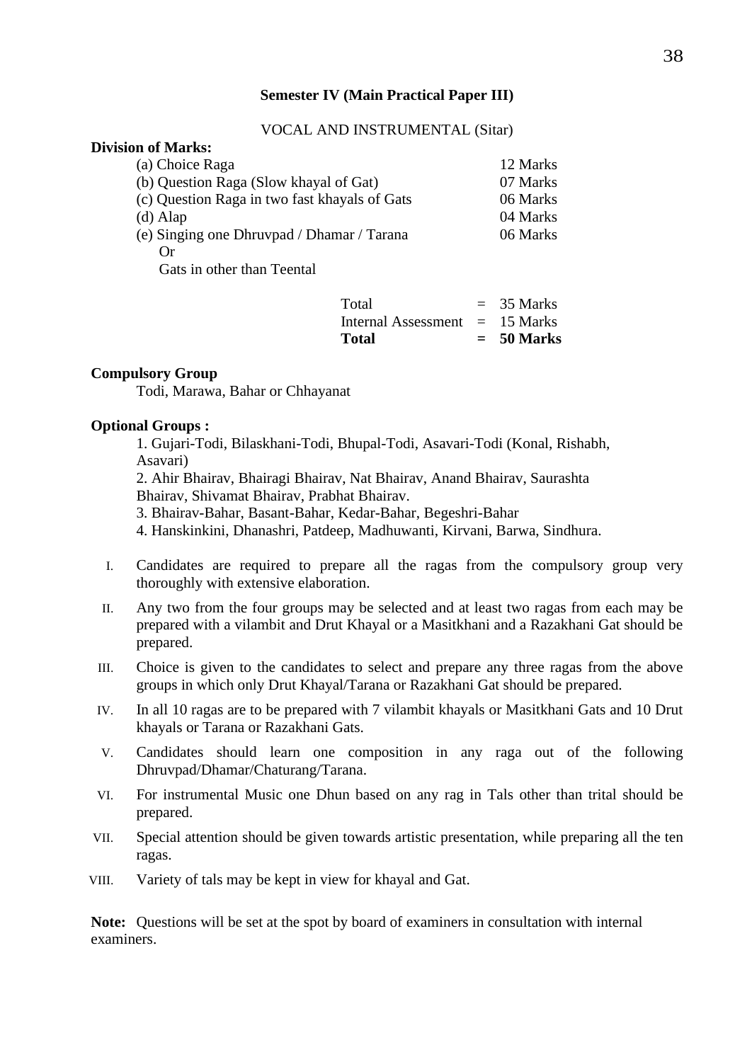#### **Semester IV (Main Practical Paper III)**

#### VOCAL AND INSTRUMENTAL (Sitar)

#### **Division of Marks:**

| (a) Choice Raga                               | 12 Marks |
|-----------------------------------------------|----------|
| (b) Question Raga (Slow khayal of Gat)        | 07 Marks |
| (c) Question Raga in two fast khayals of Gats | 06 Marks |
| $(d)$ Alap                                    | 04 Marks |
| (e) Singing one Dhruvpad / Dhamar / Tarana    | 06 Marks |
| ()r                                           |          |
| $\alpha$ , $\alpha$ and $\alpha$              |          |

Gats in other than Teental

| <b>Total</b>                     | $= 50$ Marks |
|----------------------------------|--------------|
| Internal Assessment $= 15$ Marks |              |
| Total                            | $=$ 35 Marks |

#### **Compulsory Group**

Todi, Marawa, Bahar or Chhayanat

#### **Optional Groups :**

1. Gujari-Todi, Bilaskhani-Todi, Bhupal-Todi, Asavari-Todi (Konal, Rishabh, Asavari)

2. Ahir Bhairav, Bhairagi Bhairav, Nat Bhairav, Anand Bhairav, Saurashta Bhairav, Shivamat Bhairav, Prabhat Bhairav.

3. Bhairav-Bahar, Basant-Bahar, Kedar-Bahar, Begeshri-Bahar

4. Hanskinkini, Dhanashri, Patdeep, Madhuwanti, Kirvani, Barwa, Sindhura.

- I. Candidates are required to prepare all the ragas from the compulsory group very thoroughly with extensive elaboration.
- II. Any two from the four groups may be selected and at least two ragas from each may be prepared with a vilambit and Drut Khayal or a Masitkhani and a Razakhani Gat should be prepared.
- III. Choice is given to the candidates to select and prepare any three ragas from the above groups in which only Drut Khayal/Tarana or Razakhani Gat should be prepared.
- IV. In all 10 ragas are to be prepared with 7 vilambit khayals or Masitkhani Gats and 10 Drut khayals or Tarana or Razakhani Gats.
- V. Candidates should learn one composition in any raga out of the following Dhruvpad/Dhamar/Chaturang/Tarana.
- VI. For instrumental Music one Dhun based on any rag in Tals other than trital should be prepared.
- VII. Special attention should be given towards artistic presentation, while preparing all the ten ragas.
- VIII. Variety of tals may be kept in view for khayal and Gat.

**Note:** Questions will be set at the spot by board of examiners in consultation with internal examiners.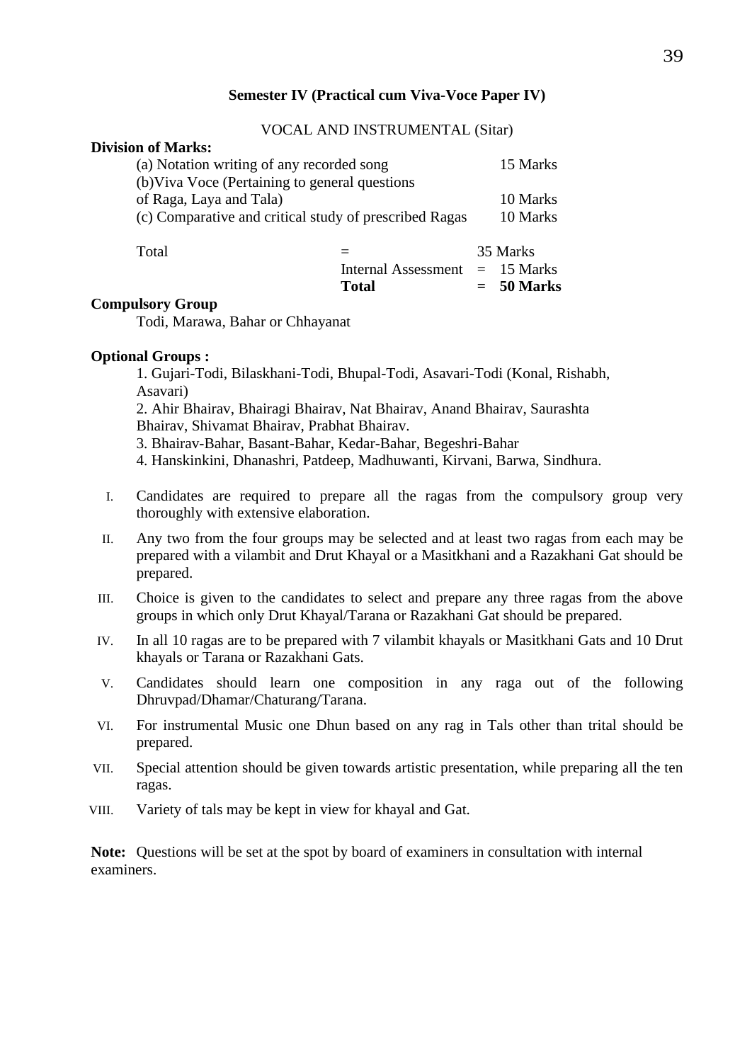#### **Semester IV (Practical cum Viva-Voce Paper IV)**

#### VOCAL AND INSTRUMENTAL (Sitar)

#### **Division of Marks:**

| (a) Notation writing of any recorded song              | 15 Marks |
|--------------------------------------------------------|----------|
| (b) Viva Voce (Pertaining to general questions         |          |
| of Raga, Laya and Tala)                                | 10 Marks |
| (c) Comparative and critical study of prescribed Ragas | 10 Marks |
|                                                        |          |

| Total |                                  | 35 Marks     |  |
|-------|----------------------------------|--------------|--|
|       | Internal Assessment $= 15$ Marks |              |  |
|       | Total                            | $= 50$ Marks |  |

#### **Compulsory Group**

Todi, Marawa, Bahar or Chhayanat

#### **Optional Groups :**

1. Gujari-Todi, Bilaskhani-Todi, Bhupal-Todi, Asavari-Todi (Konal, Rishabh, Asavari)

2. Ahir Bhairav, Bhairagi Bhairav, Nat Bhairav, Anand Bhairav, Saurashta Bhairav, Shivamat Bhairav, Prabhat Bhairav.

3. Bhairav-Bahar, Basant-Bahar, Kedar-Bahar, Begeshri-Bahar

4. Hanskinkini, Dhanashri, Patdeep, Madhuwanti, Kirvani, Barwa, Sindhura.

- I. Candidates are required to prepare all the ragas from the compulsory group very thoroughly with extensive elaboration.
- II. Any two from the four groups may be selected and at least two ragas from each may be prepared with a vilambit and Drut Khayal or a Masitkhani and a Razakhani Gat should be prepared.
- III. Choice is given to the candidates to select and prepare any three ragas from the above groups in which only Drut Khayal/Tarana or Razakhani Gat should be prepared.
- IV. In all 10 ragas are to be prepared with 7 vilambit khayals or Masitkhani Gats and 10 Drut khayals or Tarana or Razakhani Gats.
- V. Candidates should learn one composition in any raga out of the following Dhruvpad/Dhamar/Chaturang/Tarana.
- VI. For instrumental Music one Dhun based on any rag in Tals other than trital should be prepared.
- VII. Special attention should be given towards artistic presentation, while preparing all the ten ragas.
- VIII. Variety of tals may be kept in view for khayal and Gat.

**Note:** Questions will be set at the spot by board of examiners in consultation with internal examiners.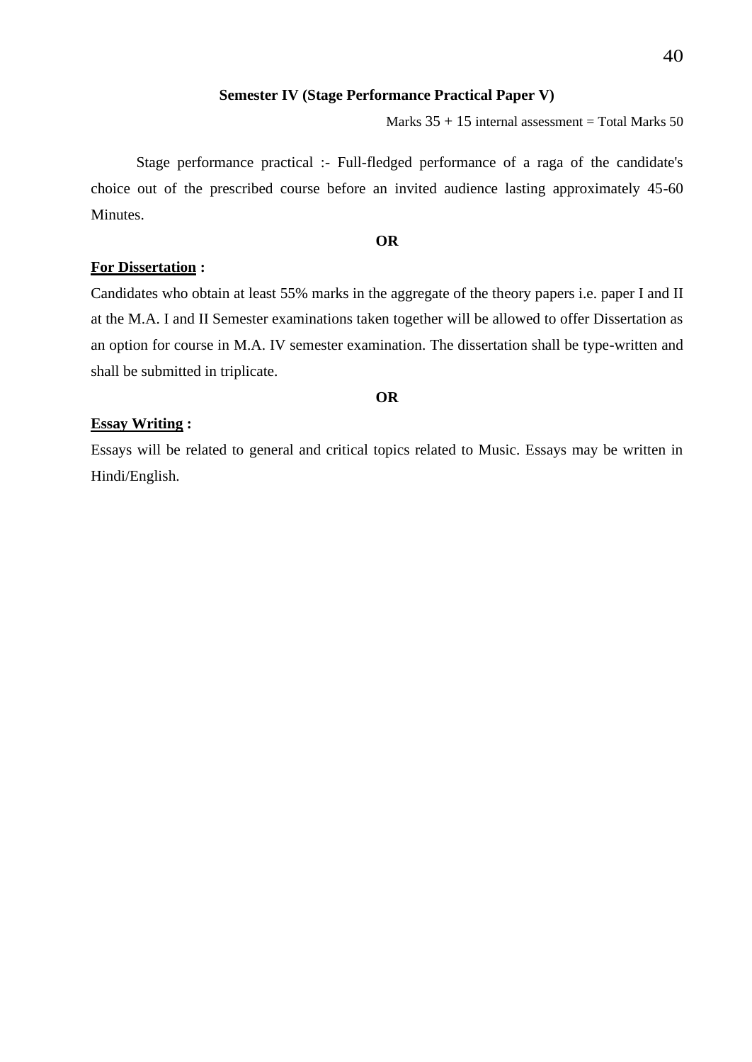#### **Semester IV (Stage Performance Practical Paper V)**

Marks  $35 + 15$  internal assessment = Total Marks  $50$ 

Stage performance practical :- Full-fledged performance of a raga of the candidate's choice out of the prescribed course before an invited audience lasting approximately 45-60 Minutes.

#### **OR**

#### **For Dissertation :**

Candidates who obtain at least 55% marks in the aggregate of the theory papers i.e. paper I and II at the M.A. I and II Semester examinations taken together will be allowed to offer Dissertation as an option for course in M.A. IV semester examination. The dissertation shall be type-written and shall be submitted in triplicate.

#### **OR**

#### **Essay Writing :**

Essays will be related to general and critical topics related to Music. Essays may be written in Hindi/English.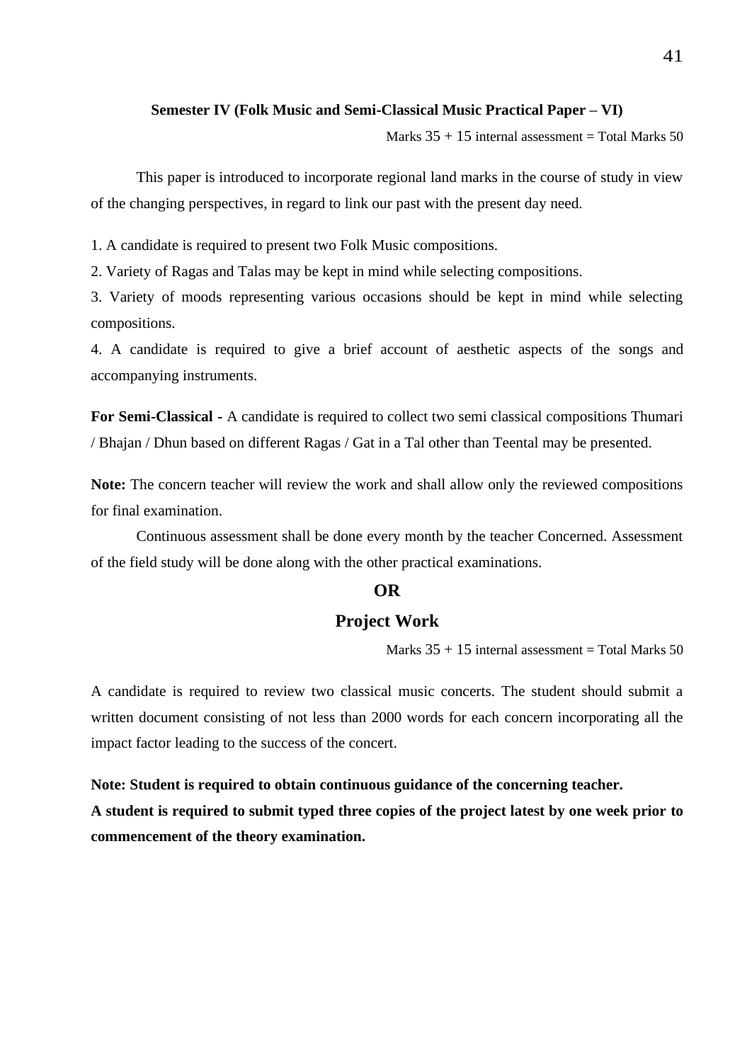#### **Semester IV (Folk Music and Semi-Classical Music Practical Paper – VI)**

Marks  $35 + 15$  internal assessment = Total Marks  $50$ 

This paper is introduced to incorporate regional land marks in the course of study in view of the changing perspectives, in regard to link our past with the present day need.

1. A candidate is required to present two Folk Music compositions.

2. Variety of Ragas and Talas may be kept in mind while selecting compositions.

3. Variety of moods representing various occasions should be kept in mind while selecting compositions.

4. A candidate is required to give a brief account of aesthetic aspects of the songs and accompanying instruments.

**For Semi-Classical -** A candidate is required to collect two semi classical compositions Thumari / Bhajan / Dhun based on different Ragas / Gat in a Tal other than Teental may be presented.

**Note:** The concern teacher will review the work and shall allow only the reviewed compositions for final examination.

Continuous assessment shall be done every month by the teacher Concerned. Assessment of the field study will be done along with the other practical examinations.

#### **OR**

### **Project Work**

Marks  $35 + 15$  internal assessment = Total Marks 50

A candidate is required to review two classical music concerts. The student should submit a written document consisting of not less than 2000 words for each concern incorporating all the impact factor leading to the success of the concert.

# **Note: Student is required to obtain continuous guidance of the concerning teacher. A student is required to submit typed three copies of the project latest by one week prior to**

**commencement of the theory examination.**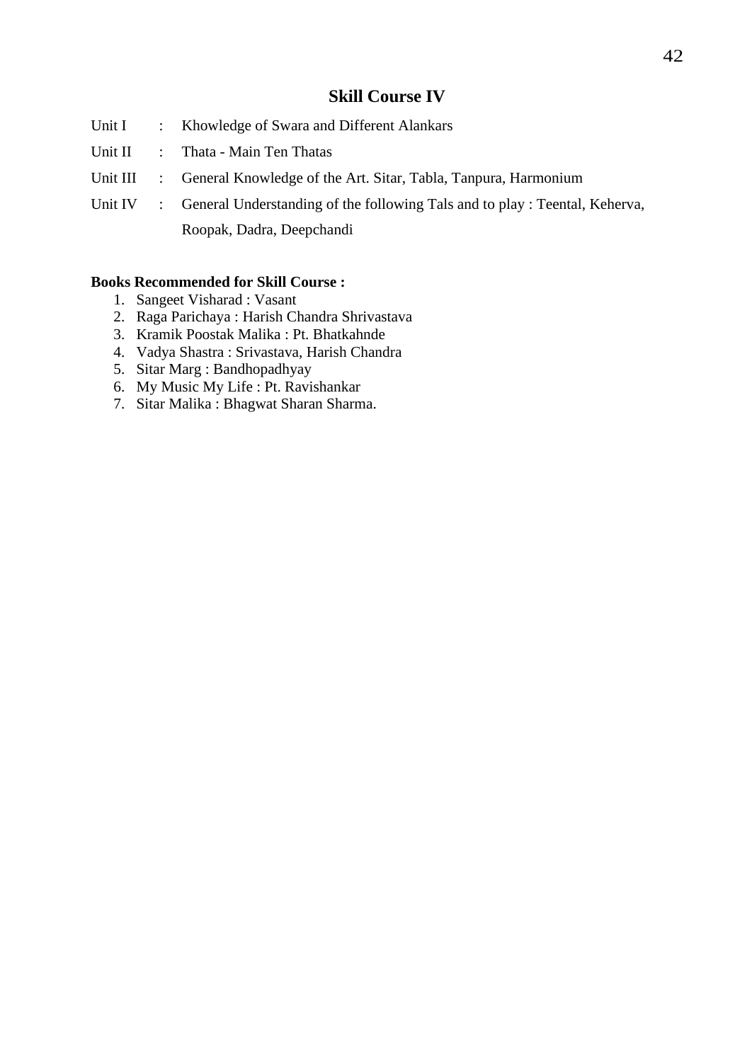# **Skill Course IV**

- Unit I : Khowledge of Swara and Different Alankars
- Unit II : Thata Main Ten Thatas
- Unit III : General Knowledge of the Art. Sitar, Tabla, Tanpura, Harmonium
- Unit IV : General Understanding of the following Tals and to play : Teental, Keherva, Roopak, Dadra, Deepchandi

#### **Books Recommended for Skill Course :**

- 1. Sangeet Visharad : Vasant
- 2. Raga Parichaya : Harish Chandra Shrivastava
- 3. Kramik Poostak Malika : Pt. Bhatkahnde
- 4. Vadya Shastra : Srivastava, Harish Chandra
- 5. Sitar Marg : Bandhopadhyay
- 6. My Music My Life : Pt. Ravishankar
- 7. Sitar Malika : Bhagwat Sharan Sharma.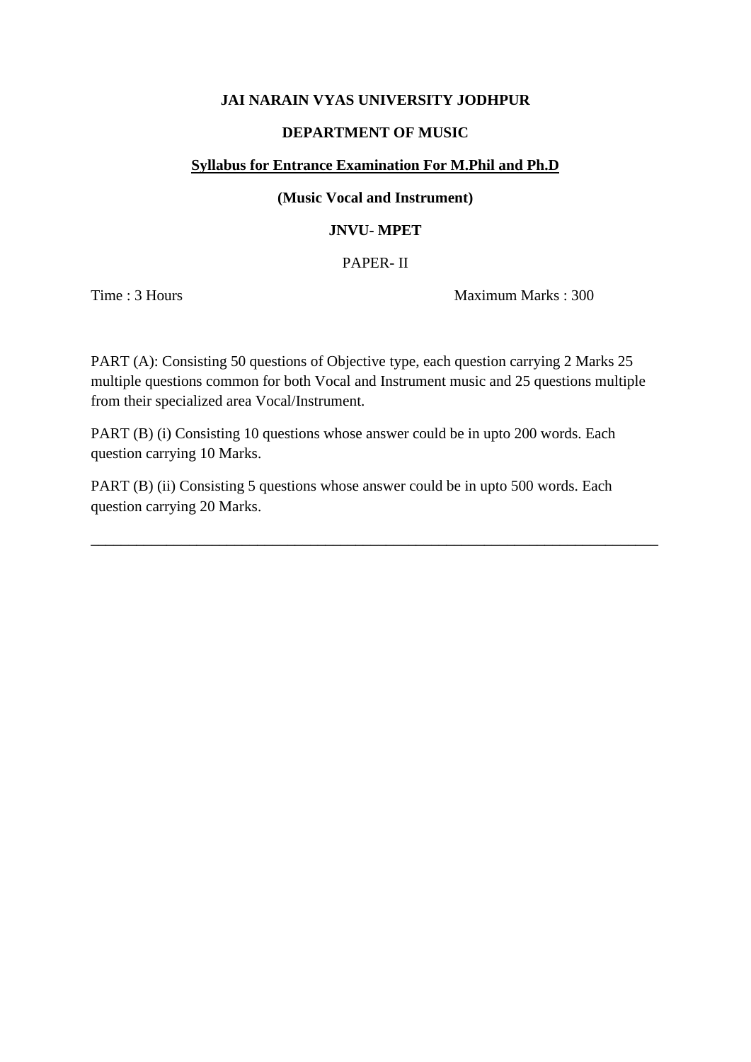#### **JAI NARAIN VYAS UNIVERSITY JODHPUR**

#### **DEPARTMENT OF MUSIC**

#### **Syllabus for Entrance Examination For M.Phil and Ph.D**

#### **(Music Vocal and Instrument)**

#### **JNVU- MPET**

PAPER- II

Time : 3 Hours Maximum Marks : 300

PART (A): Consisting 50 questions of Objective type, each question carrying 2 Marks 25 multiple questions common for both Vocal and Instrument music and 25 questions multiple from their specialized area Vocal/Instrument.

PART (B) (i) Consisting 10 questions whose answer could be in upto 200 words. Each question carrying 10 Marks.

PART (B) (ii) Consisting 5 questions whose answer could be in upto 500 words. Each question carrying 20 Marks.

\_\_\_\_\_\_\_\_\_\_\_\_\_\_\_\_\_\_\_\_\_\_\_\_\_\_\_\_\_\_\_\_\_\_\_\_\_\_\_\_\_\_\_\_\_\_\_\_\_\_\_\_\_\_\_\_\_\_\_\_\_\_\_\_\_\_\_\_\_\_\_\_\_\_\_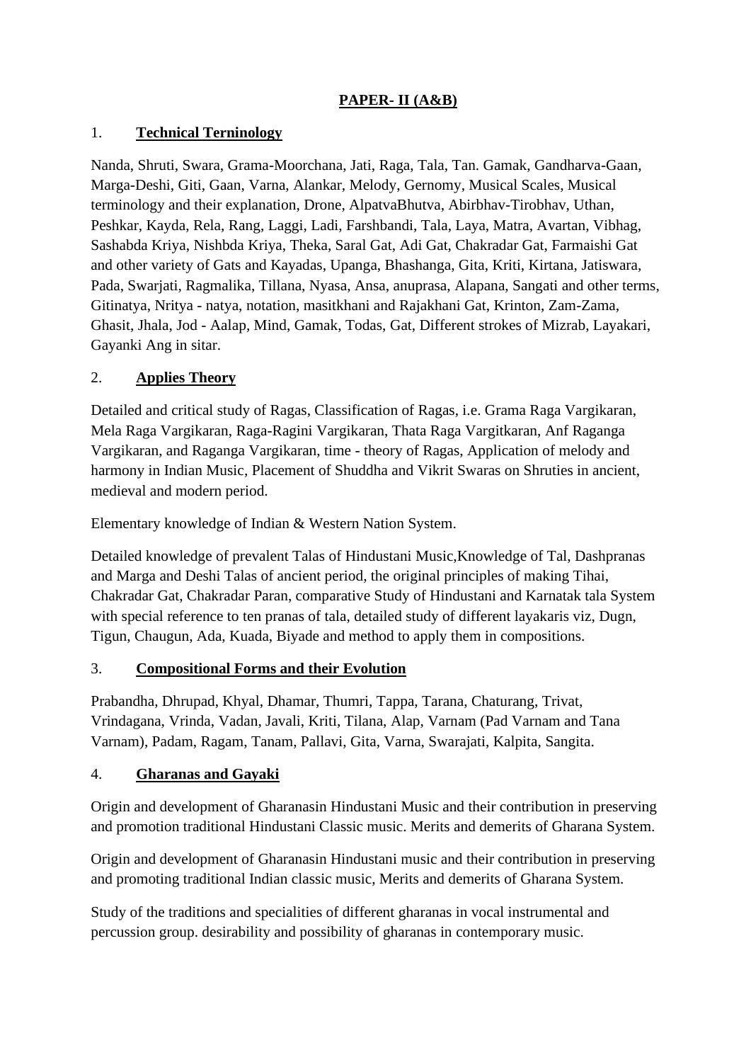# **PAPER- II (A&B)**

## 1. **Technical Terninology**

Nanda, Shruti, Swara, Grama-Moorchana, Jati, Raga, Tala, Tan. Gamak, Gandharva-Gaan, Marga-Deshi, Giti, Gaan, Varna, Alankar, Melody, Gernomy, Musical Scales, Musical terminology and their explanation, Drone, AlpatvaBhutva, Abirbhav-Tirobhav, Uthan, Peshkar, Kayda, Rela, Rang, Laggi, Ladi, Farshbandi, Tala, Laya, Matra, Avartan, Vibhag, Sashabda Kriya, Nishbda Kriya, Theka, Saral Gat, Adi Gat, Chakradar Gat, Farmaishi Gat and other variety of Gats and Kayadas, Upanga, Bhashanga, Gita, Kriti, Kirtana, Jatiswara, Pada, Swarjati, Ragmalika, Tillana, Nyasa, Ansa, anuprasa, Alapana, Sangati and other terms, Gitinatya, Nritya - natya, notation, masitkhani and Rajakhani Gat, Krinton, Zam-Zama, Ghasit, Jhala, Jod - Aalap, Mind, Gamak, Todas, Gat, Different strokes of Mizrab, Layakari, Gayanki Ang in sitar.

## 2. **Applies Theory**

Detailed and critical study of Ragas, Classification of Ragas, i.e. Grama Raga Vargikaran, Mela Raga Vargikaran, Raga-Ragini Vargikaran, Thata Raga Vargitkaran, Anf Raganga Vargikaran, and Raganga Vargikaran, time - theory of Ragas, Application of melody and harmony in Indian Music, Placement of Shuddha and Vikrit Swaras on Shruties in ancient, medieval and modern period.

Elementary knowledge of Indian & Western Nation System.

Detailed knowledge of prevalent Talas of Hindustani Music,Knowledge of Tal, Dashpranas and Marga and Deshi Talas of ancient period, the original principles of making Tihai, Chakradar Gat, Chakradar Paran, comparative Study of Hindustani and Karnatak tala System with special reference to ten pranas of tala, detailed study of different layakaris viz, Dugn, Tigun, Chaugun, Ada, Kuada, Biyade and method to apply them in compositions.

#### 3. **Compositional Forms and their Evolution**

Prabandha, Dhrupad, Khyal, Dhamar, Thumri, Tappa, Tarana, Chaturang, Trivat, Vrindagana, Vrinda, Vadan, Javali, Kriti, Tilana, Alap, Varnam (Pad Varnam and Tana Varnam), Padam, Ragam, Tanam, Pallavi, Gita, Varna, Swarajati, Kalpita, Sangita.

#### 4. **Gharanas and Gayaki**

Origin and development of Gharanasin Hindustani Music and their contribution in preserving and promotion traditional Hindustani Classic music. Merits and demerits of Gharana System.

Origin and development of Gharanasin Hindustani music and their contribution in preserving and promoting traditional Indian classic music, Merits and demerits of Gharana System.

Study of the traditions and specialities of different gharanas in vocal instrumental and percussion group. desirability and possibility of gharanas in contemporary music.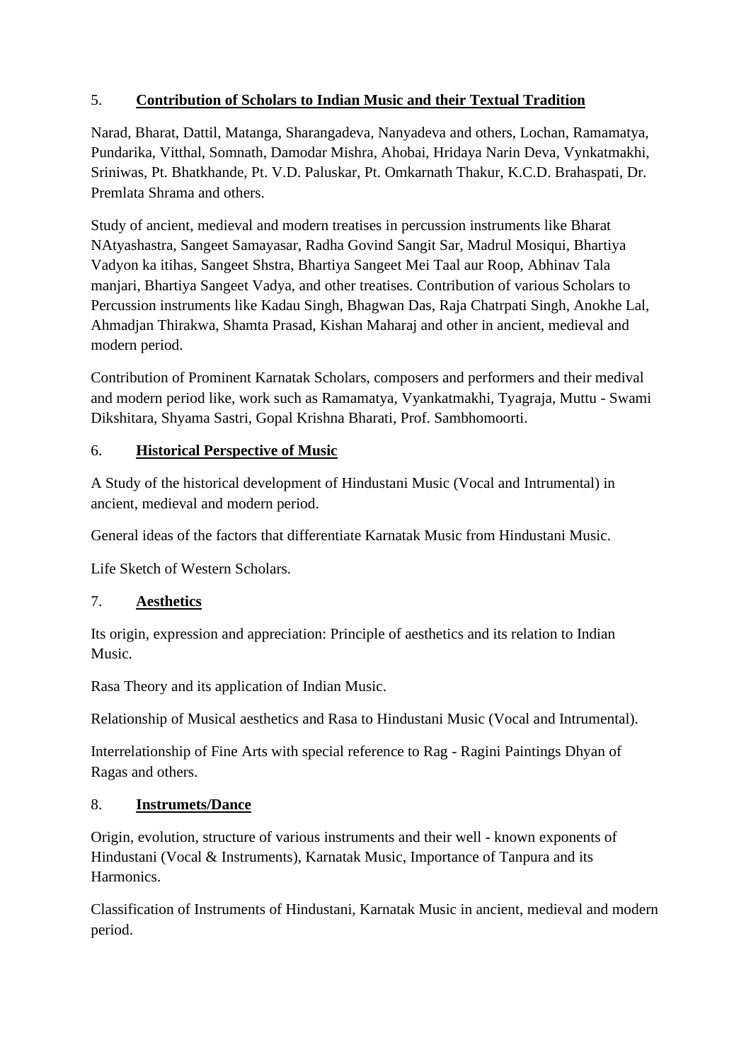# 5. **Contribution of Scholars to Indian Music and their Textual Tradition**

Narad, Bharat, Dattil, Matanga, Sharangadeva, Nanyadeva and others, Lochan, Ramamatya, Pundarika, Vitthal, Somnath, Damodar Mishra, Ahobai, Hridaya Narin Deva, Vynkatmakhi, Sriniwas, Pt. Bhatkhande, Pt. V.D. Paluskar, Pt. Omkarnath Thakur, K.C.D. Brahaspati, Dr. Premlata Shrama and others.

Study of ancient, medieval and modern treatises in percussion instruments like Bharat NAtyashastra, Sangeet Samayasar, Radha Govind Sangit Sar, Madrul Mosiqui, Bhartiya Vadyon ka itihas, Sangeet Shstra, Bhartiya Sangeet Mei Taal aur Roop, Abhinav Tala manjari, Bhartiya Sangeet Vadya, and other treatises. Contribution of various Scholars to Percussion instruments like Kadau Singh, Bhagwan Das, Raja Chatrpati Singh, Anokhe Lal, Ahmadjan Thirakwa, Shamta Prasad, Kishan Maharaj and other in ancient, medieval and modern period.

Contribution of Prominent Karnatak Scholars, composers and performers and their medival and modern period like, work such as Ramamatya, Vyankatmakhi, Tyagraja, Muttu - Swami Dikshitara, Shyama Sastri, Gopal Krishna Bharati, Prof. Sambhomoorti.

# 6. **Historical Perspective of Music**

A Study of the historical development of Hindustani Music (Vocal and Intrumental) in ancient, medieval and modern period.

General ideas of the factors that differentiate Karnatak Music from Hindustani Music.

Life Sketch of Western Scholars.

# 7. **Aesthetics**

Its origin, expression and appreciation: Principle of aesthetics and its relation to Indian Music.

Rasa Theory and its application of Indian Music.

Relationship of Musical aesthetics and Rasa to Hindustani Music (Vocal and Intrumental).

Interrelationship of Fine Arts with special reference to Rag - Ragini Paintings Dhyan of Ragas and others.

# 8. **Instrumets/Dance**

Origin, evolution, structure of various instruments and their well - known exponents of Hindustani (Vocal & Instruments), Karnatak Music, Importance of Tanpura and its Harmonics.

Classification of Instruments of Hindustani, Karnatak Music in ancient, medieval and modern period.